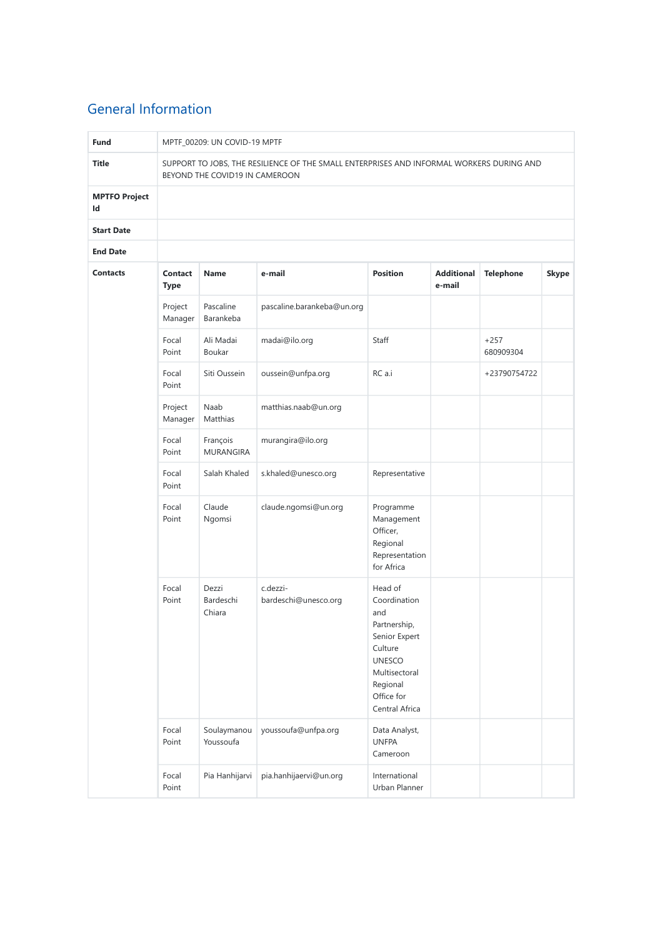# General Information

| <b>Fund</b>                |                        | MPTF_00209: UN COVID-19 MPTF   |                                                                                          |                                                                                                                                                          |                             |                     |       |  |  |  |  |
|----------------------------|------------------------|--------------------------------|------------------------------------------------------------------------------------------|----------------------------------------------------------------------------------------------------------------------------------------------------------|-----------------------------|---------------------|-------|--|--|--|--|
| <b>Title</b>               |                        | BEYOND THE COVID19 IN CAMEROON | SUPPORT TO JOBS, THE RESILIENCE OF THE SMALL ENTERPRISES AND INFORMAL WORKERS DURING AND |                                                                                                                                                          |                             |                     |       |  |  |  |  |
| <b>MPTFO Project</b><br>Id |                        |                                |                                                                                          |                                                                                                                                                          |                             |                     |       |  |  |  |  |
| <b>Start Date</b>          |                        |                                |                                                                                          |                                                                                                                                                          |                             |                     |       |  |  |  |  |
| <b>End Date</b>            |                        |                                |                                                                                          |                                                                                                                                                          |                             |                     |       |  |  |  |  |
| <b>Contacts</b>            | Contact<br><b>Type</b> | <b>Name</b>                    | e-mail                                                                                   | <b>Position</b>                                                                                                                                          | <b>Additional</b><br>e-mail | <b>Telephone</b>    | Skype |  |  |  |  |
|                            | Project<br>Manager     | Pascaline<br>Barankeba         | pascaline.barankeba@un.org                                                               |                                                                                                                                                          |                             |                     |       |  |  |  |  |
|                            | Focal<br>Point         | Ali Madai<br>Boukar            | madai@ilo.org                                                                            | Staff                                                                                                                                                    |                             | $+257$<br>680909304 |       |  |  |  |  |
|                            | Focal<br>Point         | Siti Oussein                   | oussein@unfpa.org                                                                        | RC a.i                                                                                                                                                   |                             | +23790754722        |       |  |  |  |  |
|                            | Project<br>Manager     | Naab<br>Matthias               | matthias.naab@un.org                                                                     |                                                                                                                                                          |                             |                     |       |  |  |  |  |
|                            | Focal<br>Point         | François<br><b>MURANGIRA</b>   | murangira@ilo.org                                                                        |                                                                                                                                                          |                             |                     |       |  |  |  |  |
|                            | Focal<br>Point         | Salah Khaled                   | s.khaled@unesco.org                                                                      | Representative                                                                                                                                           |                             |                     |       |  |  |  |  |
|                            | Focal<br>Point         | Claude<br>Ngomsi               | claude.ngomsi@un.org                                                                     | Programme<br>Management<br>Officer,<br>Regional<br>Representation<br>for Africa                                                                          |                             |                     |       |  |  |  |  |
|                            | Focal<br>Point         | Dezzi<br>Bardeschi<br>Chiara   | c.dezzi-<br>bardeschi@unesco.org                                                         | Head of<br>Coordination<br>and<br>Partnership,<br>Senior Expert<br>Culture<br><b>UNESCO</b><br>Multisectoral<br>Regional<br>Office for<br>Central Africa |                             |                     |       |  |  |  |  |
|                            | Focal<br>Point         | Soulaymanou<br>Youssoufa       | youssoufa@unfpa.org                                                                      | Data Analyst,<br><b>UNFPA</b><br>Cameroon                                                                                                                |                             |                     |       |  |  |  |  |
|                            | Focal<br>Point         | Pia Hanhijarvi                 | pia.hanhijaervi@un.org                                                                   | International<br>Urban Planner                                                                                                                           |                             |                     |       |  |  |  |  |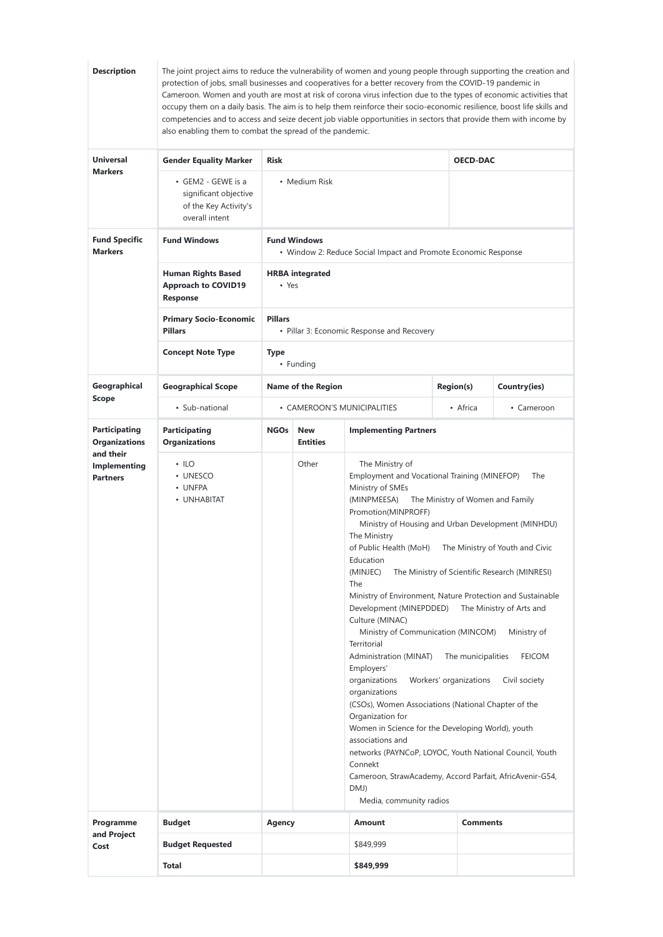| <b>Universal</b><br><b>Gender Equality Marker</b><br><b>OECD-DAC</b><br><b>Risk</b><br><b>Markers</b><br>• GEM2 - GEWE is a<br>• Medium Risk<br>significant objective<br>of the Key Activity's<br>overall intent<br><b>Fund Specific</b><br><b>Fund Windows</b><br><b>Fund Windows</b><br><b>Markers</b><br>• Window 2: Reduce Social Impact and Promote Economic Response<br><b>Human Rights Based</b><br><b>HRBA</b> integrated<br><b>Approach to COVID19</b><br>• Yes<br>Response<br><b>Pillars</b><br><b>Primary Socio-Economic</b><br><b>Pillars</b><br>• Pillar 3: Economic Response and Recovery<br><b>Concept Note Type</b><br><b>Type</b><br>• Funding<br>Geographical<br><b>Geographical Scope</b><br><b>Name of the Region</b><br><b>Region(s)</b><br><b>Scope</b><br>• Sub-national<br>• CAMEROON'S MUNICIPALITIES<br>• Africa<br><b>Participating</b><br><b>NGOs</b><br><b>Implementing Partners</b><br>Participating<br><b>New</b><br><b>Organizations</b><br><b>Organizations</b><br><b>Entities</b><br>and their<br>Other<br>The Ministry of<br>$\cdot$ ILO<br>Implementing<br>Employment and Vocational Training (MINEFOP)<br>• UNESCO<br><b>Partners</b><br>• UNFPA<br>Ministry of SMEs<br>• UNHABITAT<br>(MINPMEESA)<br>The Ministry of Women and Family<br>Promotion(MINPROFF)<br>Ministry of Housing and Urban Development (MINHDU)<br>The Ministry<br>of Public Health (MoH) The Ministry of Youth and Civic<br>Education<br>(MINJEC)<br>The Ministry of Scientific Research (MINRESI)<br><b>The</b><br>Ministry of Environment, Nature Protection and Sustainable<br>Development (MINEPDDED)<br>The Ministry of Arts and<br>Culture (MINAC)<br>Ministry of Communication (MINCOM)<br>Territorial<br>Administration (MINAT)<br>The municipalities<br>Employers'<br>organizations<br>Workers' organizations<br>organizations<br>(CSOs), Women Associations (National Chapter of the<br>Organization for<br>Women in Science for the Developing World), youth<br>associations and<br>networks (PAYNCoP, LOYOC, Youth National Council, Youth<br>Connekt<br>Cameroon, StrawAcademy, Accord Parfait, AfricAvenir-G54,<br>DMJ)<br>Media, community radios<br>Programme<br><b>Budget</b><br><b>Agency</b><br>Amount<br><b>Comments</b><br>and Project<br><b>Budget Requested</b><br>\$849,999<br>Cost |  | also enabling them to combat the spread of the pandemic. | occupy them on a daily basis. The aim is to help them reinforce their socio-economic resilience, boost life skills and<br>competencies and to access and seize decent job viable opportunities in sectors that provide them with income by | Cameroon. Women and youth are most at risk of corona virus infection due to the types of economic activities that |
|-----------------------------------------------------------------------------------------------------------------------------------------------------------------------------------------------------------------------------------------------------------------------------------------------------------------------------------------------------------------------------------------------------------------------------------------------------------------------------------------------------------------------------------------------------------------------------------------------------------------------------------------------------------------------------------------------------------------------------------------------------------------------------------------------------------------------------------------------------------------------------------------------------------------------------------------------------------------------------------------------------------------------------------------------------------------------------------------------------------------------------------------------------------------------------------------------------------------------------------------------------------------------------------------------------------------------------------------------------------------------------------------------------------------------------------------------------------------------------------------------------------------------------------------------------------------------------------------------------------------------------------------------------------------------------------------------------------------------------------------------------------------------------------------------------------------------------------------------------------------------------------------------------------------------------------------------------------------------------------------------------------------------------------------------------------------------------------------------------------------------------------------------------------------------------------------------------------------------------------------------------------------------------------------------------------------------|--|----------------------------------------------------------|--------------------------------------------------------------------------------------------------------------------------------------------------------------------------------------------------------------------------------------------|-------------------------------------------------------------------------------------------------------------------|
|                                                                                                                                                                                                                                                                                                                                                                                                                                                                                                                                                                                                                                                                                                                                                                                                                                                                                                                                                                                                                                                                                                                                                                                                                                                                                                                                                                                                                                                                                                                                                                                                                                                                                                                                                                                                                                                                                                                                                                                                                                                                                                                                                                                                                                                                                                                       |  |                                                          |                                                                                                                                                                                                                                            |                                                                                                                   |
|                                                                                                                                                                                                                                                                                                                                                                                                                                                                                                                                                                                                                                                                                                                                                                                                                                                                                                                                                                                                                                                                                                                                                                                                                                                                                                                                                                                                                                                                                                                                                                                                                                                                                                                                                                                                                                                                                                                                                                                                                                                                                                                                                                                                                                                                                                                       |  |                                                          |                                                                                                                                                                                                                                            |                                                                                                                   |
|                                                                                                                                                                                                                                                                                                                                                                                                                                                                                                                                                                                                                                                                                                                                                                                                                                                                                                                                                                                                                                                                                                                                                                                                                                                                                                                                                                                                                                                                                                                                                                                                                                                                                                                                                                                                                                                                                                                                                                                                                                                                                                                                                                                                                                                                                                                       |  |                                                          |                                                                                                                                                                                                                                            |                                                                                                                   |
|                                                                                                                                                                                                                                                                                                                                                                                                                                                                                                                                                                                                                                                                                                                                                                                                                                                                                                                                                                                                                                                                                                                                                                                                                                                                                                                                                                                                                                                                                                                                                                                                                                                                                                                                                                                                                                                                                                                                                                                                                                                                                                                                                                                                                                                                                                                       |  |                                                          |                                                                                                                                                                                                                                            |                                                                                                                   |
|                                                                                                                                                                                                                                                                                                                                                                                                                                                                                                                                                                                                                                                                                                                                                                                                                                                                                                                                                                                                                                                                                                                                                                                                                                                                                                                                                                                                                                                                                                                                                                                                                                                                                                                                                                                                                                                                                                                                                                                                                                                                                                                                                                                                                                                                                                                       |  |                                                          |                                                                                                                                                                                                                                            |                                                                                                                   |
|                                                                                                                                                                                                                                                                                                                                                                                                                                                                                                                                                                                                                                                                                                                                                                                                                                                                                                                                                                                                                                                                                                                                                                                                                                                                                                                                                                                                                                                                                                                                                                                                                                                                                                                                                                                                                                                                                                                                                                                                                                                                                                                                                                                                                                                                                                                       |  |                                                          |                                                                                                                                                                                                                                            |                                                                                                                   |
|                                                                                                                                                                                                                                                                                                                                                                                                                                                                                                                                                                                                                                                                                                                                                                                                                                                                                                                                                                                                                                                                                                                                                                                                                                                                                                                                                                                                                                                                                                                                                                                                                                                                                                                                                                                                                                                                                                                                                                                                                                                                                                                                                                                                                                                                                                                       |  |                                                          |                                                                                                                                                                                                                                            | Country(ies)                                                                                                      |
|                                                                                                                                                                                                                                                                                                                                                                                                                                                                                                                                                                                                                                                                                                                                                                                                                                                                                                                                                                                                                                                                                                                                                                                                                                                                                                                                                                                                                                                                                                                                                                                                                                                                                                                                                                                                                                                                                                                                                                                                                                                                                                                                                                                                                                                                                                                       |  |                                                          |                                                                                                                                                                                                                                            | • Cameroon                                                                                                        |
|                                                                                                                                                                                                                                                                                                                                                                                                                                                                                                                                                                                                                                                                                                                                                                                                                                                                                                                                                                                                                                                                                                                                                                                                                                                                                                                                                                                                                                                                                                                                                                                                                                                                                                                                                                                                                                                                                                                                                                                                                                                                                                                                                                                                                                                                                                                       |  |                                                          |                                                                                                                                                                                                                                            |                                                                                                                   |
|                                                                                                                                                                                                                                                                                                                                                                                                                                                                                                                                                                                                                                                                                                                                                                                                                                                                                                                                                                                                                                                                                                                                                                                                                                                                                                                                                                                                                                                                                                                                                                                                                                                                                                                                                                                                                                                                                                                                                                                                                                                                                                                                                                                                                                                                                                                       |  |                                                          |                                                                                                                                                                                                                                            | The<br>Ministry of<br><b>FEICOM</b><br>Civil society                                                              |
|                                                                                                                                                                                                                                                                                                                                                                                                                                                                                                                                                                                                                                                                                                                                                                                                                                                                                                                                                                                                                                                                                                                                                                                                                                                                                                                                                                                                                                                                                                                                                                                                                                                                                                                                                                                                                                                                                                                                                                                                                                                                                                                                                                                                                                                                                                                       |  |                                                          |                                                                                                                                                                                                                                            |                                                                                                                   |
|                                                                                                                                                                                                                                                                                                                                                                                                                                                                                                                                                                                                                                                                                                                                                                                                                                                                                                                                                                                                                                                                                                                                                                                                                                                                                                                                                                                                                                                                                                                                                                                                                                                                                                                                                                                                                                                                                                                                                                                                                                                                                                                                                                                                                                                                                                                       |  |                                                          |                                                                                                                                                                                                                                            |                                                                                                                   |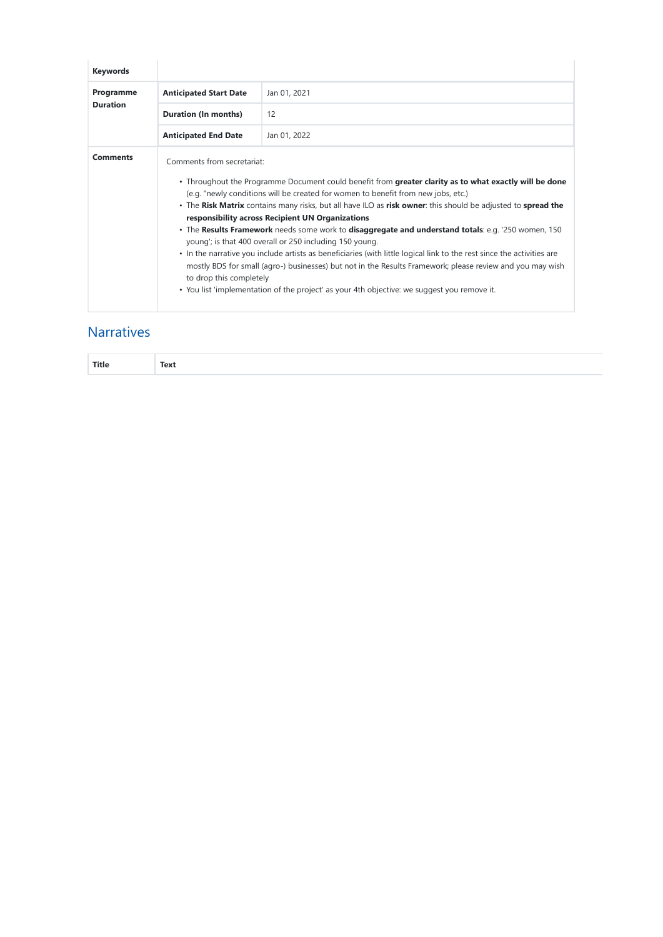| <b>Keywords</b>              |                                                       |                                                                                                                                                                                                                                                                                                                                                                                                                                                                                                                                                                                                                                                                                                                                                                                                                                                                         |
|------------------------------|-------------------------------------------------------|-------------------------------------------------------------------------------------------------------------------------------------------------------------------------------------------------------------------------------------------------------------------------------------------------------------------------------------------------------------------------------------------------------------------------------------------------------------------------------------------------------------------------------------------------------------------------------------------------------------------------------------------------------------------------------------------------------------------------------------------------------------------------------------------------------------------------------------------------------------------------|
| Programme<br><b>Duration</b> | <b>Anticipated Start Date</b>                         | Jan 01, 2021                                                                                                                                                                                                                                                                                                                                                                                                                                                                                                                                                                                                                                                                                                                                                                                                                                                            |
|                              | <b>Duration (In months)</b>                           | 12                                                                                                                                                                                                                                                                                                                                                                                                                                                                                                                                                                                                                                                                                                                                                                                                                                                                      |
|                              | <b>Anticipated End Date</b>                           | Jan 01, 2022                                                                                                                                                                                                                                                                                                                                                                                                                                                                                                                                                                                                                                                                                                                                                                                                                                                            |
| <b>Comments</b>              | Comments from secretariat:<br>to drop this completely | . Throughout the Programme Document could benefit from greater clarity as to what exactly will be done<br>(e.g. "newly conditions will be created for women to benefit from new jobs, etc.)<br>• The Risk Matrix contains many risks, but all have ILO as risk owner: this should be adjusted to spread the<br>responsibility across Recipient UN Organizations<br>. The Results Framework needs some work to disaggregate and understand totals: e.g. '250 women, 150<br>young'; is that 400 overall or 250 including 150 young.<br>• In the narrative you include artists as beneficiaries (with little logical link to the rest since the activities are<br>mostly BDS for small (agro-) businesses) but not in the Results Framework; please review and you may wish<br>. You list 'implementation of the project' as your 4th objective: we suggest you remove it. |

# **Narratives**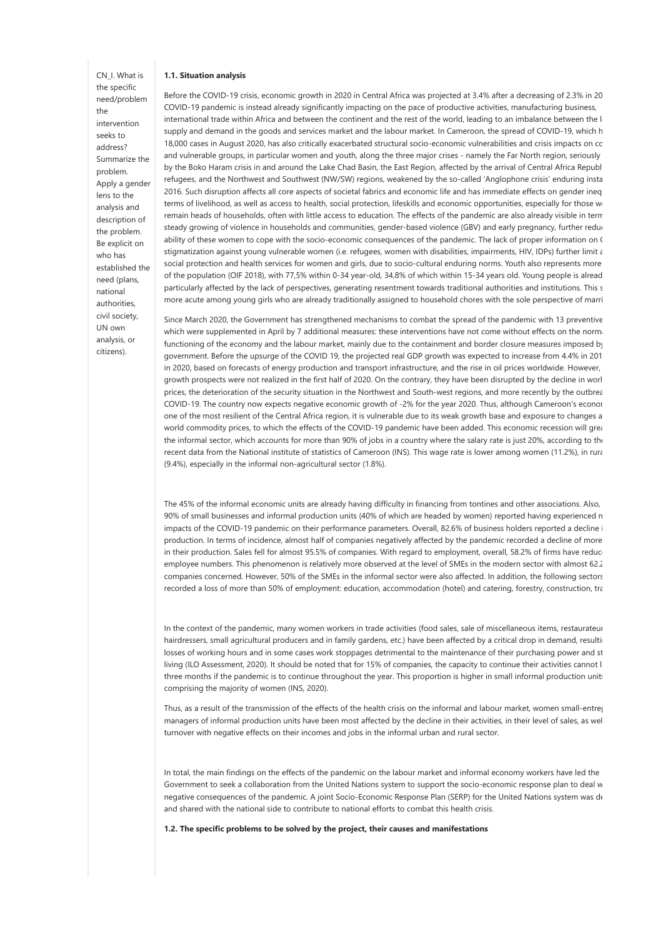## CN\_I. What is the specific need/problem the intervention seeks to address? Summarize the problem. Apply a gender lens to the analysis and description of the problem. Be explicit on who has established the need (plans, national authorities, civil society, UN own analysis, or

citizens).

#### 1.1. Situation analysis

Before the COVID-19 crisis, economic growth in 2020 in Central Africa was projected at 3.4% after a decreasing of 2.3% in 2019. COVID-19 pandemic is instead already significantly impacting on the pace of productive activities, manufacturing business, international trade within Africa and between the continent and the rest of the world, leading to an imbalance between the le supply and demand in the goods and services market and the labour market. In Cameroon, the spread of COVID-19, which h 18,000 cases in August 2020, has also critically exacerbated structural socio-economic vulnerabilities and crisis impacts on cc and vulnerable groups, in particular women and youth, along the three major crises - namely the Far North region, seriously by the Boko Haram crisis in and around the Lake Chad Basin, the East Region, affected by the arrival of Central Africa Republ refugees, and the Northwest and Southwest (NW/SW) regions, weakened by the so-called 'Anglophone crisis' enduring insta 2016. Such disruption affects all core aspects of societal fabrics and economic life and has immediate effects on gender inegulation terms of livelihood, as well as access to health, social protection, lifeskills and economic opportunities, especially for those w remain heads of households, often with little access to education. The effects of the pandemic are also already visible in term steady growing of violence in households and communities, gender-based violence (GBV) and early pregnancy, further reduc ability of these women to cope with the socio-economic consequences of the pandemic. The lack of proper information on C stigmatization against young vulnerable women (i.e. refugees, women with disabilities, impairments, HIV, IDPs) further limit a social protection and health services for women and girls, due to socio-cultural enduring norms. Youth also represents more of the population (OIF 2018), with 77,5% within 0-34 year-old, 34,8% of which within 15-34 years old. Young people is alread particularly affected by the lack of perspectives, generating resentment towards traditional authorities and institutions. This s more acute among young girls who are already traditionally assigned to household chores with the sole perspective of marri

Since March 2020, the Government has strengthened mechanisms to combat the spread of the pandemic with 13 preventive which were supplemented in April by 7 additional measures: these interventions have not come without effects on the norm. functioning of the economy and the labour market, mainly due to the containment and border closure measures imposed by government. Before the upsurge of the COVID 19, the projected real GDP growth was expected to increase from 4.4% in 201 in 2020, based on forecasts of energy production and transport infrastructure, and the rise in oil prices worldwide. However, growth prospects were not realized in the first half of 2020. On the contrary, they have been disrupted by the decline in worl prices, the deterioration of the security situation in the Northwest and South-west regions, and more recently by the outbreak COVID-19. The country now expects negative economic growth of -2% for the year 2020. Thus, although Cameroon's econor one of the most resilient of the Central Africa region, it is vulnerable due to its weak growth base and exposure to changes a world commodity prices, to which the effects of the COVID-19 pandemic have been added. This economic recession will greatly the informal sector, which accounts for more than 90% of jobs in a country where the salary rate is just 20%, according to the recent data from the National institute of statistics of Cameroon (INS). This wage rate is lower among women (11.2%), in rural (9.4%), especially in the informal non-agricultural sector (1.8%).

The 45% of the informal economic units are already having difficulty in financing from tontines and other associations. Also, 90% of small businesses and informal production units (40% of which are headed by women) reported having experienced n impacts of the COVID-19 pandemic on their performance parameters. Overall, 82.6% of business holders reported a decline i production. In terms of incidence, almost half of companies negatively affected by the pandemic recorded a decline of more in their production. Sales fell for almost 95.5% of companies. With regard to employment, overall, 58.2% of firms have reduce employee numbers. This phenomenon is relatively more observed at the level of SMEs in the modern sector with almost 62.2 companies concerned. However, 50% of the SMEs in the informal sector were also affected. In addition, the following sectors have recorded a loss of more than 50% of employment: education, accommodation (hotel) and catering, forestry, construction, tra

In the context of the pandemic, many women workers in trade activities (food sales, sale of miscellaneous items, restaurateur hairdressers, small agricultural producers and in family gardens, etc.) have been affected by a critical drop in demand, resulting losses of working hours and in some cases work stoppages detrimental to the maintenance of their purchasing power and st living (ILO Assessment, 2020). It should be noted that for 15% of companies, the capacity to continue their activities cannot l three months if the pandemic is to continue throughout the year. This proportion is higher in small informal production units comprising the majority of women (INS, 2020).

Thus, as a result of the transmission of the effects of the health crisis on the informal and labour market, women small-entreprene managers of informal production units have been most affected by the decline in their activities, in their level of sales, as well turnover with negative effects on their incomes and jobs in the informal urban and rural sector.

In total, the main findings on the effects of the pandemic on the labour market and informal economy workers have led the Government to seek a collaboration from the United Nations system to support the socio-economic response plan to deal w negative consequences of the pandemic. A joint Socio-Economic Response Plan (SERP) for the United Nations system was de and shared with the national side to contribute to national efforts to combat this health crisis.

1.2. The specific problems to be solved by the project, their causes and manifestations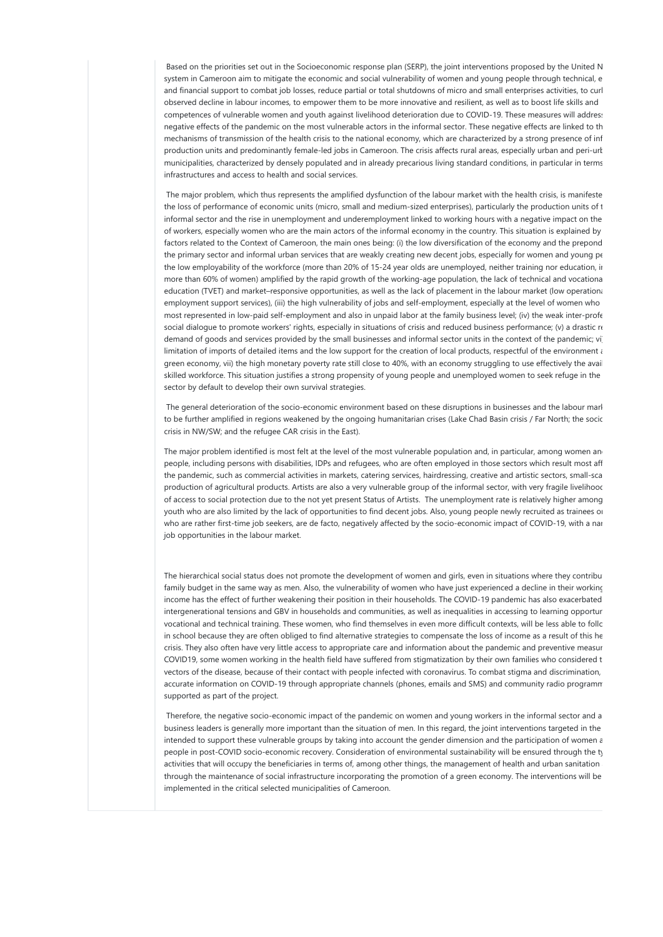Based on the priorities set out in the Socioeconomic response plan (SERP), the joint interventions proposed by the United N system in Cameroon aim to mitigate the economic and social vulnerability of women and young people through technical, e and financial support to combat job losses, reduce partial or total shutdowns of micro and small enterprises activities, to curl observed decline in labour incomes, to empower them to be more innovative and resilient, as well as to boost life skills and competences of vulnerable women and youth against livelihood deterioration due to COVID-19. These measures will addres: negative effects of the pandemic on the most vulnerable actors in the informal sector. These negative effects are linked to the mechanisms of transmission of the health crisis to the national economy, which are characterized by a strong presence of inf production units and predominantly female-led jobs in Cameroon. The crisis affects rural areas, especially urban and peri-urban and peri-urban and peri-urban and peri-urban and peri-urban and peri-urban and peri-urban and municipalities, characterized by densely populated and in already precarious living standard conditions, in particular in terms infrastructures and access to health and social services.

The major problem, which thus represents the amplified dysfunction of the labour market with the health crisis, is manifeste the loss of performance of economic units (micro, small and medium-sized enterprises), particularly the production units of t informal sector and the rise in unemployment and underemployment linked to working hours with a negative impact on the of workers, especially women who are the main actors of the informal economy in the country. This situation is explained by factors related to the Context of Cameroon, the main ones being: (i) the low diversification of the economy and the prepond the primary sector and informal urban services that are weakly creating new decent jobs, especially for women and young pe the low employability of the workforce (more than 20% of 15-24 year olds are unemployed, neither training nor education, in more than 60% of women) amplified by the rapid growth of the working-age population, the lack of technical and vocationa education (TVET) and market–responsive opportunities, as well as the lack of placement in the labour market (low operational employment support services), (iii) the high vulnerability of jobs and self-employment, especially at the level of women who most represented in low-paid self-employment and also in unpaid labor at the family business level; (iv) the weak inter-profe social dialogue to promote workers' rights, especially in situations of crisis and reduced business performance; (v) a drastic re demand of goods and services provided by the small businesses and informal sector units in the context of the pandemic; vi limitation of imports of detailed items and the low support for the creation of local products, respectful of the environment  $\iota$ green economy, vii) the high monetary poverty rate still close to 40%, with an economy struggling to use effectively the avail skilled workforce. This situation justifies a strong propensity of young people and unemployed women to seek refuge in the sector by default to develop their own survival strategies.

The general deterioration of the socio-economic environment based on these disruptions in businesses and the labour marl to be further amplified in regions weakened by the ongoing humanitarian crises (Lake Chad Basin crisis / Far North; the sociocrisis in NW/SW; and the refugee CAR crisis in the East).

The major problem identified is most felt at the level of the most vulnerable population and, in particular, among women and people, including persons with disabilities, IDPs and refugees, who are often employed in those sectors which result most aff the pandemic, such as commercial activities in markets, catering services, hairdressing, creative and artistic sectors, small-sca production of agricultural products. Artists are also a very vulnerable group of the informal sector, with very fragile livelihood of access to social protection due to the not yet present Status of Artists. The unemployment rate is relatively higher among youth who are also limited by the lack of opportunities to find decent jobs. Also, young people newly recruited as trainees or who are rather first-time job seekers, are de facto, negatively affected by the socio-economic impact of COVID-19, with a nar job opportunities in the labour market.

The hierarchical social status does not promote the development of women and girls, even in situations where they contribu family budget in the same way as men. Also, the vulnerability of women who have just experienced a decline in their working income has the effect of further weakening their position in their households. The COVID-19 pandemic has also exacerbated intergenerational tensions and GBV in households and communities, as well as inequalities in accessing to learning opportur vocational and technical training. These women, who find themselves in even more difficult contexts, will be less able to follc in school because they are often obliged to find alternative strategies to compensate the loss of income as a result of this he crisis. They also often have very little access to appropriate care and information about the pandemic and preventive measure COVID19, some women working in the health field have suffered from stigmatization by their own families who considered t vectors of the disease, because of their contact with people infected with coronavirus. To combat stigma and discrimination, accurate information on COVID-19 through appropriate channels (phones, emails and SMS) and community radio programm supported as part of the project.

Therefore, the negative socio-economic impact of the pandemic on women and young workers in the informal sector and a business leaders is generally more important than the situation of men. In this regard, the joint interventions targeted in the intended to support these vulnerable groups by taking into account the gender dimension and the participation of women and the participation of women and the participation people in post-COVID socio-economic recovery. Consideration of environmental sustainability will be ensured through the ty activities that will occupy the beneficiaries in terms of, among other things, the management of health and urban sanitation and through the maintenance of social infrastructure incorporating the promotion of a green economy. The interventions will be implemented in the critical selected municipalities of Cameroon.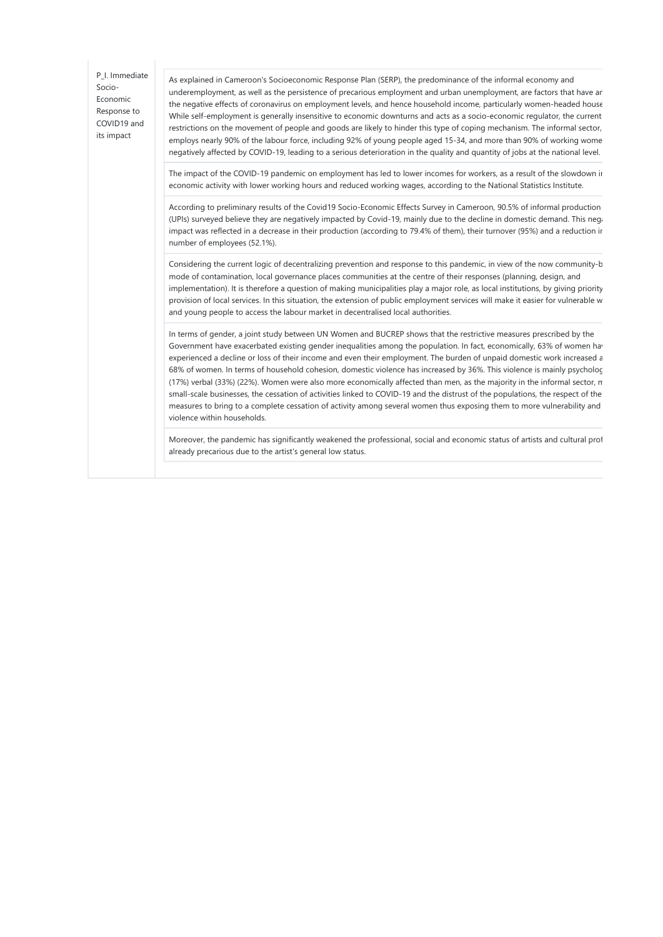| P I. Immediate<br>Socio-<br>Economic<br>Response to<br>COVID19 and<br>its impact | As explained in Cameroon's Socioeconomic Response Plan (SERP), the predominance of the informal economy and<br>underemployment, as well as the persistence of precarious employment and urban unemployment, are factors that have ar<br>the negative effects of coronavirus on employment levels, and hence household income, particularly women-headed house<br>While self-employment is generally insensitive to economic downturns and acts as a socio-economic regulator, the current<br>restrictions on the movement of people and goods are likely to hinder this type of coping mechanism. The informal sector,<br>employs nearly 90% of the labour force, including 92% of young people aged 15-34, and more than 90% of working wome<br>negatively affected by COVID-19, leading to a serious deterioration in the quality and quantity of jobs at the national level.                                                  |
|----------------------------------------------------------------------------------|----------------------------------------------------------------------------------------------------------------------------------------------------------------------------------------------------------------------------------------------------------------------------------------------------------------------------------------------------------------------------------------------------------------------------------------------------------------------------------------------------------------------------------------------------------------------------------------------------------------------------------------------------------------------------------------------------------------------------------------------------------------------------------------------------------------------------------------------------------------------------------------------------------------------------------|
|                                                                                  | The impact of the COVID-19 pandemic on employment has led to lower incomes for workers, as a result of the slowdown ir<br>economic activity with lower working hours and reduced working wages, according to the National Statistics Institute.                                                                                                                                                                                                                                                                                                                                                                                                                                                                                                                                                                                                                                                                                  |
|                                                                                  | According to preliminary results of the Covid19 Socio-Economic Effects Survey in Cameroon, 90.5% of informal production<br>(UPIs) surveyed believe they are negatively impacted by Covid-19, mainly due to the decline in domestic demand. This nega<br>impact was reflected in a decrease in their production (according to 79.4% of them), their turnover (95%) and a reduction ir<br>number of employees (52.1%).                                                                                                                                                                                                                                                                                                                                                                                                                                                                                                             |
|                                                                                  | Considering the current logic of decentralizing prevention and response to this pandemic, in view of the now community-b<br>mode of contamination, local governance places communities at the centre of their responses (planning, design, and<br>implementation). It is therefore a question of making municipalities play a major role, as local institutions, by giving priority<br>provision of local services. In this situation, the extension of public employment services will make it easier for vulnerable w<br>and young people to access the labour market in decentralised local authorities.                                                                                                                                                                                                                                                                                                                      |
|                                                                                  | In terms of gender, a joint study between UN Women and BUCREP shows that the restrictive measures prescribed by the<br>Government have exacerbated existing gender inequalities among the population. In fact, economically, 63% of women hav<br>experienced a decline or loss of their income and even their employment. The burden of unpaid domestic work increased a<br>68% of women. In terms of household cohesion, domestic violence has increased by 36%. This violence is mainly psycholoc<br>$(17%)$ verbal (33%) (22%). Women were also more economically affected than men, as the majority in the informal sector, $\pi$<br>small-scale businesses, the cessation of activities linked to COVID-19 and the distrust of the populations, the respect of the<br>measures to bring to a complete cessation of activity among several women thus exposing them to more vulnerability and<br>violence within households. |
|                                                                                  | Moreover, the pandemic has significantly weakened the professional, social and economic status of artists and cultural prof<br>already precarious due to the artist's general low status.                                                                                                                                                                                                                                                                                                                                                                                                                                                                                                                                                                                                                                                                                                                                        |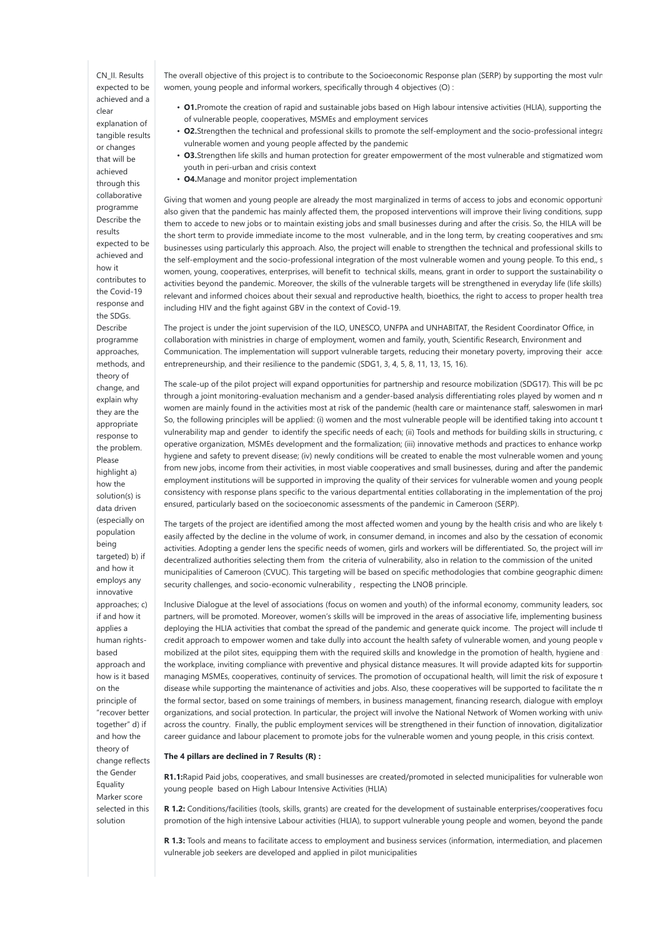CN\_II. Results expected to be achieved and a clear explanation of tangible results or changes that will be achieved through this collaborative programme Describe the results expected to be achieved and how it contributes to the Covid-19 response and the SDGs. Describe programme approaches, methods, and theory of change, and explain why they are the appropriate response to the problem. Please highlight a) how the solution(s) is data driven (especially on population being targeted) b) if and how it employs any innovative approaches; c) if and how it applies a human rightsbased approach and how is it based on the principle of "recover better together" d) if and how the theory of change reflects the Gender Equality Marker score selected in this solution

The overall objective of this project is to contribute to the Socioeconomic Response plan (SERP) by supporting the most vuln women, young people and informal workers, specifically through 4 objectives (O) :

- O1. Promote the creation of rapid and sustainable jobs based on High labour intensive activities (HLIA), supporting the of vulnerable people, cooperatives, MSMEs and employment services
- O2.Strengthen the technical and professional skills to promote the self-employment and the socio-professional integration vulnerable women and young people affected by the pandemic
- O3.Strengthen life skills and human protection for greater empowerment of the most vulnerable and stigmatized wom youth in peri-urban and crisis context
- **O4.** Manage and monitor project implementation

Giving that women and young people are already the most marginalized in terms of access to jobs and economic opportunities also given that the pandemic has mainly affected them, the proposed interventions will improve their living conditions, supp them to accede to new jobs or to maintain existing jobs and small businesses during and after the crisis. So, the HILA will be the short term to provide immediate income to the most vulnerable, and in the long term, by creating cooperatives and small businesses using particularly this approach. Also, the project will enable to strengthen the technical and professional skills to the self-employment and the socio-professional integration of the most vulnerable women and young people. To this end,, s women, young, cooperatives, enterprises, will benefit to technical skills, means, grant in order to support the sustainability o activities beyond the pandemic. Moreover, the skills of the vulnerable targets will be strengthened in everyday life (life skills) relevant and informed choices about their sexual and reproductive health, bioethics, the right to access to proper health trea including HIV and the fight against GBV in the context of Covid-19.

The project is under the joint supervision of the ILO, UNESCO, UNFPA and UNHABITAT, the Resident Coordinator Office, in collaboration with ministries in charge of employment, women and family, youth, Scientific Research, Environment and Communication. The implementation will support vulnerable targets, reducing their monetary poverty, improving their acces entrepreneurship, and their resilience to the pandemic (SDG1, 3, 4, 5, 8, 11, 13, 15, 16).

The scale-up of the pilot project will expand opportunities for partnership and resource mobilization (SDG17). This will be pc through a joint monitoring-evaluation mechanism and a gender-based analysis differentiating roles played by women and m women are mainly found in the activities most at risk of the pandemic (health care or maintenance staff, saleswomen in marl So, the following principles will be applied: (i) women and the most vulnerable people will be identified taking into account t vulnerability map and gender to identify the specific needs of each; (ii) Tools and methods for building skills in structuring, c operative organization, MSMEs development and the formalization; (iii) innovative methods and practices to enhance workplace hygiene and safety to prevent disease; (iv) newly conditions will be created to enable the most vulnerable women and young from new jobs, income from their activities, in most viable cooperatives and small businesses, during and after the pandemic employment institutions will be supported in improving the quality of their services for vulnerable women and young people consistency with response plans specific to the various departmental entities collaborating in the implementation of the proj ensured, particularly based on the socioeconomic assessments of the pandemic in Cameroon (SERP).

The targets of the project are identified among the most affected women and young by the health crisis and who are likely to easily affected by the decline in the volume of work, in consumer demand, in incomes and also by the cessation of economic activities. Adopting a gender lens the specific needs of women, girls and workers will be differentiated. So, the project will in decentralized authorities selecting them from the criteria of vulnerability, also in relation to the commission of the united municipalities of Cameroon (CVUC). This targeting will be based on specific methodologies that combine geographic dimension, security challenges, and socio-economic vulnerability , respecting the LNOB principle.

Inclusive Dialogue at the level of associations (focus on women and youth) of the informal economy, community leaders, soc partners, will be promoted. Moreover, women's skills will be improved in the areas of associative life, implementing business deploying the HLIA activities that combat the spread of the pandemic and generate quick income. The project will include the credit approach to empower women and take dully into account the health safety of vulnerable women, and young people v mobilized at the pilot sites, equipping them with the required skills and knowledge in the promotion of health, hygiene and safety in the promotion of health, hygiene and safety in the required skills and knowledge in the the workplace, inviting compliance with preventive and physical distance measures. It will provide adapted kits for supportin managing MSMEs, cooperatives, continuity of services. The promotion of occupational health, will limit the risk of exposure t disease while supporting the maintenance of activities and jobs. Also, these cooperatives will be supported to facilitate the m the formal sector, based on some trainings of members, in business management, financing research, dialogue with employe organizations, and social protection. In particular, the project will involve the National Network of Women working with university across the country. Finally, the public employment services will be strengthened in their function of innovation, digitalizatior career guidance and labour placement to promote jobs for the vulnerable women and young people, in this crisis context.

### The 4 pillars are declined in 7 Results (R) :

R1.1:Rapid Paid jobs, cooperatives, and small businesses are created/promoted in selected municipalities for vulnerable won young people based on High Labour Intensive Activities (HLIA)

R 1.2: Conditions/facilities (tools, skills, grants) are created for the development of sustainable enterprises/cooperatives focu promotion of the high intensive Labour activities (HLIA), to support vulnerable young people and women, beyond the pande

R 1.3: Tools and means to facilitate access to employment and business services (information, intermediation, and placement vulnerable job seekers are developed and applied in pilot municipalities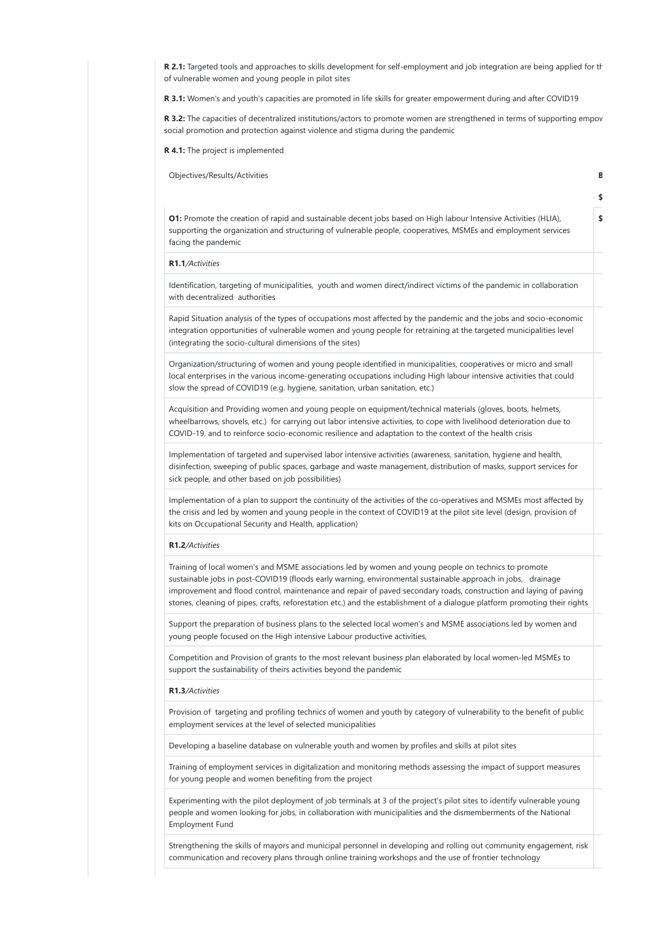R 2.1: Targeted tools and approaches to skills development for self-employment and job integration are being applied for the of vulnerable women and young people in pilot sites

R 3.1: Women's and youth's capacities are promoted in life skills for greater empowerment during and after COVID19

R 3.2: The capacities of decentralized institutions/actors to promote women are strengthened in terms of supporting empov social promotion and protection against violence and stigma during the pandemic

R 4.1: The project is implemented

Objectives/Results/Activities **Budget and Containers** Budget and Containers and Containers and Containers **Budget and Containers** 

O1: Promote the creation of rapid and sustainable decent jobs based on High labour Intensive Activities (HLIA), supporting the organization and structuring of vulnerable people, cooperatives, MSMEs and employment services facing the pandemic

\$1000,000

\$270,000

### R1.1/Activities

Identification, targeting of municipalities, youth and women direct/indirect victims of the pandemic in collaboration with decentralized authorities

Rapid Situation analysis of the types of occupations most affected by the pandemic and the jobs and socio-economic integration opportunities of vulnerable women and young people for retraining at the targeted municipalities level (integrating the socio-cultural dimensions of the sites)

Organization/structuring of women and young people identified in municipalities, cooperatives or micro and small local enterprises in the various income-generating occupations including High labour intensive activities that could slow the spread of COVID19 (e.g. hygiene, sanitation, urban sanitation, etc.)

Acquisition and Providing women and young people on equipment/technical materials (gloves, boots, helmets, wheelbarrows, shovels, etc.) for carrying out labor intensive activities, to cope with livelihood deterioration due to COVID-19, and to reinforce socio-economic resilience and adaptation to the context of the health crisis

Implementation of targeted and supervised labor intensive activities (awareness, sanitation, hygiene and health, disinfection, sweeping of public spaces, garbage and waste management, distribution of masks, support services for sick people, and other based on job possibilities)

Implementation of a plan to support the continuity of the activities of the co-operatives and MSMEs most affected by the crisis and led by women and young people in the context of COVID19 at the pilot site level (design, provision of kits on Occupational Security and Health, application)

#### R1.2/Activities

Training of local women's and MSME associations led by women and young people on technics to promote sustainable jobs in post-COVID19 (floods early warning, environmental sustainable approach in jobs, drainage improvement and flood control, maintenance and repair of paved secondary roads, construction and laying of paving stones, cleaning of pipes, crafts, reforestation etc.) and the establishment of a dialogue platform promoting their rights

Support the preparation of business plans to the selected local women's and MSME associations led by women and young people focused on the High intensive Labour productive activities,

Competition and Provision of grants to the most relevant business plan elaborated by local women-led MSMEs to support the sustainability of theirs activities beyond the pandemic

### R1.3/Activities

Provision of targeting and profiling technics of women and youth by category of vulnerability to the benefit of public employment services at the level of selected municipalities

Developing a baseline database on vulnerable youth and women by profiles and skills at pilot sites

Training of employment services in digitalization and monitoring methods assessing the impact of support measures for young people and women benefiting from the project

Experimenting with the pilot deployment of job terminals at 3 of the project's pilot sites to identify vulnerable young people and women looking for jobs, in collaboration with municipalities and the dismemberments of the National Employment Fund

Strengthening the skills of mayors and municipal personnel in developing and rolling out community engagement, risk communication and recovery plans through online training workshops and the use of frontier technology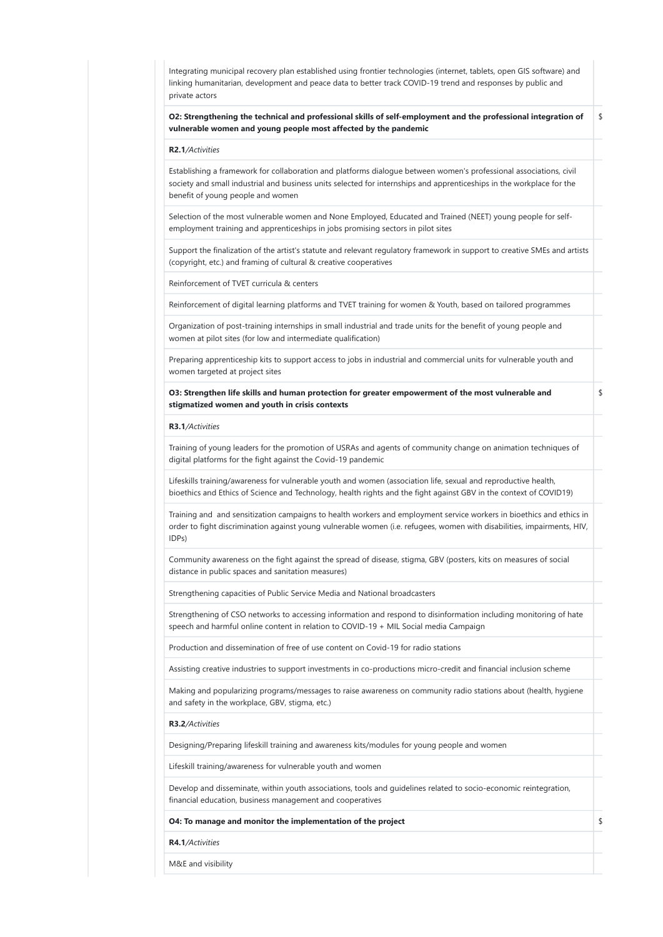| Integrating municipal recovery plan established using frontier technologies (internet, tablets, open GIS software) and<br>linking humanitarian, development and peace data to better track COVID-19 trend and responses by public and<br>private actors                          |    |
|----------------------------------------------------------------------------------------------------------------------------------------------------------------------------------------------------------------------------------------------------------------------------------|----|
| O2: Strengthening the technical and professional skills of self-employment and the professional integration of<br>vulnerable women and young people most affected by the pandemic                                                                                                | \$ |
| R2.1/Activities                                                                                                                                                                                                                                                                  |    |
| Establishing a framework for collaboration and platforms dialogue between women's professional associations, civil<br>society and small industrial and business units selected for internships and apprenticeships in the workplace for the<br>benefit of young people and women |    |
| Selection of the most vulnerable women and None Employed, Educated and Trained (NEET) young people for self-<br>employment training and apprenticeships in jobs promising sectors in pilot sites                                                                                 |    |
| Support the finalization of the artist's statute and relevant regulatory framework in support to creative SMEs and artists<br>(copyright, etc.) and framing of cultural & creative cooperatives                                                                                  |    |
| Reinforcement of TVET curricula & centers                                                                                                                                                                                                                                        |    |
| Reinforcement of digital learning platforms and TVET training for women & Youth, based on tailored programmes                                                                                                                                                                    |    |
| Organization of post-training internships in small industrial and trade units for the benefit of young people and<br>women at pilot sites (for low and intermediate qualification)                                                                                               |    |
| Preparing apprenticeship kits to support access to jobs in industrial and commercial units for vulnerable youth and<br>women targeted at project sites                                                                                                                           |    |
| O3: Strengthen life skills and human protection for greater empowerment of the most vulnerable and<br>stigmatized women and youth in crisis contexts                                                                                                                             | \$ |
| R3.1/Activities                                                                                                                                                                                                                                                                  |    |
| Training of young leaders for the promotion of USRAs and agents of community change on animation techniques of<br>digital platforms for the fight against the Covid-19 pandemic                                                                                                  |    |
| Lifeskills training/awareness for vulnerable youth and women (association life, sexual and reproductive health,<br>bioethics and Ethics of Science and Technology, health rights and the fight against GBV in the context of COVID19)                                            |    |
| Training and and sensitization campaigns to health workers and employment service workers in bioethics and ethics in<br>order to fight discrimination against young vulnerable women (i.e. refugees, women with disabilities, impairments, HIV,<br>IDPs)                         |    |
| Community awareness on the fight against the spread of disease, stigma, GBV (posters, kits on measures of social<br>distance in public spaces and sanitation measures)                                                                                                           |    |
| Strengthening capacities of Public Service Media and National broadcasters                                                                                                                                                                                                       |    |
| Strengthening of CSO networks to accessing information and respond to disinformation including monitoring of hate<br>speech and harmful online content in relation to COVID-19 + MIL Social media Campaign                                                                       |    |
| Production and dissemination of free of use content on Covid-19 for radio stations                                                                                                                                                                                               |    |
| Assisting creative industries to support investments in co-productions micro-credit and financial inclusion scheme                                                                                                                                                               |    |
| Making and popularizing programs/messages to raise awareness on community radio stations about (health, hygiene<br>and safety in the workplace, GBV, stigma, etc.)                                                                                                               |    |
| R3.2/Activities                                                                                                                                                                                                                                                                  |    |
| Designing/Preparing lifeskill training and awareness kits/modules for young people and women                                                                                                                                                                                     |    |
| Lifeskill training/awareness for vulnerable youth and women                                                                                                                                                                                                                      |    |
| Develop and disseminate, within youth associations, tools and quidelines related to socio-economic reintegration,<br>financial education, business management and cooperatives                                                                                                   |    |
| O4: To manage and monitor the implementation of the project                                                                                                                                                                                                                      | \$ |
| R4.1/Activities                                                                                                                                                                                                                                                                  |    |
| M&E and visibility                                                                                                                                                                                                                                                               |    |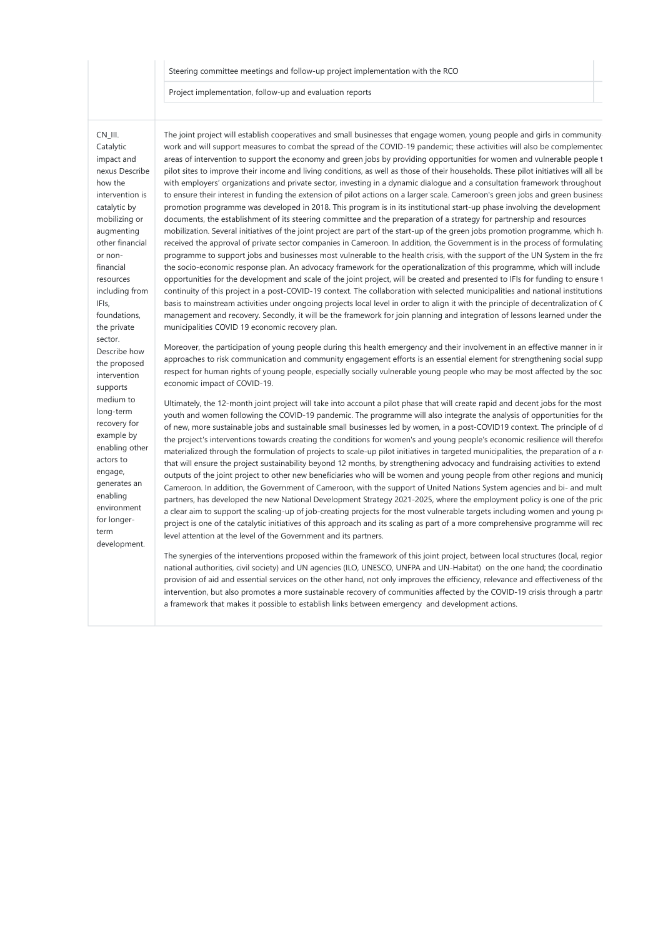### Steering committee meetings and follow-up project implementation with the RCO

Project implementation, follow-up and evaluation reports

## CN\_III.

Catalytic impact and nexus Describe how the intervention is catalytic by mobilizing or augmenting other financial or nonfinancial resources including from IFIs, foundations, the private sector. Describe how the proposed intervention supports medium to long-term recovery for example by enabling other actors to engage, generates an enabling environment for longerterm development.

The joint project will establish cooperatives and small businesses that engage women, young people and girls in communitywork and will support measures to combat the spread of the COVID-19 pandemic; these activities will also be complemented areas of intervention to support the economy and green jobs by providing opportunities for women and vulnerable people t pilot sites to improve their income and living conditions, as well as those of their households. These pilot initiatives will all be with employers' organizations and private sector, investing in a dynamic dialogue and a consultation framework throughout to ensure their interest in funding the extension of pilot actions on a larger scale. Cameroon's green jobs and green business promotion programme was developed in 2018. This program is in its institutional start-up phase involving the development documents, the establishment of its steering committee and the preparation of a strategy for partnership and resources mobilization. Several initiatives of the joint project are part of the start-up of the green jobs promotion programme, which has received the approval of private sector companies in Cameroon. In addition, the Government is in the process of formulating programme to support jobs and businesses most vulnerable to the health crisis, with the support of the UN System in the fra the socio-economic response plan. An advocacy framework for the operationalization of this programme, which will include opportunities for the development and scale of the joint project, will be created and presented to IFIs for funding to ensure the continuity of this project in a post-COVID-19 context. The collaboration with selected municipalities and national institutions basis to mainstream activities under ongoing projects local level in order to align it with the principle of decentralization of C management and recovery. Secondly, it will be the framework for join planning and integration of lessons learned under the municipalities COVID 19 economic recovery plan.

Moreover, the participation of young people during this health emergency and their involvement in an effective manner in ir approaches to risk communication and community engagement efforts is an essential element for strengthening social supp respect for human rights of young people, especially socially vulnerable young people who may be most affected by the soc economic impact of COVID-19.

Ultimately, the 12-month joint project will take into account a pilot phase that will create rapid and decent jobs for the most youth and women following the COVID-19 pandemic. The programme will also integrate the analysis of opportunities for the of new, more sustainable jobs and sustainable small businesses led by women, in a post-COVID19 context. The principle of d the project's interventions towards creating the conditions for women's and young people's economic resilience will therefor materialized through the formulation of projects to scale-up pilot initiatives in targeted municipalities, the preparation of a  $\alpha$ that will ensure the project sustainability beyond 12 months, by strengthening advocacy and fundraising activities to extend outputs of the joint project to other new beneficiaries who will be women and young people from other regions and municipalities Cameroon. In addition, the Government of Cameroon, with the support of United Nations System agencies and bi- and mult partners, has developed the new National Development Strategy 2021-2025, where the employment policy is one of the pric a clear aim to support the scaling-up of job-creating projects for the most vulnerable targets including women and young pe project is one of the catalytic initiatives of this approach and its scaling as part of a more comprehensive programme will rec level attention at the level of the Government and its partners.

The synergies of the interventions proposed within the framework of this joint project, between local structures (local, regior national authorities, civil society) and UN agencies (ILO, UNESCO, UNFPA and UN-Habitat) on the one hand; the coordinatio provision of aid and essential services on the other hand, not only improves the efficiency, relevance and effectiveness of the intervention, but also promotes a more sustainable recovery of communities affected by the COVID-19 crisis through a partn a framework that makes it possible to establish links between emergency and development actions.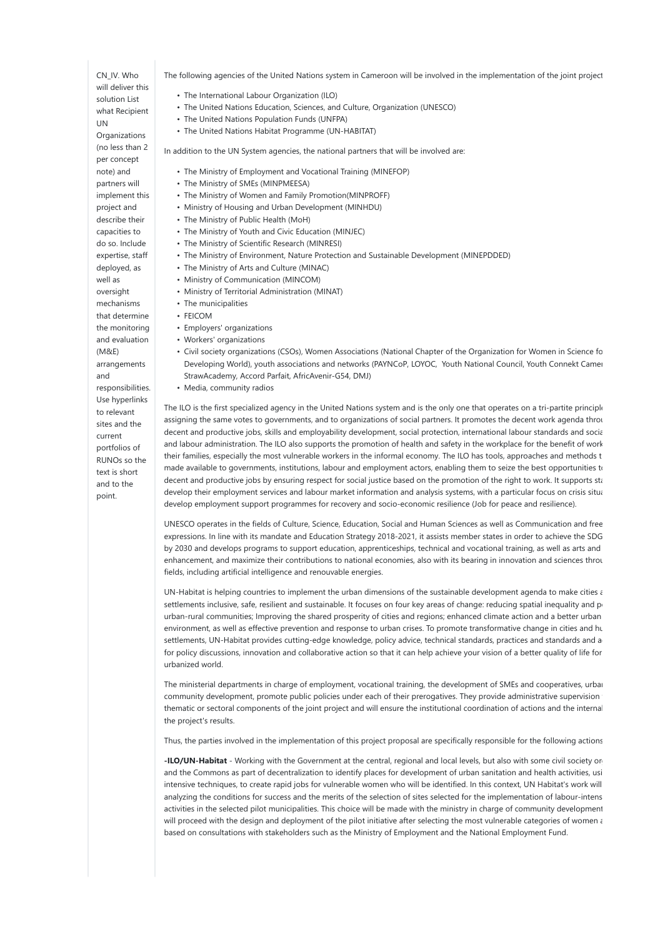CN\_IV. Who will deliver this solution List what Recipient UN **Organizations** (no less than 2 per concept note) and

partners will implement this project and describe their capacities to do so. Include expertise, staff deployed, as well as oversight mechanisms that determine the monitoring and evaluation

(M&E) arrangements and

responsibilities. Use hyperlinks to relevant sites and the current portfolios of RUNOs so the text is short and to the point.

The following agencies of the United Nations system in Cameroon will be involved in the implementation of the joint project:

- The International Labour Organization (ILO)
- The United Nations Education, Sciences, and Culture, Organization (UNESCO)
- The United Nations Population Funds (UNFPA)
- The United Nations Habitat Programme (UN-HABITAT)

In addition to the UN System agencies, the national partners that will be involved are:

- The Ministry of Employment and Vocational Training (MINEFOP)
- The Ministry of SMEs (MINPMEESA)
- The Ministry of Women and Family Promotion(MINPROFF)
- Ministry of Housing and Urban Development (MINHDU)
- The Ministry of Public Health (MoH)
- The Ministry of Youth and Civic Education (MINJEC)
- The Ministry of Scientific Research (MINRESI)
- The Ministry of Environment, Nature Protection and Sustainable Development (MINEPDDED)
- The Ministry of Arts and Culture (MINAC)
- Ministry of Communication (MINCOM)
- Ministry of Territorial Administration (MINAT)
- The municipalities
- FEICOM
- Employers' organizations
- Workers' organizations
- Civil society organizations (CSOs), Women Associations (National Chapter of the Organization for Women in Science for the Developing World), youth associations and networks (PAYNCoP, LOYOC, Youth National Council, Youth Connekt Camer StrawAcademy, Accord Parfait, AfricAvenir-G54, DMJ)
- Media, community radios

The ILO is the first specialized agency in the United Nations system and is the only one that operates on a tri-partite principle assigning the same votes to governments, and to organizations of social partners. It promotes the decent work agenda throu decent and productive jobs, skills and employability development, social protection, international labour standards and social and labour administration. The ILO also supports the promotion of health and safety in the workplace for the benefit of work their families, especially the most vulnerable workers in the informal economy. The ILO has tools, approaches and methods t made available to governments, institutions, labour and employment actors, enabling them to seize the best opportunities to decent and productive jobs by ensuring respect for social justice based on the promotion of the right to work. It supports states develop their employment services and labour market information and analysis systems, with a particular focus on crisis situations to develop employment support programmes for recovery and socio-economic resilience (Job for peace and resilience).

UNESCO operates in the fields of Culture, Science, Education, Social and Human Sciences as well as Communication and free expressions. In line with its mandate and Education Strategy 2018-2021, it assists member states in order to achieve the SDG by 2030 and develops programs to support education, apprenticeships, technical and vocational training, as well as arts and enhancement, and maximize their contributions to national economies, also with its bearing in innovation and sciences throu fields, including artificial intelligence and renouvable energies.

UN-Habitat is helping countries to implement the urban dimensions of the sustainable development agenda to make cities and humann subsettlements inclusive, safe, resilient and sustainable. It focuses on four key areas of change: reducing spatial inequality and po urban-rural communities; Improving the shared prosperity of cities and regions; enhanced climate action and a better urban environment, as well as effective prevention and response to urban crises. To promote transformative change in cities and human settlements, UN-Habitat provides cutting-edge knowledge, policy advice, technical standards, practices and standards and a for policy discussions, innovation and collaborative action so that it can help achieve your vision of a better quality of life for urbanized world.

The ministerial departments in charge of employment, vocational training, the development of SMEs and cooperatives, urban community development, promote public policies under each of their prerogatives. They provide administrative supervision thematic or sectoral components of the joint project and will ensure the institutional coordination of actions and the internal the project's results.

Thus, the parties involved in the implementation of this project proposal are specifically responsible for the following actions:

-ILO/UN-Habitat - Working with the Government at the central, regional and local levels, but also with some civil society or and the Commons as part of decentralization to identify places for development of urban sanitation and health activities, usi intensive techniques, to create rapid jobs for vulnerable women who will be identified. In this context, UN Habitat's work will analyzing the conditions for success and the merits of the selection of sites selected for the implementation of labour-intens activities in the selected pilot municipalities. This choice will be made with the ministry in charge of community development will proceed with the design and deployment of the pilot initiative after selecting the most vulnerable categories of women and girls. based on consultations with stakeholders such as the Ministry of Employment and the National Employment Fund.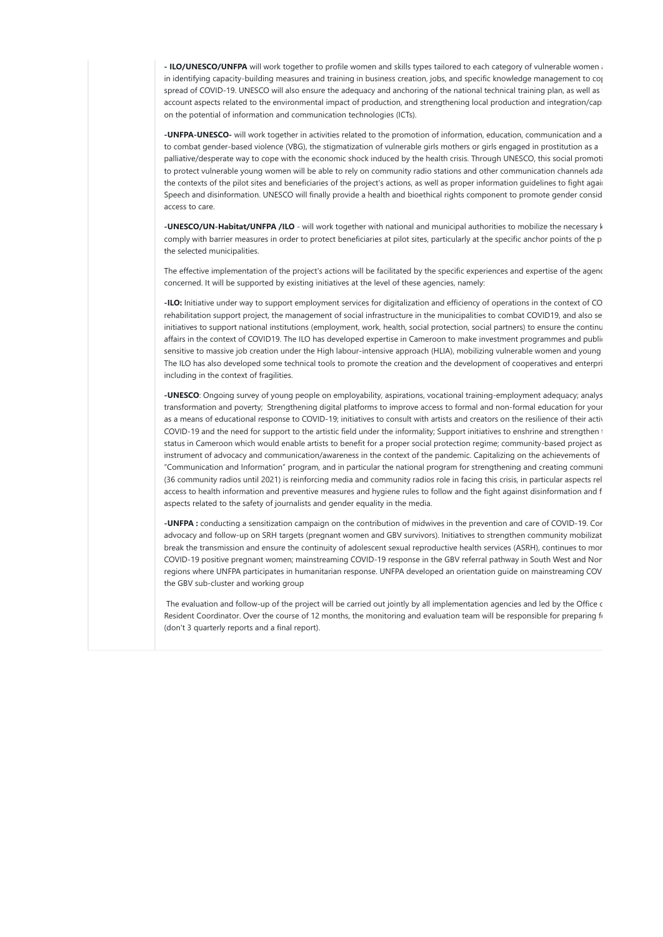- ILO/UNESCO/UNFPA will work together to profile women and skills types tailored to each category of vulnerable women and in identifying capacity-building measures and training in business creation, jobs, and specific knowledge management to cop spread of COVID-19. UNESCO will also ensure the adequacy and anchoring of the national technical training plan, as well as account aspects related to the environmental impact of production, and strengthening local production and integration/capi on the potential of information and communication technologies (ICTs).

-UNFPA-UNESCO- will work together in activities related to the promotion of information, education, communication and a to combat gender-based violence (VBG), the stigmatization of vulnerable girls mothers or girls engaged in prostitution as a palliative/desperate way to cope with the economic shock induced by the health crisis. Through UNESCO, this social promoti to protect vulnerable young women will be able to rely on community radio stations and other communication channels ada the contexts of the pilot sites and beneficiaries of the project's actions, as well as proper information guidelines to fight again Speech and disinformation. UNESCO will finally provide a health and bioethical rights component to promote gender consid access to care.

-UNESCO/UN-Habitat/UNFPA /ILO - will work together with national and municipal authorities to mobilize the necessary k comply with barrier measures in order to protect beneficiaries at pilot sites, particularly at the specific anchor points of the p the selected municipalities.

The effective implementation of the project's actions will be facilitated by the specific experiences and expertise of the agenc concerned. It will be supported by existing initiatives at the level of these agencies, namely:

-ILO: Initiative under way to support employment services for digitalization and efficiency of operations in the context of CO rehabilitation support project, the management of social infrastructure in the municipalities to combat COVID19, and also se initiatives to support national institutions (employment, work, health, social protection, social partners) to ensure the continu affairs in the context of COVID19. The ILO has developed expertise in Cameroon to make investment programmes and public sensitive to massive job creation under the High labour-intensive approach (HLIA), mobilizing vulnerable women and young The ILO has also developed some technical tools to promote the creation and the development of cooperatives and enterpri including in the context of fragilities.

-UNESCO: Ongoing survey of young people on employability, aspirations, vocational training-employment adequacy; analys transformation and poverty; Strengthening digital platforms to improve access to formal and non-formal education for your as a means of educational response to COVID-19; initiatives to consult with artists and creators on the resilience of their activ COVID-19 and the need for support to the artistic field under the informality; Support initiatives to enshrine and strengthen the status in Cameroon which would enable artists to benefit for a proper social protection regime; community-based project as instrument of advocacy and communication/awareness in the context of the pandemic. Capitalizing on the achievements of "Communication and Information" program, and in particular the national program for strengthening and creating communi (36 community radios until 2021) is reinforcing media and community radios role in facing this crisis, in particular aspects rel access to health information and preventive measures and hygiene rules to follow and the fight against disinformation and  $f$ aspects related to the safety of journalists and gender equality in the media.

-UNFPA: conducting a sensitization campaign on the contribution of midwives in the prevention and care of COVID-19. Cor advocacy and follow-up on SRH targets (pregnant women and GBV survivors). Initiatives to strengthen community mobilizat break the transmission and ensure the continuity of adolescent sexual reproductive health services (ASRH), continues to mor COVID-19 positive pregnant women; mainstreaming COVID-19 response in the GBV referral pathway in South West and Nor regions where UNFPA participates in humanitarian response. UNFPA developed an orientation guide on mainstreaming COV the GBV sub-cluster and working group

The evaluation and follow-up of the project will be carried out jointly by all implementation agencies and led by the Office c Resident Coordinator. Over the course of 12 months, the monitoring and evaluation team will be responsible for preparing for (don't 3 quarterly reports and a final report).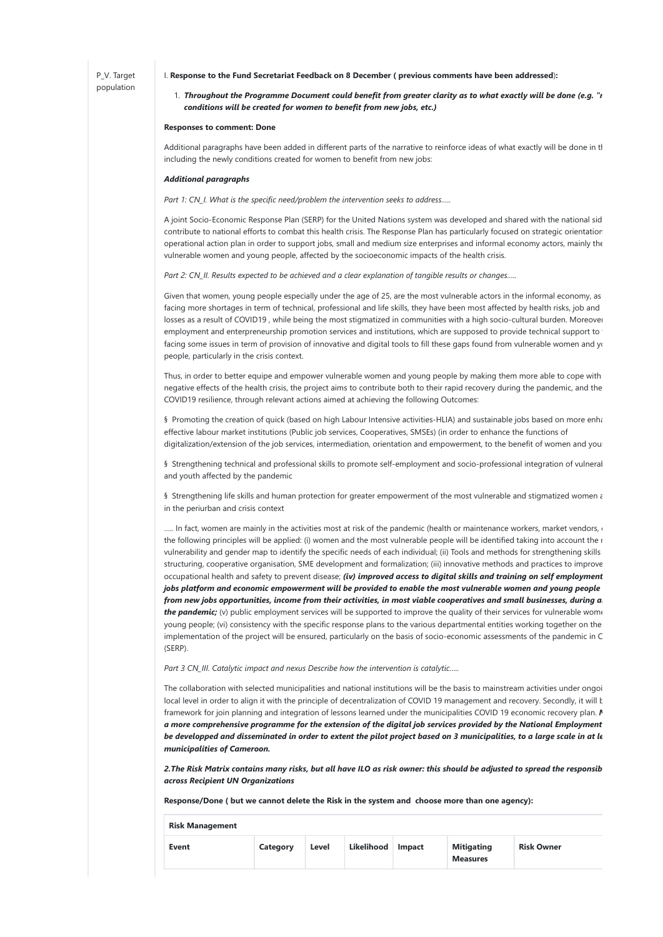#### I. Response to the Fund Secretariat Feedback on 8 December ( previous comments have been addressed):

### 1. Throughout the Programme Document could benefit from greater clarity as to what exactly will be done (e.g. "r conditions will be created for women to benefit from new jobs, etc.)

### Responses to comment: Done

Additional paragraphs have been added in different parts of the narrative to reinforce ideas of what exactly will be done in tl including the newly conditions created for women to benefit from new jobs:

### Additional paragraphs

Part 1: CN\_I. What is the specific need/problem the intervention seeks to address.....

A joint Socio-Economic Response Plan (SERP) for the United Nations system was developed and shared with the national sid contribute to national efforts to combat this health crisis. The Response Plan has particularly focused on strategic orientation operational action plan in order to support jobs, small and medium size enterprises and informal economy actors, mainly the vulnerable women and young people, affected by the socioeconomic impacts of the health crisis.

Part 2: CN\_II. Results expected to be achieved and a clear explanation of tangible results or changes.....

Given that women, young people especially under the age of 25, are the most vulnerable actors in the informal economy, as facing more shortages in term of technical, professional and life skills, they have been most affected by health risks, job and losses as a result of COVID19, while being the most stigmatized in communities with a high socio-cultural burden. Moreover employment and enterpreneurship promotion services and institutions, which are supposed to provide technical support to facing some issues in term of provision of innovative and digital tools to fill these gaps found from vulnerable women and young people, particularly in the crisis context.

Thus, in order to better equipe and empower vulnerable women and young people by making them more able to cope with negative effects of the health crisis, the project aims to contribute both to their rapid recovery during the pandemic, and the COVID19 resilience, through relevant actions aimed at achieving the following Outcomes:

§ Promoting the creation of quick (based on high Labour Intensive activities-HLIA) and sustainable jobs based on more enha effective labour market institutions (Public job services, Cooperatives, SMSEs) (in order to enhance the functions of digitalization/extension of the job services, intermediation, orientation and empowerment, to the benefit of women and you

§ Strengthening technical and professional skills to promote self-employment and socio-professional integration of vulneral and youth affected by the pandemic

§ Strengthening life skills and human protection for greater empowerment of the most vulnerable and stigmatized women a in the periurban and crisis context

..... In fact, women are mainly in the activities most at risk of the pandemic (health or maintenance workers, market vendors, etc.). the following principles will be applied: (i) women and the most vulnerable people will be identified taking into account the r vulnerability and gender map to identify the specific needs of each individual; (ii) Tools and methods for strengthening skills structuring, cooperative organisation, SME development and formalization; (iii) innovative methods and practices to improve occupational health and safety to prevent disease; (iv) improved access to digital skills and training on self employment jobs platform and economic empowerment will be provided to enable the most vulnerable women and young people from new jobs opportunities, income from their activities, in most viable cooperatives and small businesses, during a the pandemic; (v) public employment services will be supported to improve the quality of their services for vulnerable women young people; (vi) consistency with the specific response plans to the various departmental entities working together on the implementation of the project will be ensured, particularly on the basis of socio-economic assessments of the pandemic in C (SERP).

Part 3 CN\_III. Catalytic impact and nexus Describe how the intervention is catalytic.....

The collaboration with selected municipalities and national institutions will be the basis to mainstream activities under ongoi local level in order to align it with the principle of decentralization of COVID 19 management and recovery. Secondly, it will be the framework for join planning and integration of lessons learned under the municipalities COVID 19 economic recovery plan.  $\Lambda$ a more comprehensive programme for the extension of the digital job services provided by the National Employment be developped and disseminated in order to extent the pilot project based on 3 municipalities, to a large scale in at le municipalities of Cameroon.

2. The Risk Matrix contains many risks, but all have ILO as risk owner: this should be adjusted to spread the responsib across Recipient UN Organizations

Response/Done ( but we cannot delete the Risk in the system and choose more than one agency):

| <b>Risk Management</b> |          |       |            |               |                                      |                   |
|------------------------|----------|-------|------------|---------------|--------------------------------------|-------------------|
| <b>Event</b>           | Category | Level | Likelihood | <b>Impact</b> | <b>Mitigating</b><br><b>Measures</b> | <b>Risk Owner</b> |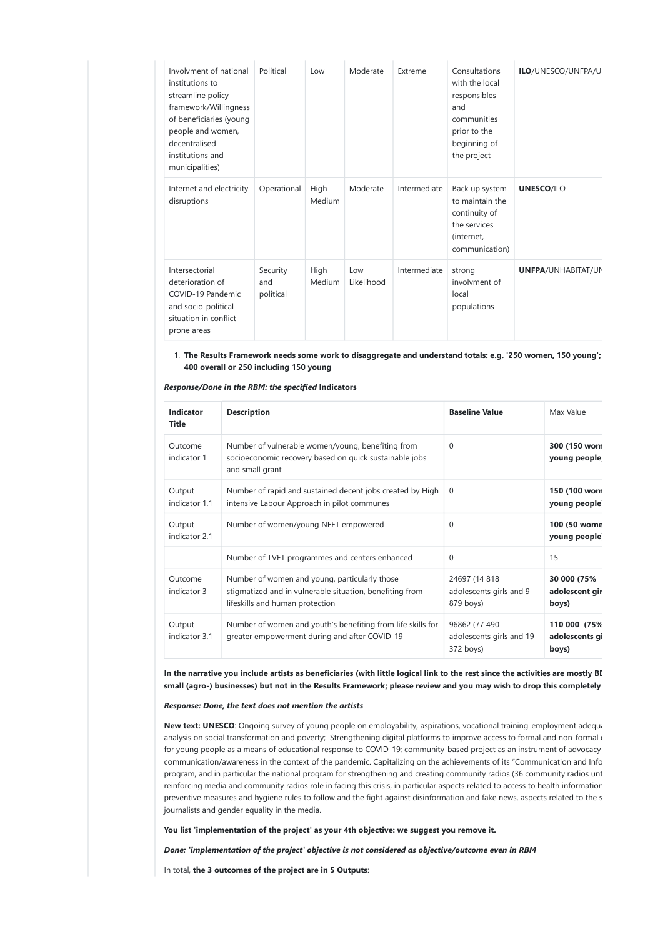| Involvment of national<br>institutions to<br>streamline policy<br>framework/Willingness<br>of beneficiaries (young<br>people and women,<br>decentralised<br>institutions and<br>municipalities) | Political                    | Low            | Moderate          | Extreme      | Consultations<br>with the local<br>responsibles<br>and<br>communities<br>prior to the<br>beginning of<br>the project | <b>ILO/UNESCO/UNFPA/UI</b> |
|-------------------------------------------------------------------------------------------------------------------------------------------------------------------------------------------------|------------------------------|----------------|-------------------|--------------|----------------------------------------------------------------------------------------------------------------------|----------------------------|
| Internet and electricity<br>disruptions                                                                                                                                                         | Operational                  | High<br>Medium | Moderate          | Intermediate | Back up system<br>to maintain the<br>continuity of<br>the services<br>(internet,<br>communication)                   | <b>UNESCO/ILO</b>          |
| Intersectorial<br>deterioration of<br>COVID-19 Pandemic<br>and socio-political<br>situation in conflict-<br>prone areas                                                                         | Security<br>and<br>political | High<br>Medium | Low<br>Likelihood | Intermediate | strong<br>involvment of<br>local<br>populations                                                                      | <b>UNFPA/UNHABITAT/UN</b>  |

1. The Results Framework needs some work to disaggregate and understand totals: e.g. '250 women, 150 young'; 400 overall or 250 including 150 young

Response/Done in the RBM: the specified Indicators

| Indicator<br><b>Title</b> | <b>Description</b>                                                                                                                           | <b>Baseline Value</b>                                  | Max Value                               |
|---------------------------|----------------------------------------------------------------------------------------------------------------------------------------------|--------------------------------------------------------|-----------------------------------------|
| Outcome<br>indicator 1    | Number of vulnerable women/young, benefiting from<br>socioeconomic recovery based on quick sustainable jobs<br>and small grant               | $\Omega$                                               | 300 (150 wom<br>young people)           |
| Output<br>indicator 1.1   | Number of rapid and sustained decent jobs created by High<br>intensive Labour Approach in pilot communes                                     | $\Omega$                                               | 150 (100 wom<br>young people)           |
| Output<br>indicator 2.1   | Number of women/young NEET empowered                                                                                                         | $\Omega$                                               | 100 (50 wome<br>young people)           |
|                           | Number of TVET programmes and centers enhanced                                                                                               | $\Omega$                                               | 15                                      |
| Outcome<br>indicator 3    | Number of women and young, particularly those<br>stigmatized and in vulnerable situation, benefiting from<br>lifeskills and human protection | 24697 (14 818<br>adolescents girls and 9<br>879 boys)  | 30 000 (75%<br>adolescent gir<br>boys)  |
| Output<br>indicator 3.1   | Number of women and youth's benefiting from life skills for<br>greater empowerment during and after COVID-19                                 | 96862 (77 490<br>adolescents girls and 19<br>372 boys) | 110 000 (75%<br>adolescents gi<br>boys) |

In the narrative you include artists as beneficiaries (with little logical link to the rest since the activities are mostly BI small (agro-) businesses) but not in the Results Framework; please review and you may wish to drop this completely

### Response: Done, the text does not mention the artists

New text: UNESCO: Ongoing survey of young people on employability, aspirations, vocational training-employment adequa analysis on social transformation and poverty; Strengthening digital platforms to improve access to formal and non-formal  $\epsilon$ for young people as a means of educational response to COVID-19; community-based project as an instrument of advocacy communication/awareness in the context of the pandemic. Capitalizing on the achievements of its "Communication and Info program, and in particular the national program for strengthening and creating community radios (36 community radios unt reinforcing media and community radios role in facing this crisis, in particular aspects related to access to health information preventive measures and hygiene rules to follow and the fight against disinformation and fake news, aspects related to the s journalists and gender equality in the media.

You list 'implementation of the project' as your 4th objective: we suggest you remove it.

Done: 'implementation of the project' objective is not considered as objective/outcome even in RBM

In total, the 3 outcomes of the project are in 5 Outputs: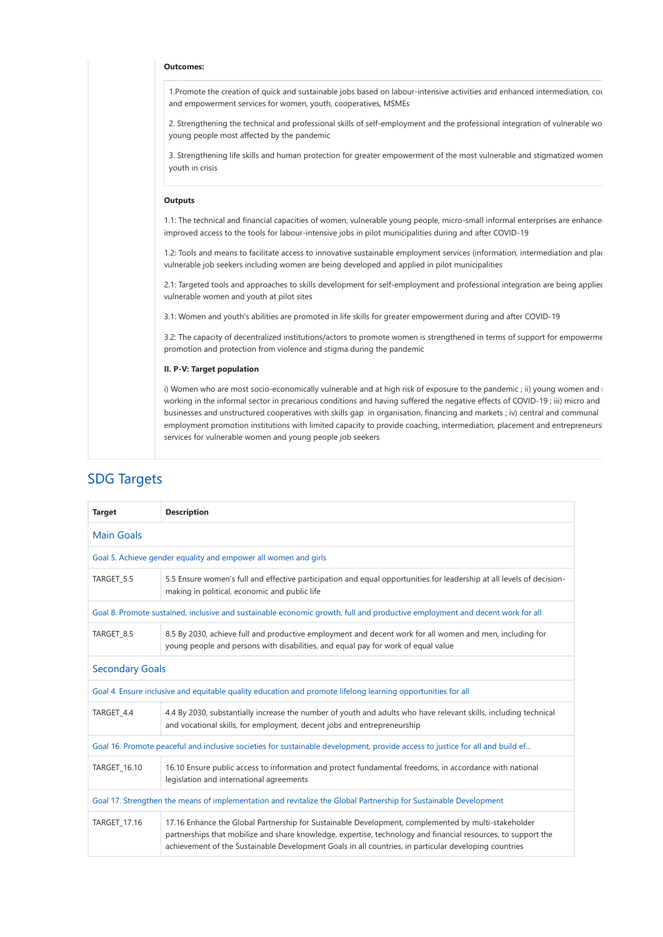### Outcomes:

1.Promote the creation of quick and sustainable jobs based on labour-intensive activities and enhanced intermediation, coun and empowerment services for women, youth, cooperatives, MSMEs

2. Strengthening the technical and professional skills of self-employment and the professional integration of vulnerable wo young people most affected by the pandemic

3. Strengthening life skills and human protection for greater empowerment of the most vulnerable and stigmatized women youth in crisis

### **Outputs**

1.1: The technical and financial capacities of women, vulnerable young people, micro-small informal enterprises are enhance improved access to the tools for labour-intensive jobs in pilot municipalities during and after COVID-19

1.2: Tools and means to facilitate access to innovative sustainable employment services (information, intermediation and plac vulnerable job seekers including women are being developed and applied in pilot municipalities

2.1: Targeted tools and approaches to skills development for self-employment and professional integration are being applied vulnerable women and youth at pilot sites

3.1: Women and youth's abilities are promoted in life skills for greater empowerment during and after COVID-19

3.2: The capacity of decentralized institutions/actors to promote women is strengthened in terms of support for empowerme promotion and protection from violence and stigma during the pandemic

### II. P-V: Target population

i) Women who are most socio-economically vulnerable and at high risk of exposure to the pandemic ; ii) young women and  $\pm$ working in the informal sector in precarious conditions and having suffered the negative effects of COVID-19 ; iii) micro and businesses and unstructured cooperatives with skills gap in organisation, financing and markets ; iv) central and communal employment promotion institutions with limited capacity to provide coaching, intermediation, placement and entrepreneurs services for vulnerable women and young people job seekers

| <b>Target</b>                                                                                                     | <b>Description</b>                                                                                                                                                                                                                                                                                                            |  |  |  |
|-------------------------------------------------------------------------------------------------------------------|-------------------------------------------------------------------------------------------------------------------------------------------------------------------------------------------------------------------------------------------------------------------------------------------------------------------------------|--|--|--|
| <b>Main Goals</b>                                                                                                 |                                                                                                                                                                                                                                                                                                                               |  |  |  |
|                                                                                                                   | Goal 5. Achieve gender equality and empower all women and girls                                                                                                                                                                                                                                                               |  |  |  |
| TARGET 5.5                                                                                                        | 5.5 Ensure women's full and effective participation and equal opportunities for leadership at all levels of decision-<br>making in political, economic and public life                                                                                                                                                        |  |  |  |
|                                                                                                                   | Goal 8. Promote sustained, inclusive and sustainable economic growth, full and productive employment and decent work for all                                                                                                                                                                                                  |  |  |  |
| TARGET_8.5                                                                                                        | 8.5 By 2030, achieve full and productive employment and decent work for all women and men, including for<br>young people and persons with disabilities, and equal pay for work of equal value                                                                                                                                 |  |  |  |
| <b>Secondary Goals</b>                                                                                            |                                                                                                                                                                                                                                                                                                                               |  |  |  |
|                                                                                                                   | Goal 4. Ensure inclusive and equitable quality education and promote lifelong learning opportunities for all                                                                                                                                                                                                                  |  |  |  |
| TARGET_4.4                                                                                                        | 4.4 By 2030, substantially increase the number of youth and adults who have relevant skills, including technical<br>and vocational skills, for employment, decent jobs and entrepreneurship                                                                                                                                   |  |  |  |
|                                                                                                                   | Goal 16. Promote peaceful and inclusive societies for sustainable development, provide access to justice for all and build ef                                                                                                                                                                                                 |  |  |  |
| TARGET_16.10                                                                                                      | 16.10 Ensure public access to information and protect fundamental freedoms, in accordance with national<br>legislation and international agreements                                                                                                                                                                           |  |  |  |
| Goal 17. Strengthen the means of implementation and revitalize the Global Partnership for Sustainable Development |                                                                                                                                                                                                                                                                                                                               |  |  |  |
| TARGET_17.16                                                                                                      | 17.16 Enhance the Global Partnership for Sustainable Development, complemented by multi-stakeholder<br>partnerships that mobilize and share knowledge, expertise, technology and financial resources, to support the<br>achievement of the Sustainable Development Goals in all countries, in particular developing countries |  |  |  |

## SDG Targets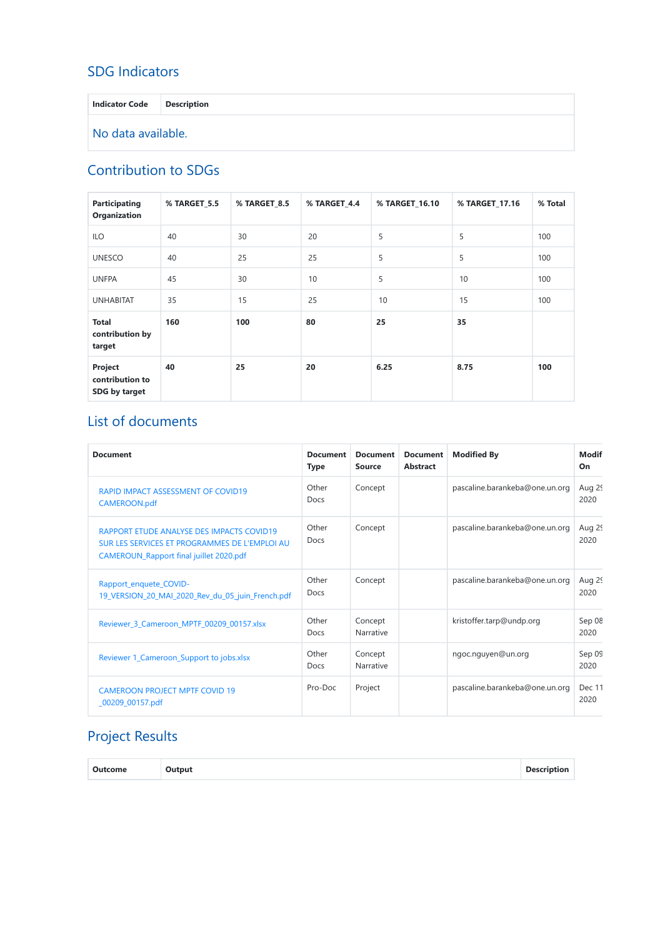# SDG Indicators

Indicator Code Description No data available.

# Contribution to SDGs

| Participating<br>Organization               | % TARGET 5.5 | % TARGET 8.5 | % TARGET 4.4 | % TARGET 16.10 | % TARGET 17.16 | % Total |
|---------------------------------------------|--------------|--------------|--------------|----------------|----------------|---------|
| <b>ILO</b>                                  | 40           | 30           | 20           | 5              | 5              | 100     |
| <b>UNESCO</b>                               | 40           | 25           | 25           | 5              | 5              | 100     |
| <b>UNFPA</b>                                | 45           | 30           | 10           | 5              | 10             | 100     |
| <b>UNHABITAT</b>                            | 35           | 15           | 25           | 10             | 15             | 100     |
| <b>Total</b><br>contribution by<br>target   | 160          | 100          | 80           | 25             | 35             |         |
| Project<br>contribution to<br>SDG by target | 40           | 25           | 20           | 6.25           | 8.75           | 100     |

# List of documents

| <b>Document</b>                                                                                                                       | <b>Document</b><br><b>Type</b> | <b>Document</b><br><b>Source</b> | <b>Document</b><br><b>Abstract</b> | <b>Modified By</b>             | Modif<br>On    |
|---------------------------------------------------------------------------------------------------------------------------------------|--------------------------------|----------------------------------|------------------------------------|--------------------------------|----------------|
| <b>RAPID IMPACT ASSESSMENT OF COVID19</b><br>CAMEROON.pdf                                                                             | Other<br>Docs                  | Concept                          |                                    | pascaline.barankeba@one.un.org | Aug 29<br>2020 |
| RAPPORT ETUDE ANALYSE DES IMPACTS COVID19<br>SUR LES SERVICES ET PROGRAMMES DE L'EMPLOI AU<br>CAMEROUN_Rapport final juillet 2020.pdf | Other<br>Docs                  | Concept                          |                                    | pascaline.barankeba@one.un.org | Aug 29<br>2020 |
| Rapport_enquete_COVID-<br>19_VERSION_20_MAI_2020_Rev_du_05_juin_French.pdf                                                            | Other<br>Docs                  | Concept                          |                                    | pascaline.barankeba@one.un.org | Aug 29<br>2020 |
| Reviewer_3_Cameroon_MPTF_00209_00157.xlsx                                                                                             | Other<br>Docs                  | Concept<br>Narrative             |                                    | kristoffer.tarp@undp.org       | Sep 08<br>2020 |
| Reviewer 1_Cameroon_Support to jobs.xlsx                                                                                              | Other<br>Docs                  | Concept<br>Narrative             |                                    | ngoc.nguyen@un.org             | Sep 09<br>2020 |
| <b>CAMEROON PROJECT MPTF COVID 19</b><br>$_00209_00157.pdf$                                                                           | Pro-Doc                        | Project                          |                                    | pascaline.barankeba@one.un.org | Dec 11<br>2020 |

# Project Results

| Outcome | Output |  | <b>Description</b> |
|---------|--------|--|--------------------|
|---------|--------|--|--------------------|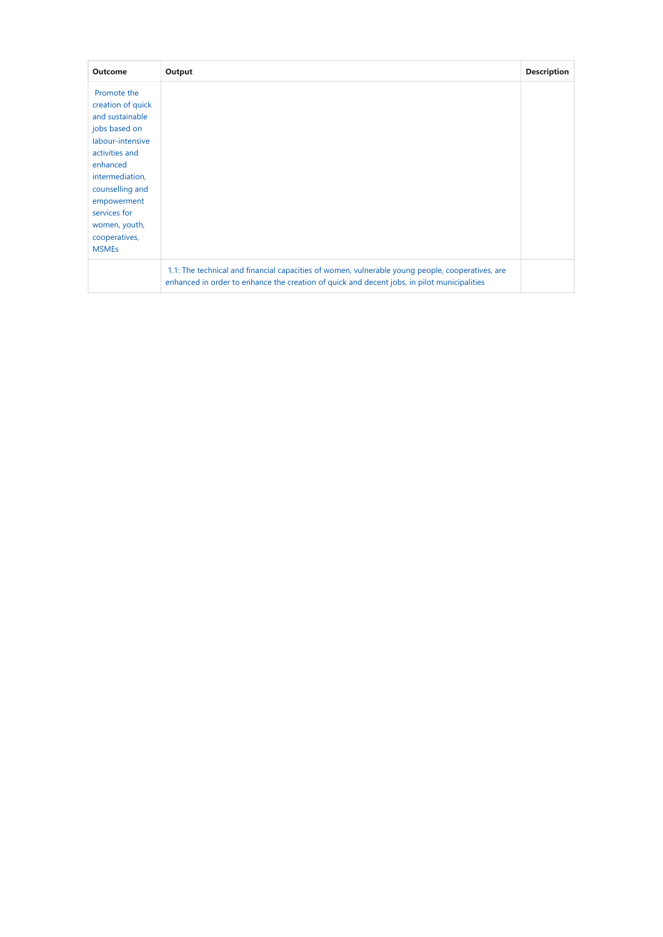| <b>Outcome</b>    | Output                                                                                                                                                                                          | <b>Description</b> |
|-------------------|-------------------------------------------------------------------------------------------------------------------------------------------------------------------------------------------------|--------------------|
| Promote the       |                                                                                                                                                                                                 |                    |
| creation of quick |                                                                                                                                                                                                 |                    |
| and sustainable   |                                                                                                                                                                                                 |                    |
| jobs based on     |                                                                                                                                                                                                 |                    |
| labour-intensive  |                                                                                                                                                                                                 |                    |
| activities and    |                                                                                                                                                                                                 |                    |
| enhanced          |                                                                                                                                                                                                 |                    |
| intermediation,   |                                                                                                                                                                                                 |                    |
| counselling and   |                                                                                                                                                                                                 |                    |
| empowerment       |                                                                                                                                                                                                 |                    |
| services for      |                                                                                                                                                                                                 |                    |
| women, youth,     |                                                                                                                                                                                                 |                    |
| cooperatives,     |                                                                                                                                                                                                 |                    |
| <b>MSMEs</b>      |                                                                                                                                                                                                 |                    |
|                   | 1.1: The technical and financial capacities of women, vulnerable young people, cooperatives, are<br>enhanced in order to enhance the creation of quick and decent jobs, in pilot municipalities |                    |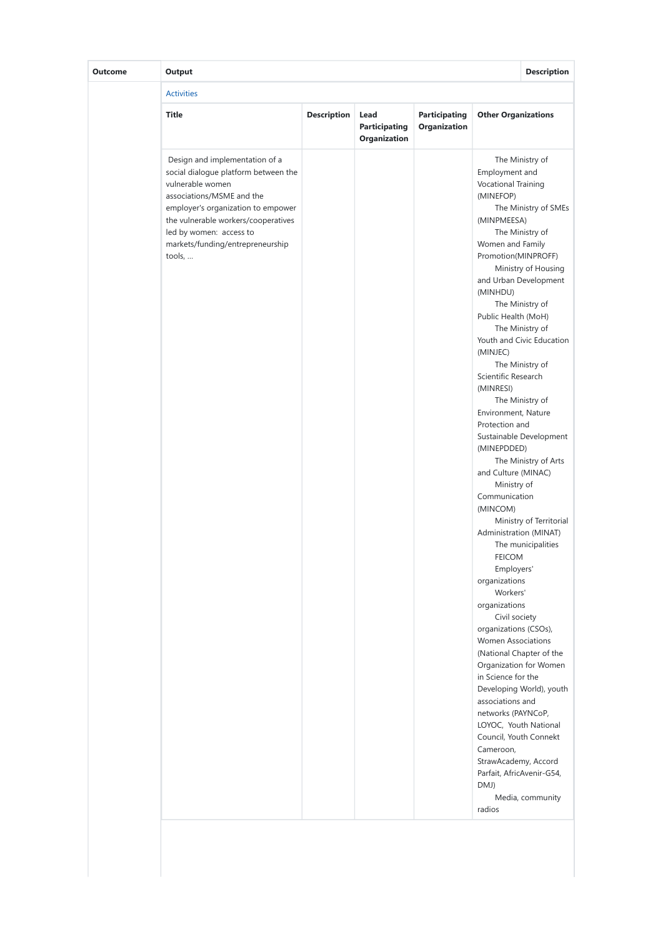| <b>Outcome</b> | Output                                                                                                                                                                                                                                                                        |                    |                                              |                                      |                                                                                                                                                                                                                                                                                                                                                                                                                                                                                                                                                                                                                                                                                                                        | <b>Description</b>                                                                                                                                                                                                                                                                                                                                                                                                            |
|----------------|-------------------------------------------------------------------------------------------------------------------------------------------------------------------------------------------------------------------------------------------------------------------------------|--------------------|----------------------------------------------|--------------------------------------|------------------------------------------------------------------------------------------------------------------------------------------------------------------------------------------------------------------------------------------------------------------------------------------------------------------------------------------------------------------------------------------------------------------------------------------------------------------------------------------------------------------------------------------------------------------------------------------------------------------------------------------------------------------------------------------------------------------------|-------------------------------------------------------------------------------------------------------------------------------------------------------------------------------------------------------------------------------------------------------------------------------------------------------------------------------------------------------------------------------------------------------------------------------|
|                | <b>Activities</b>                                                                                                                                                                                                                                                             |                    |                                              |                                      |                                                                                                                                                                                                                                                                                                                                                                                                                                                                                                                                                                                                                                                                                                                        |                                                                                                                                                                                                                                                                                                                                                                                                                               |
|                | <b>Title</b>                                                                                                                                                                                                                                                                  | <b>Description</b> | Lead<br><b>Participating</b><br>Organization | <b>Participating</b><br>Organization | <b>Other Organizations</b>                                                                                                                                                                                                                                                                                                                                                                                                                                                                                                                                                                                                                                                                                             |                                                                                                                                                                                                                                                                                                                                                                                                                               |
|                | Design and implementation of a<br>social dialogue platform between the<br>vulnerable women<br>associations/MSME and the<br>employer's organization to empower<br>the vulnerable workers/cooperatives<br>led by women: access to<br>markets/funding/entrepreneurship<br>tools, |                    |                                              |                                      | Employment and<br><b>Vocational Training</b><br>(MINEFOP)<br>(MINPMEESA)<br>Women and Family<br>Promotion(MINPROFF)<br>(MINHDU)<br>Public Health (MoH)<br>(MINJEC)<br>Scientific Research<br>(MINRESI)<br>Environment, Nature<br>Protection and<br>(MINEPDDED)<br>and Culture (MINAC)<br>Ministry of<br>Communication<br>(MINCOM)<br>Administration (MINAT)<br><b>FEICOM</b><br>Employers'<br>organizations<br>Workers'<br>organizations<br>Civil society<br>organizations (CSOs),<br><b>Women Associations</b><br>in Science for the<br>associations and<br>networks (PAYNCoP,<br>LOYOC, Youth National<br>Council, Youth Connekt<br>Cameroon,<br>StrawAcademy, Accord<br>Parfait, AfricAvenir-G54,<br>DMJ)<br>radios | The Ministry of<br>The Ministry of SMEs<br>The Ministry of<br>Ministry of Housing<br>and Urban Development<br>The Ministry of<br>The Ministry of<br>Youth and Civic Education<br>The Ministry of<br>The Ministry of<br>Sustainable Development<br>The Ministry of Arts<br>Ministry of Territorial<br>The municipalities<br>(National Chapter of the<br>Organization for Women<br>Developing World), youth<br>Media, community |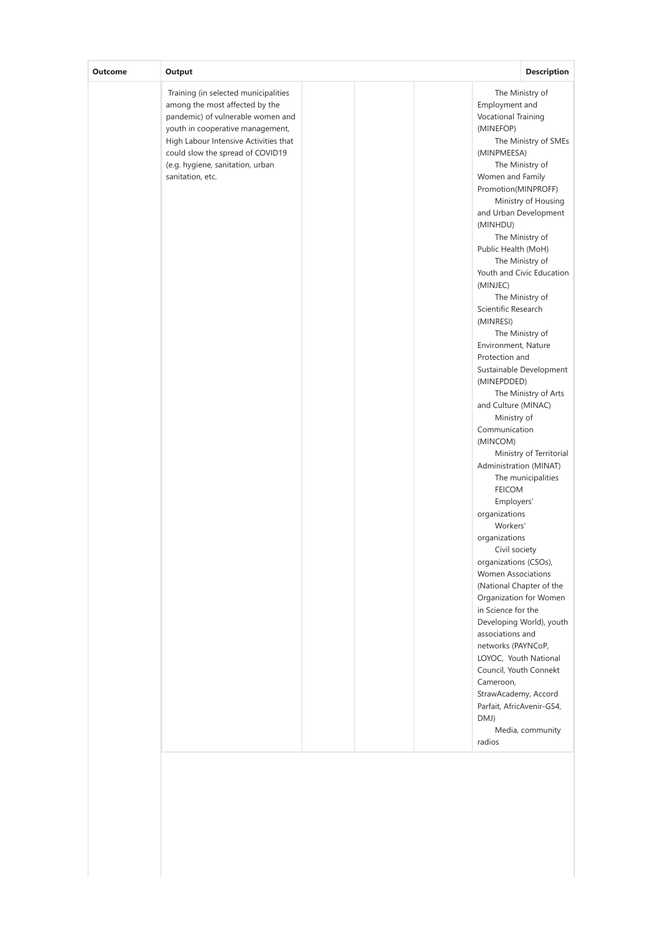| Output<br><b>Outcome</b>                                                                                                                                                                                                                                                             | <b>Description</b>                                                                                                                                                                                                                                                                                                                                                                                                                                                                                                                                                                                                                                                                                                                                                                                                                                                                                                                                                                                                                                                                                                                               |
|--------------------------------------------------------------------------------------------------------------------------------------------------------------------------------------------------------------------------------------------------------------------------------------|--------------------------------------------------------------------------------------------------------------------------------------------------------------------------------------------------------------------------------------------------------------------------------------------------------------------------------------------------------------------------------------------------------------------------------------------------------------------------------------------------------------------------------------------------------------------------------------------------------------------------------------------------------------------------------------------------------------------------------------------------------------------------------------------------------------------------------------------------------------------------------------------------------------------------------------------------------------------------------------------------------------------------------------------------------------------------------------------------------------------------------------------------|
| Training (in selected municipalities<br>among the most affected by the<br>pandemic) of vulnerable women and<br>youth in cooperative management,<br>High Labour Intensive Activities that<br>could slow the spread of COVID19<br>(e.g. hygiene, sanitation, urban<br>sanitation, etc. | The Ministry of<br>Employment and<br>Vocational Training<br>(MINEFOP)<br>The Ministry of SMEs<br>(MINPMEESA)<br>The Ministry of<br>Women and Family<br>Promotion(MINPROFF)<br>Ministry of Housing<br>and Urban Development<br>(MINHDU)<br>The Ministry of<br>Public Health (MoH)<br>The Ministry of<br>Youth and Civic Education<br>(MINJEC)<br>The Ministry of<br>Scientific Research<br>(MINRESI)<br>The Ministry of<br>Environment, Nature<br>Protection and<br>Sustainable Development<br>(MINEPDDED)<br>The Ministry of Arts<br>and Culture (MINAC)<br>Ministry of<br>Communication<br>(MINCOM)<br>Ministry of Territorial<br>Administration (MINAT)<br>The municipalities<br><b>FEICOM</b><br>Employers'<br>organizations<br>Workers'<br>organizations<br>Civil society<br>organizations (CSOs),<br><b>Women Associations</b><br>(National Chapter of the<br>Organization for Women<br>in Science for the<br>Developing World), youth<br>associations and<br>networks (PAYNCoP,<br>LOYOC, Youth National<br>Council, Youth Connekt<br>Cameroon,<br>StrawAcademy, Accord<br>Parfait, AfricAvenir-G54,<br>DMJ)<br>Media, community<br>radios |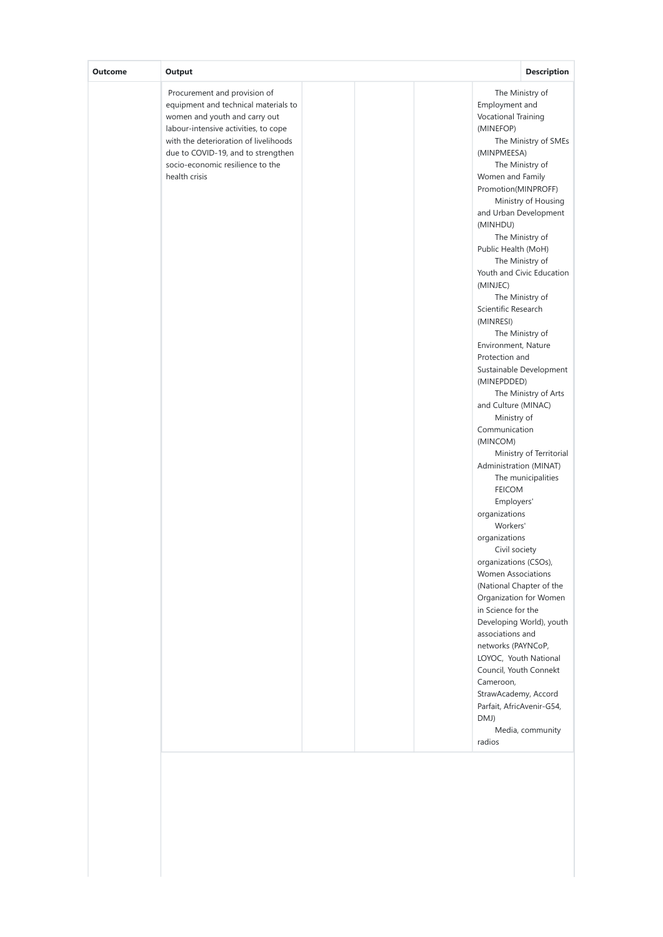| Procurement and provision of<br>Employment and<br>equipment and technical materials to<br>women and youth and carry out<br><b>Vocational Training</b><br>labour-intensive activities, to cope<br>(MINEFOP)<br>with the deterioration of livelihoods<br>due to COVID-19, and to strengthen<br>(MINPMEESA)<br>socio-economic resilience to the<br>health crisis<br>Women and Family | The Ministry of<br>The Ministry of SMEs                                                                                                                                                                                                                                                                                                                                                                                                                                                                                                                                                                                                                                                                                |
|-----------------------------------------------------------------------------------------------------------------------------------------------------------------------------------------------------------------------------------------------------------------------------------------------------------------------------------------------------------------------------------|------------------------------------------------------------------------------------------------------------------------------------------------------------------------------------------------------------------------------------------------------------------------------------------------------------------------------------------------------------------------------------------------------------------------------------------------------------------------------------------------------------------------------------------------------------------------------------------------------------------------------------------------------------------------------------------------------------------------|
| (MINHDU)<br>(MINJEC)<br>Scientific Research<br>(MINRESI)<br>Protection and<br>(MINEPDDED)<br>Communication<br>(MINCOM)<br><b>FEICOM</b><br>organizations<br>Workers'<br>organizations<br>in Science for the<br>associations and<br>Cameroon,                                                                                                                                      | The Ministry of<br>Promotion(MINPROFF)<br>Ministry of Housing<br>and Urban Development<br>The Ministry of<br>Public Health (MoH)<br>The Ministry of<br>Youth and Civic Education<br>The Ministry of<br>The Ministry of<br>Environment, Nature<br>Sustainable Development<br>The Ministry of Arts<br>and Culture (MINAC)<br>Ministry of<br>Ministry of Territorial<br>Administration (MINAT)<br>The municipalities<br>Employers'<br>Civil society<br>organizations (CSOs),<br><b>Women Associations</b><br>(National Chapter of the<br>Organization for Women<br>Developing World), youth<br>networks (PAYNCoP,<br>LOYOC, Youth National<br>Council, Youth Connekt<br>StrawAcademy, Accord<br>Parfait, AfricAvenir-G54, |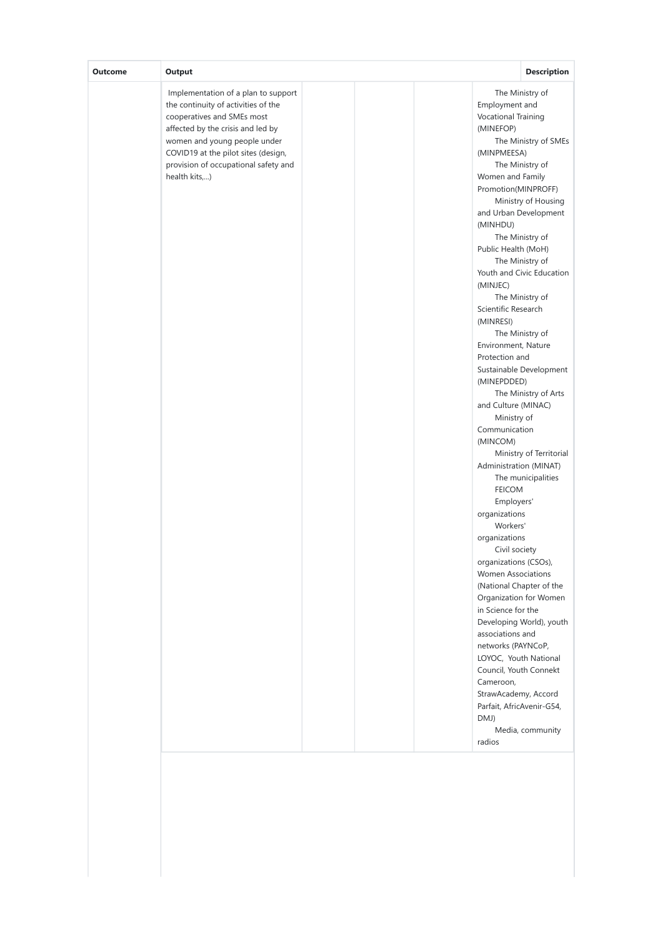| Output<br><b>Outcome</b>                                                                                                                                                                                                                                                      | <b>Description</b>                                                                                                                                                                                                                                                                                                                                                                                                                                                                                                                                                                                                                                                                                                                                                                                                                                                                                                                                                                                                                                                                                                                                      |
|-------------------------------------------------------------------------------------------------------------------------------------------------------------------------------------------------------------------------------------------------------------------------------|---------------------------------------------------------------------------------------------------------------------------------------------------------------------------------------------------------------------------------------------------------------------------------------------------------------------------------------------------------------------------------------------------------------------------------------------------------------------------------------------------------------------------------------------------------------------------------------------------------------------------------------------------------------------------------------------------------------------------------------------------------------------------------------------------------------------------------------------------------------------------------------------------------------------------------------------------------------------------------------------------------------------------------------------------------------------------------------------------------------------------------------------------------|
| Implementation of a plan to support<br>the continuity of activities of the<br>cooperatives and SMEs most<br>affected by the crisis and led by<br>women and young people under<br>COVID19 at the pilot sites (design,<br>provision of occupational safety and<br>health kits,) | The Ministry of<br>Employment and<br><b>Vocational Training</b><br>(MINEFOP)<br>The Ministry of SMEs<br>(MINPMEESA)<br>The Ministry of<br>Women and Family<br>Promotion(MINPROFF)<br>Ministry of Housing<br>and Urban Development<br>(MINHDU)<br>The Ministry of<br>Public Health (MoH)<br>The Ministry of<br>Youth and Civic Education<br>(MINJEC)<br>The Ministry of<br>Scientific Research<br>(MINRESI)<br>The Ministry of<br>Environment, Nature<br>Protection and<br>Sustainable Development<br>(MINEPDDED)<br>The Ministry of Arts<br>and Culture (MINAC)<br>Ministry of<br>Communication<br>(MINCOM)<br>Ministry of Territorial<br>Administration (MINAT)<br>The municipalities<br><b>FEICOM</b><br>Employers'<br>organizations<br>Workers'<br>organizations<br>Civil society<br>organizations (CSOs),<br><b>Women Associations</b><br>(National Chapter of the<br>Organization for Women<br>in Science for the<br>Developing World), youth<br>associations and<br>networks (PAYNCoP,<br>LOYOC, Youth National<br>Council, Youth Connekt<br>Cameroon,<br>StrawAcademy, Accord<br>Parfait, AfricAvenir-G54,<br>DMJ)<br>Media, community<br>radios |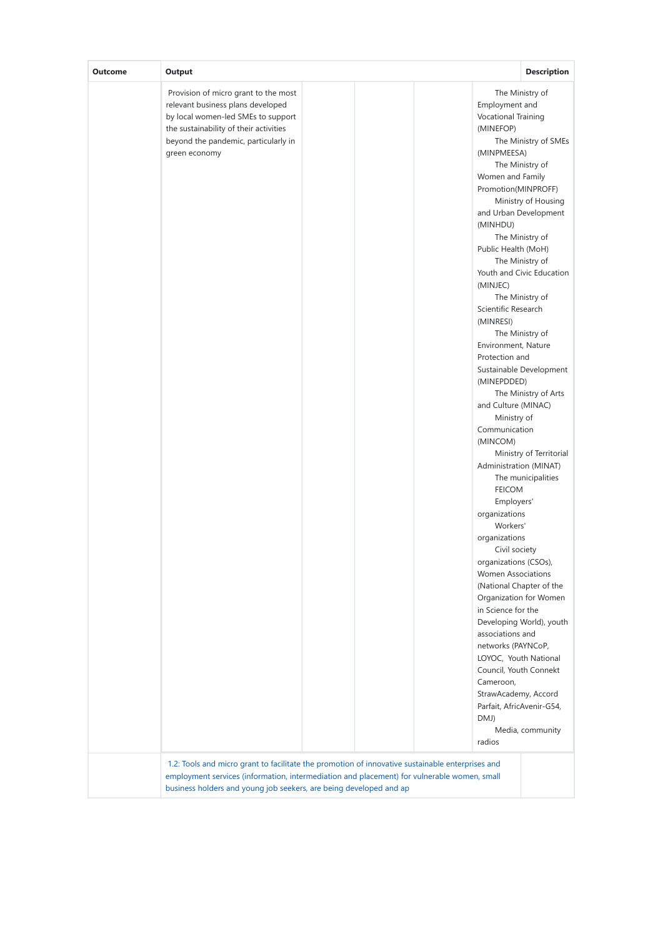| <b>Outcome</b> | Output<br>Provision of micro grant to the most<br>relevant business plans developed<br>by local women-led SMEs to support<br>the sustainability of their activities<br>beyond the pandemic, particularly in<br>green economy | <b>Description</b><br>The Ministry of<br>Employment and<br><b>Vocational Training</b><br>(MINEFOP)<br>The Ministry of SMEs<br>(MINPMEESA)<br>The Ministry of<br>Women and Family<br>Promotion(MINPROFF)<br>Ministry of Housing<br>and Urban Development<br>(MINHDU)<br>The Ministry of<br>Public Health (MoH)<br>The Ministry of<br>Youth and Civic Education<br>(MINJEC)<br>The Ministry of<br>Scientific Research<br>(MINRESI)<br>The Ministry of<br>Environment, Nature<br>Protection and<br>Sustainable Development<br>(MINEPDDED)<br>The Ministry of Arts<br>and Culture (MINAC)<br>Ministry of<br>Communication<br>(MINCOM)<br>Ministry of Territorial<br>Administration (MINAT)<br>The municipalities<br><b>FEICOM</b><br>Employers'<br>organizations<br>Workers'<br>organizations<br>Civil society<br>organizations (CSOs),<br><b>Women Associations</b><br>(National Chapter of the<br>Organization for Women<br>in Science for the<br>associations and<br>networks (PAYNCoP, |
|----------------|------------------------------------------------------------------------------------------------------------------------------------------------------------------------------------------------------------------------------|----------------------------------------------------------------------------------------------------------------------------------------------------------------------------------------------------------------------------------------------------------------------------------------------------------------------------------------------------------------------------------------------------------------------------------------------------------------------------------------------------------------------------------------------------------------------------------------------------------------------------------------------------------------------------------------------------------------------------------------------------------------------------------------------------------------------------------------------------------------------------------------------------------------------------------------------------------------------------------------|
|                |                                                                                                                                                                                                                              | Developing World), youth<br>LOYOC, Youth National<br>Council, Youth Connekt<br>Cameroon,                                                                                                                                                                                                                                                                                                                                                                                                                                                                                                                                                                                                                                                                                                                                                                                                                                                                                               |
|                |                                                                                                                                                                                                                              | StrawAcademy, Accord<br>Parfait, AfricAvenir-G54,<br>DMJ)<br>Media, community<br>radios                                                                                                                                                                                                                                                                                                                                                                                                                                                                                                                                                                                                                                                                                                                                                                                                                                                                                                |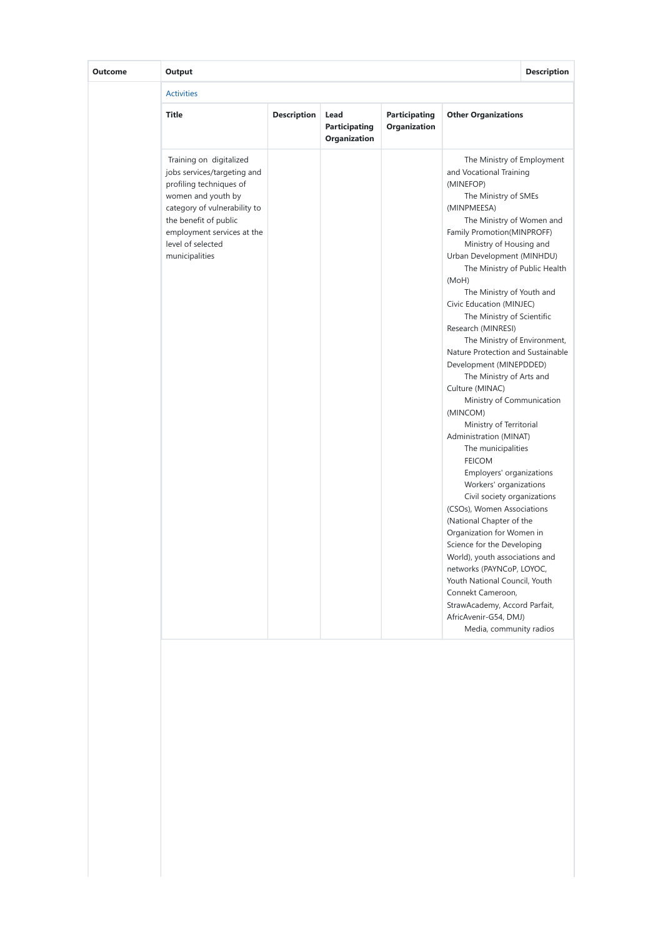| Outcome | Output                                                                                                                                                                                                                                |                    |                                       |                                      |                                                                                                                                                                                                                                                                                                                                                                                                                                                                                                                                                                                                                                                                                                                                                                                                                                                                                                                                                                                                                                                                                              | <b>Description</b> |
|---------|---------------------------------------------------------------------------------------------------------------------------------------------------------------------------------------------------------------------------------------|--------------------|---------------------------------------|--------------------------------------|----------------------------------------------------------------------------------------------------------------------------------------------------------------------------------------------------------------------------------------------------------------------------------------------------------------------------------------------------------------------------------------------------------------------------------------------------------------------------------------------------------------------------------------------------------------------------------------------------------------------------------------------------------------------------------------------------------------------------------------------------------------------------------------------------------------------------------------------------------------------------------------------------------------------------------------------------------------------------------------------------------------------------------------------------------------------------------------------|--------------------|
|         | <b>Activities</b>                                                                                                                                                                                                                     |                    |                                       |                                      |                                                                                                                                                                                                                                                                                                                                                                                                                                                                                                                                                                                                                                                                                                                                                                                                                                                                                                                                                                                                                                                                                              |                    |
|         | <b>Title</b>                                                                                                                                                                                                                          | <b>Description</b> | Lead<br>Participating<br>Organization | <b>Participating</b><br>Organization | <b>Other Organizations</b>                                                                                                                                                                                                                                                                                                                                                                                                                                                                                                                                                                                                                                                                                                                                                                                                                                                                                                                                                                                                                                                                   |                    |
|         | Training on digitalized<br>jobs services/targeting and<br>profiling techniques of<br>women and youth by<br>category of vulnerability to<br>the benefit of public<br>employment services at the<br>level of selected<br>municipalities |                    |                                       |                                      | The Ministry of Employment<br>and Vocational Training<br>(MINEFOP)<br>The Ministry of SMEs<br>(MINPMEESA)<br>The Ministry of Women and<br>Family Promotion(MINPROFF)<br>Ministry of Housing and<br>Urban Development (MINHDU)<br>The Ministry of Public Health<br>(MoH)<br>The Ministry of Youth and<br>Civic Education (MINJEC)<br>The Ministry of Scientific<br>Research (MINRESI)<br>The Ministry of Environment,<br>Nature Protection and Sustainable<br>Development (MINEPDDED)<br>The Ministry of Arts and<br>Culture (MINAC)<br>Ministry of Communication<br>(MINCOM)<br>Ministry of Territorial<br>Administration (MINAT)<br>The municipalities<br><b>FEICOM</b><br>Employers' organizations<br>Workers' organizations<br>Civil society organizations<br>(CSOs), Women Associations<br>(National Chapter of the<br>Organization for Women in<br>Science for the Developing<br>World), youth associations and<br>networks (PAYNCoP, LOYOC,<br>Youth National Council, Youth<br>Connekt Cameroon.<br>StrawAcademy, Accord Parfait,<br>AfricAvenir-G54, DMJ)<br>Media, community radios |                    |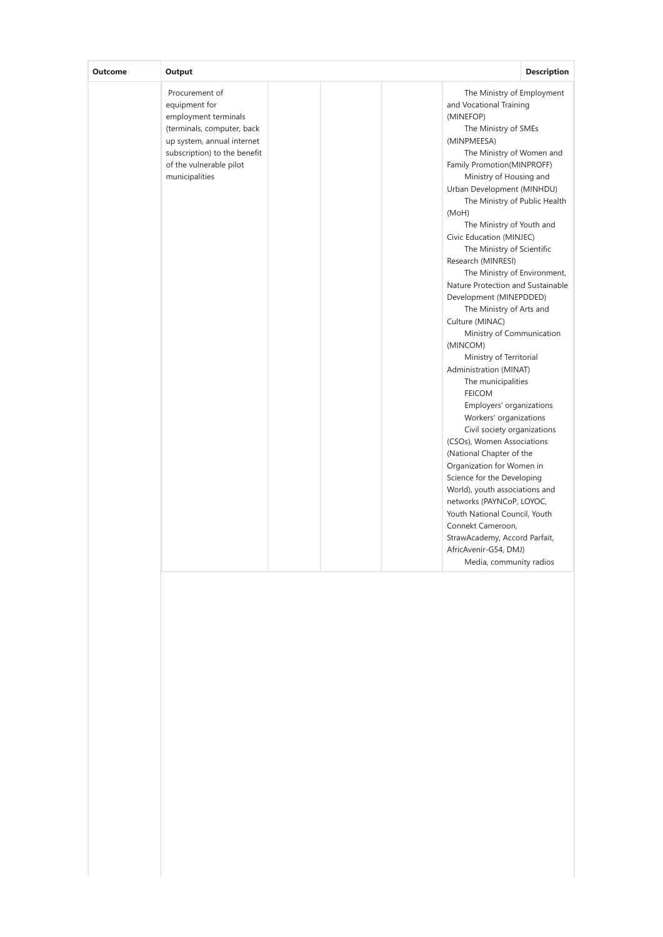| Output<br>Outcome                                 |                                                                                                                                             | <b>Description</b>                                                                                                                                                                                                                                                                                                                                                                                                                                                                                                                                                                                                                                                                                                                                                                                                                                                                                                                                                                                                                                                                           |
|---------------------------------------------------|---------------------------------------------------------------------------------------------------------------------------------------------|----------------------------------------------------------------------------------------------------------------------------------------------------------------------------------------------------------------------------------------------------------------------------------------------------------------------------------------------------------------------------------------------------------------------------------------------------------------------------------------------------------------------------------------------------------------------------------------------------------------------------------------------------------------------------------------------------------------------------------------------------------------------------------------------------------------------------------------------------------------------------------------------------------------------------------------------------------------------------------------------------------------------------------------------------------------------------------------------|
| Procurement of<br>equipment for<br>municipalities | employment terminals<br>(terminals, computer, back<br>up system, annual internet<br>subscription) to the benefit<br>of the vulnerable pilot | The Ministry of Employment<br>and Vocational Training<br>(MINEFOP)<br>The Ministry of SMEs<br>(MINPMEESA)<br>The Ministry of Women and<br>Family Promotion(MINPROFF)<br>Ministry of Housing and<br>Urban Development (MINHDU)<br>The Ministry of Public Health<br>(MoH)<br>The Ministry of Youth and<br>Civic Education (MINJEC)<br>The Ministry of Scientific<br>Research (MINRESI)<br>The Ministry of Environment,<br>Nature Protection and Sustainable<br>Development (MINEPDDED)<br>The Ministry of Arts and<br>Culture (MINAC)<br>Ministry of Communication<br>(MINCOM)<br>Ministry of Territorial<br>Administration (MINAT)<br>The municipalities<br><b>FEICOM</b><br>Employers' organizations<br>Workers' organizations<br>Civil society organizations<br>(CSOs), Women Associations<br>(National Chapter of the<br>Organization for Women in<br>Science for the Developing<br>World), youth associations and<br>networks (PAYNCoP, LOYOC,<br>Youth National Council, Youth<br>Connekt Cameroon,<br>StrawAcademy, Accord Parfait,<br>AfricAvenir-G54, DMJ)<br>Media, community radios |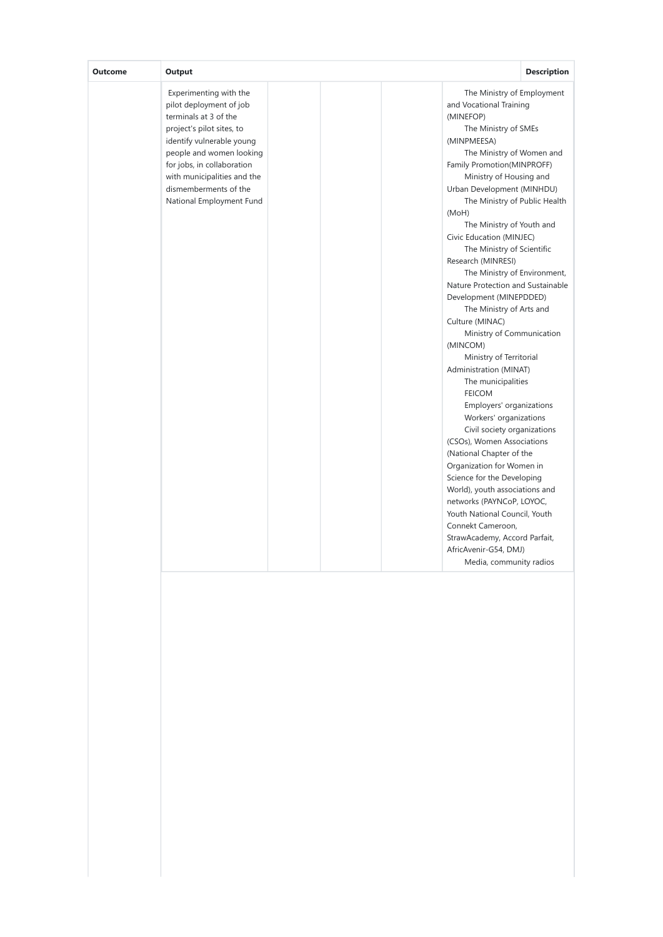| Output<br><b>Outcome</b>                                                                                                                                                                                                                                                           | <b>Description</b>                                                                                                                                                                                                                                                                                                                                                                                                                                                                                                                                                                                                                                                                                                                                                                                                                                                                                                                                                                                                                                                                           |
|------------------------------------------------------------------------------------------------------------------------------------------------------------------------------------------------------------------------------------------------------------------------------------|----------------------------------------------------------------------------------------------------------------------------------------------------------------------------------------------------------------------------------------------------------------------------------------------------------------------------------------------------------------------------------------------------------------------------------------------------------------------------------------------------------------------------------------------------------------------------------------------------------------------------------------------------------------------------------------------------------------------------------------------------------------------------------------------------------------------------------------------------------------------------------------------------------------------------------------------------------------------------------------------------------------------------------------------------------------------------------------------|
| Experimenting with the<br>pilot deployment of job<br>terminals at 3 of the<br>project's pilot sites, to<br>identify vulnerable young<br>people and women looking<br>for jobs, in collaboration<br>with municipalities and the<br>dismemberments of the<br>National Employment Fund | The Ministry of Employment<br>and Vocational Training<br>(MINEFOP)<br>The Ministry of SMEs<br>(MINPMEESA)<br>The Ministry of Women and<br>Family Promotion(MINPROFF)<br>Ministry of Housing and<br>Urban Development (MINHDU)<br>The Ministry of Public Health<br>(MoH)<br>The Ministry of Youth and<br>Civic Education (MINJEC)<br>The Ministry of Scientific<br>Research (MINRESI)<br>The Ministry of Environment,<br>Nature Protection and Sustainable<br>Development (MINEPDDED)<br>The Ministry of Arts and<br>Culture (MINAC)<br>Ministry of Communication<br>(MINCOM)<br>Ministry of Territorial<br>Administration (MINAT)<br>The municipalities<br><b>FEICOM</b><br>Employers' organizations<br>Workers' organizations<br>Civil society organizations<br>(CSOs), Women Associations<br>(National Chapter of the<br>Organization for Women in<br>Science for the Developing<br>World), youth associations and<br>networks (PAYNCoP, LOYOC,<br>Youth National Council, Youth<br>Connekt Cameroon,<br>StrawAcademy, Accord Parfait,<br>AfricAvenir-G54, DMJ)<br>Media, community radios |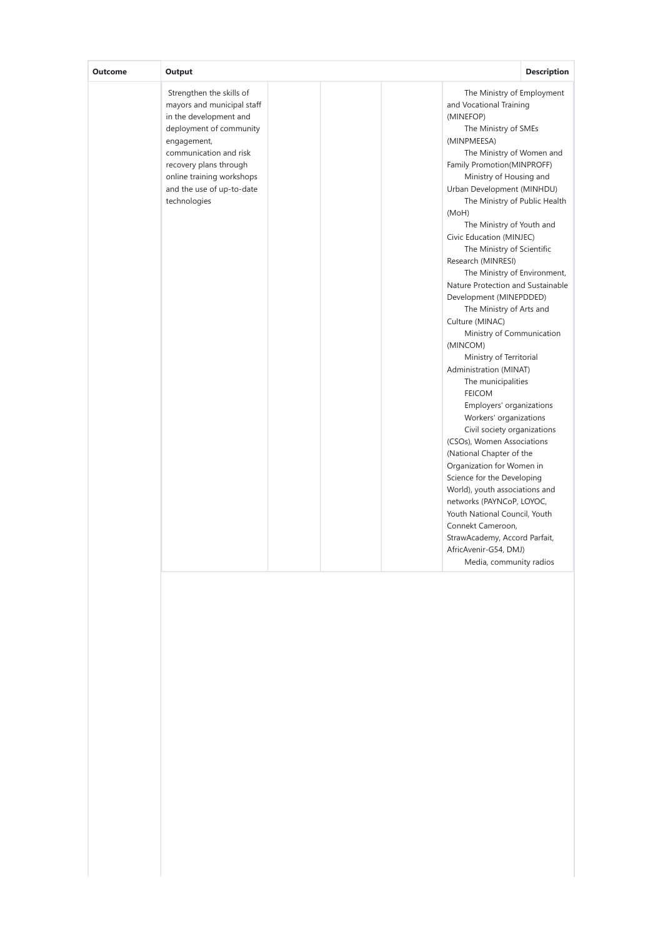| Outcome | Output                                                                                                                                                                                                                                                   | <b>Description</b>                                                                                                                                                                                                                                                                                                                                                                                                                                                                                                                                                                                                                                                                                                                                                                                                                                                                                                                                                                                                                                                                           |
|---------|----------------------------------------------------------------------------------------------------------------------------------------------------------------------------------------------------------------------------------------------------------|----------------------------------------------------------------------------------------------------------------------------------------------------------------------------------------------------------------------------------------------------------------------------------------------------------------------------------------------------------------------------------------------------------------------------------------------------------------------------------------------------------------------------------------------------------------------------------------------------------------------------------------------------------------------------------------------------------------------------------------------------------------------------------------------------------------------------------------------------------------------------------------------------------------------------------------------------------------------------------------------------------------------------------------------------------------------------------------------|
|         | Strengthen the skills of<br>mayors and municipal staff<br>in the development and<br>deployment of community<br>engagement,<br>communication and risk<br>recovery plans through<br>online training workshops<br>and the use of up-to-date<br>technologies | The Ministry of Employment<br>and Vocational Training<br>(MINEFOP)<br>The Ministry of SMEs<br>(MINPMEESA)<br>The Ministry of Women and<br>Family Promotion(MINPROFF)<br>Ministry of Housing and<br>Urban Development (MINHDU)<br>The Ministry of Public Health<br>(MoH)<br>The Ministry of Youth and<br>Civic Education (MINJEC)<br>The Ministry of Scientific<br>Research (MINRESI)<br>The Ministry of Environment,<br>Nature Protection and Sustainable<br>Development (MINEPDDED)<br>The Ministry of Arts and<br>Culture (MINAC)<br>Ministry of Communication<br>(MINCOM)<br>Ministry of Territorial<br>Administration (MINAT)<br>The municipalities<br><b>FEICOM</b><br>Employers' organizations<br>Workers' organizations<br>Civil society organizations<br>(CSOs), Women Associations<br>(National Chapter of the<br>Organization for Women in<br>Science for the Developing<br>World), youth associations and<br>networks (PAYNCoP, LOYOC,<br>Youth National Council, Youth<br>Connekt Cameroon,<br>StrawAcademy, Accord Parfait,<br>AfricAvenir-G54, DMJ)<br>Media, community radios |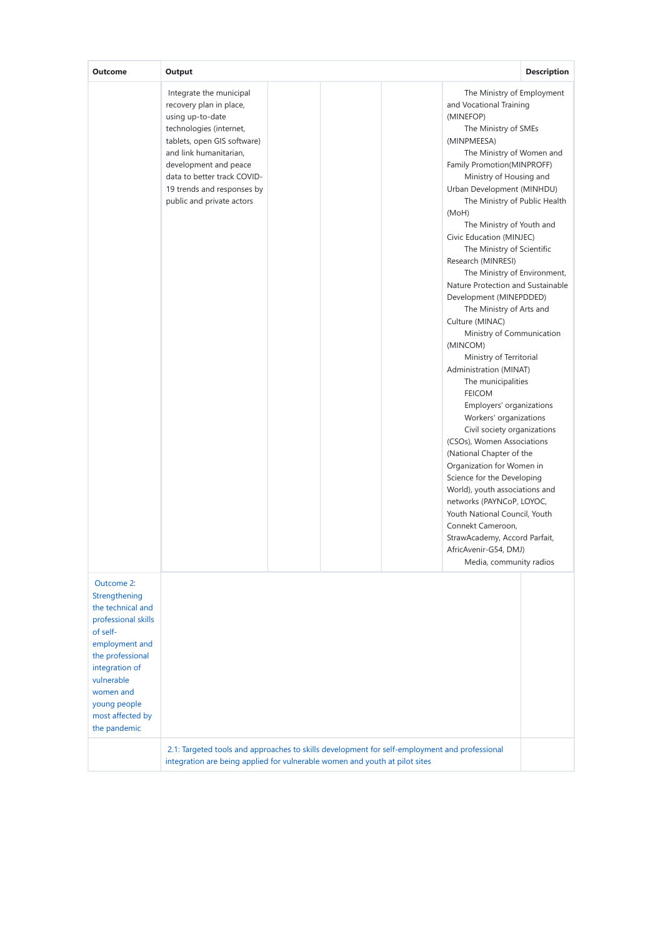| Outcome                                                                                                                                                                                                                    | Output                                                                                                                                                                                                                                                                        |                                                                                                                                                                                                                                                                                                                                                                                                                                                                                                                                                                                                                                                                                                                                                                                                                                                                                                                                                                                                                                                                                              | <b>Description</b> |
|----------------------------------------------------------------------------------------------------------------------------------------------------------------------------------------------------------------------------|-------------------------------------------------------------------------------------------------------------------------------------------------------------------------------------------------------------------------------------------------------------------------------|----------------------------------------------------------------------------------------------------------------------------------------------------------------------------------------------------------------------------------------------------------------------------------------------------------------------------------------------------------------------------------------------------------------------------------------------------------------------------------------------------------------------------------------------------------------------------------------------------------------------------------------------------------------------------------------------------------------------------------------------------------------------------------------------------------------------------------------------------------------------------------------------------------------------------------------------------------------------------------------------------------------------------------------------------------------------------------------------|--------------------|
|                                                                                                                                                                                                                            | Integrate the municipal<br>recovery plan in place,<br>using up-to-date<br>technologies (internet,<br>tablets, open GIS software)<br>and link humanitarian,<br>development and peace<br>data to better track COVID-<br>19 trends and responses by<br>public and private actors | The Ministry of Employment<br>and Vocational Training<br>(MINEFOP)<br>The Ministry of SMEs<br>(MINPMEESA)<br>The Ministry of Women and<br>Family Promotion(MINPROFF)<br>Ministry of Housing and<br>Urban Development (MINHDU)<br>The Ministry of Public Health<br>(MoH)<br>The Ministry of Youth and<br>Civic Education (MINJEC)<br>The Ministry of Scientific<br>Research (MINRESI)<br>The Ministry of Environment,<br>Nature Protection and Sustainable<br>Development (MINEPDDED)<br>The Ministry of Arts and<br>Culture (MINAC)<br>Ministry of Communication<br>(MINCOM)<br>Ministry of Territorial<br>Administration (MINAT)<br>The municipalities<br><b>FEICOM</b><br>Employers' organizations<br>Workers' organizations<br>Civil society organizations<br>(CSOs), Women Associations<br>(National Chapter of the<br>Organization for Women in<br>Science for the Developing<br>World), youth associations and<br>networks (PAYNCoP, LOYOC,<br>Youth National Council, Youth<br>Connekt Cameroon,<br>StrawAcademy, Accord Parfait,<br>AfricAvenir-G54, DMJ)<br>Media, community radios |                    |
| Outcome 2:<br>Strengthening<br>the technical and<br>professional skills<br>of self-<br>employment and<br>the professional<br>integration of<br>vulnerable<br>women and<br>young people<br>most affected by<br>the pandemic | 2.1: Targeted tools and approaches to skills development for self-employment and professional                                                                                                                                                                                 |                                                                                                                                                                                                                                                                                                                                                                                                                                                                                                                                                                                                                                                                                                                                                                                                                                                                                                                                                                                                                                                                                              |                    |
|                                                                                                                                                                                                                            | integration are being applied for vulnerable women and youth at pilot sites                                                                                                                                                                                                   |                                                                                                                                                                                                                                                                                                                                                                                                                                                                                                                                                                                                                                                                                                                                                                                                                                                                                                                                                                                                                                                                                              |                    |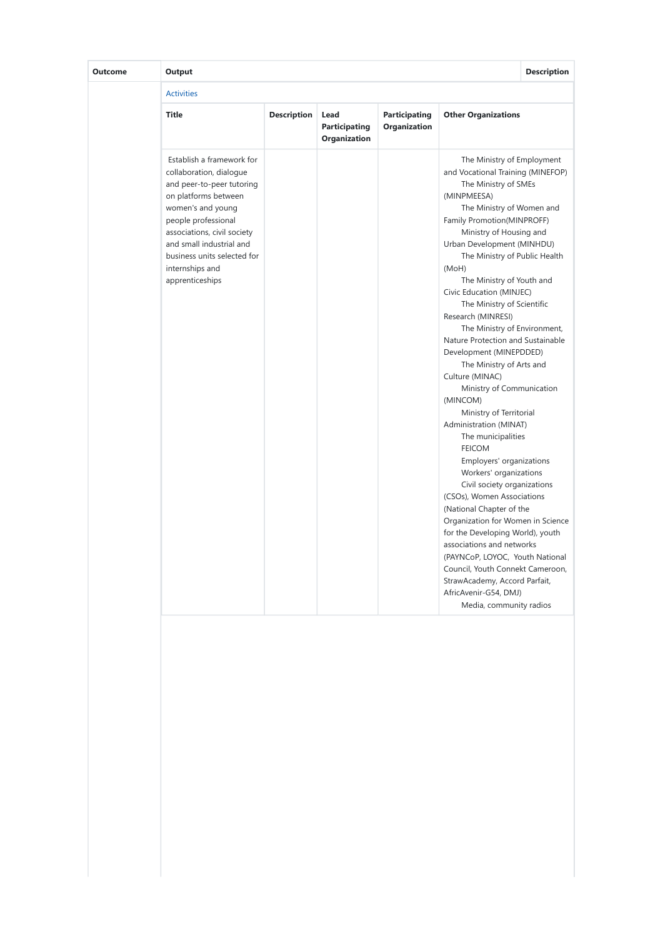| Outcome | Output                                                                                                                                                                                                                                                                                |                    |                                                     |                                             |                                                                                                                                                                                                                                                                                                                                                                                                                                                                                                                                                                                                                                                                                                                                                                                                                                                                                                                                                                                                                                                                                        | <b>Description</b> |  |
|---------|---------------------------------------------------------------------------------------------------------------------------------------------------------------------------------------------------------------------------------------------------------------------------------------|--------------------|-----------------------------------------------------|---------------------------------------------|----------------------------------------------------------------------------------------------------------------------------------------------------------------------------------------------------------------------------------------------------------------------------------------------------------------------------------------------------------------------------------------------------------------------------------------------------------------------------------------------------------------------------------------------------------------------------------------------------------------------------------------------------------------------------------------------------------------------------------------------------------------------------------------------------------------------------------------------------------------------------------------------------------------------------------------------------------------------------------------------------------------------------------------------------------------------------------------|--------------------|--|
|         | <b>Activities</b>                                                                                                                                                                                                                                                                     |                    |                                                     |                                             |                                                                                                                                                                                                                                                                                                                                                                                                                                                                                                                                                                                                                                                                                                                                                                                                                                                                                                                                                                                                                                                                                        |                    |  |
|         | <b>Title</b>                                                                                                                                                                                                                                                                          | <b>Description</b> | Lead<br><b>Participating</b><br><b>Organization</b> | <b>Participating</b><br><b>Organization</b> | <b>Other Organizations</b>                                                                                                                                                                                                                                                                                                                                                                                                                                                                                                                                                                                                                                                                                                                                                                                                                                                                                                                                                                                                                                                             |                    |  |
|         | Establish a framework for<br>collaboration, dialoque<br>and peer-to-peer tutoring<br>on platforms between<br>women's and young<br>people professional<br>associations, civil society<br>and small industrial and<br>business units selected for<br>internships and<br>apprenticeships |                    |                                                     |                                             | The Ministry of Employment<br>and Vocational Training (MINEFOP)<br>The Ministry of SMEs<br>(MINPMEESA)<br>The Ministry of Women and<br>Family Promotion(MINPROFF)<br>Ministry of Housing and<br>Urban Development (MINHDU)<br>The Ministry of Public Health<br>(MoH)<br>The Ministry of Youth and<br>Civic Education (MINJEC)<br>The Ministry of Scientific<br>Research (MINRESI)<br>The Ministry of Environment,<br>Nature Protection and Sustainable<br>Development (MINEPDDED)<br>The Ministry of Arts and<br>Culture (MINAC)<br>Ministry of Communication<br>(MINCOM)<br>Ministry of Territorial<br>Administration (MINAT)<br>The municipalities<br><b>FEICOM</b><br>Employers' organizations<br>Workers' organizations<br>Civil society organizations<br>(CSOs), Women Associations<br>(National Chapter of the<br>Organization for Women in Science<br>for the Developing World), youth<br>associations and networks<br>(PAYNCoP, LOYOC, Youth National<br>Council, Youth Connekt Cameroon,<br>StrawAcademy, Accord Parfait,<br>AfricAvenir-G54, DMJ)<br>Media, community radios |                    |  |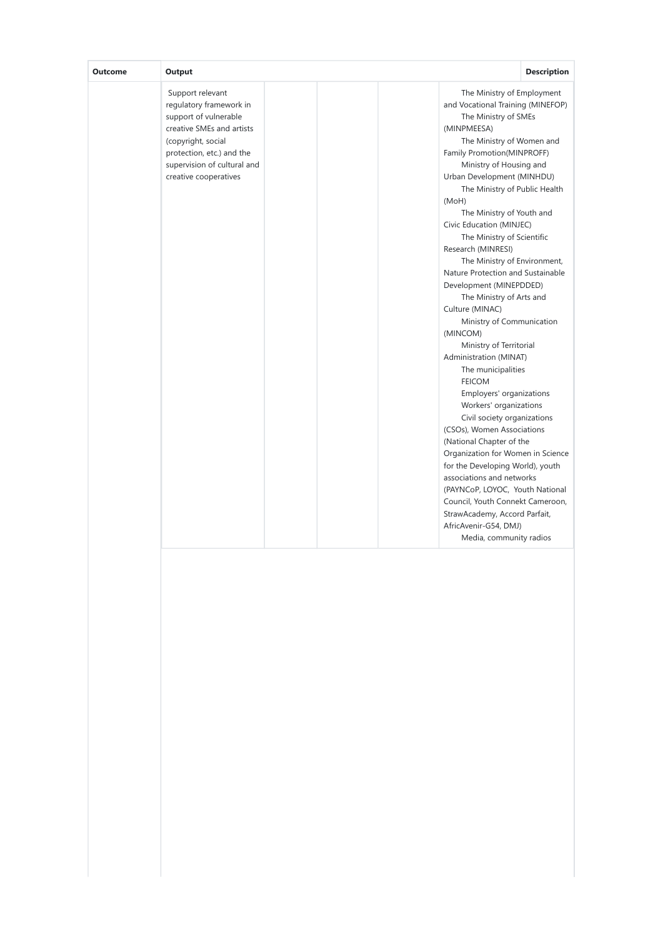| Output<br><b>Outcome</b>                                                                                                                                                                                     | <b>Description</b>                                                                                                                                                                                                                                                                                                                                                                                                                                                                                                                                                                                                                                                                                                                                                                                                                                                                                                                                                                                                                                                                     |
|--------------------------------------------------------------------------------------------------------------------------------------------------------------------------------------------------------------|----------------------------------------------------------------------------------------------------------------------------------------------------------------------------------------------------------------------------------------------------------------------------------------------------------------------------------------------------------------------------------------------------------------------------------------------------------------------------------------------------------------------------------------------------------------------------------------------------------------------------------------------------------------------------------------------------------------------------------------------------------------------------------------------------------------------------------------------------------------------------------------------------------------------------------------------------------------------------------------------------------------------------------------------------------------------------------------|
| Support relevant<br>regulatory framework in<br>support of vulnerable<br>creative SMEs and artists<br>(copyright, social<br>protection, etc.) and the<br>supervision of cultural and<br>creative cooperatives | The Ministry of Employment<br>and Vocational Training (MINEFOP)<br>The Ministry of SMEs<br>(MINPMEESA)<br>The Ministry of Women and<br>Family Promotion(MINPROFF)<br>Ministry of Housing and<br>Urban Development (MINHDU)<br>The Ministry of Public Health<br>(MoH)<br>The Ministry of Youth and<br>Civic Education (MINJEC)<br>The Ministry of Scientific<br>Research (MINRESI)<br>The Ministry of Environment,<br>Nature Protection and Sustainable<br>Development (MINEPDDED)<br>The Ministry of Arts and<br>Culture (MINAC)<br>Ministry of Communication<br>(MINCOM)<br>Ministry of Territorial<br>Administration (MINAT)<br>The municipalities<br><b>FEICOM</b><br>Employers' organizations<br>Workers' organizations<br>Civil society organizations<br>(CSOs), Women Associations<br>(National Chapter of the<br>Organization for Women in Science<br>for the Developing World), youth<br>associations and networks<br>(PAYNCoP, LOYOC, Youth National<br>Council, Youth Connekt Cameroon,<br>StrawAcademy, Accord Parfait,<br>AfricAvenir-G54, DMJ)<br>Media, community radios |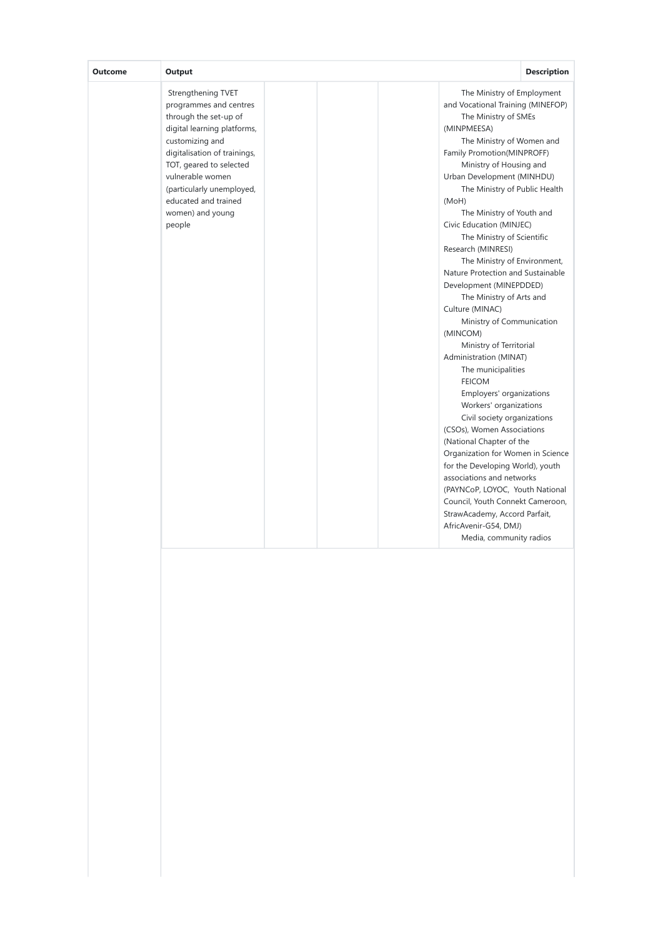| <b>Outcome</b> | Output                                                                                                                                                                                                                                                                                    | <b>Description</b>                                                                                                                                                                                                                                                                                                                                                                                                                                                                                                                                                                                                                                                                                                                                                                                                                                                                                                                                                                                                                                                                     |
|----------------|-------------------------------------------------------------------------------------------------------------------------------------------------------------------------------------------------------------------------------------------------------------------------------------------|----------------------------------------------------------------------------------------------------------------------------------------------------------------------------------------------------------------------------------------------------------------------------------------------------------------------------------------------------------------------------------------------------------------------------------------------------------------------------------------------------------------------------------------------------------------------------------------------------------------------------------------------------------------------------------------------------------------------------------------------------------------------------------------------------------------------------------------------------------------------------------------------------------------------------------------------------------------------------------------------------------------------------------------------------------------------------------------|
|                | Strengthening TVET<br>programmes and centres<br>through the set-up of<br>digital learning platforms,<br>customizing and<br>digitalisation of trainings,<br>TOT, geared to selected<br>vulnerable women<br>(particularly unemployed,<br>educated and trained<br>women) and young<br>people | The Ministry of Employment<br>and Vocational Training (MINEFOP)<br>The Ministry of SMEs<br>(MINPMEESA)<br>The Ministry of Women and<br>Family Promotion(MINPROFF)<br>Ministry of Housing and<br>Urban Development (MINHDU)<br>The Ministry of Public Health<br>(MoH)<br>The Ministry of Youth and<br>Civic Education (MINJEC)<br>The Ministry of Scientific<br>Research (MINRESI)<br>The Ministry of Environment,<br>Nature Protection and Sustainable<br>Development (MINEPDDED)<br>The Ministry of Arts and<br>Culture (MINAC)<br>Ministry of Communication<br>(MINCOM)<br>Ministry of Territorial<br>Administration (MINAT)<br>The municipalities<br><b>FEICOM</b><br>Employers' organizations<br>Workers' organizations<br>Civil society organizations<br>(CSOs), Women Associations<br>(National Chapter of the<br>Organization for Women in Science<br>for the Developing World), youth<br>associations and networks<br>(PAYNCoP, LOYOC, Youth National<br>Council, Youth Connekt Cameroon,<br>StrawAcademy, Accord Parfait,<br>AfricAvenir-G54, DMJ)<br>Media, community radios |
|                |                                                                                                                                                                                                                                                                                           |                                                                                                                                                                                                                                                                                                                                                                                                                                                                                                                                                                                                                                                                                                                                                                                                                                                                                                                                                                                                                                                                                        |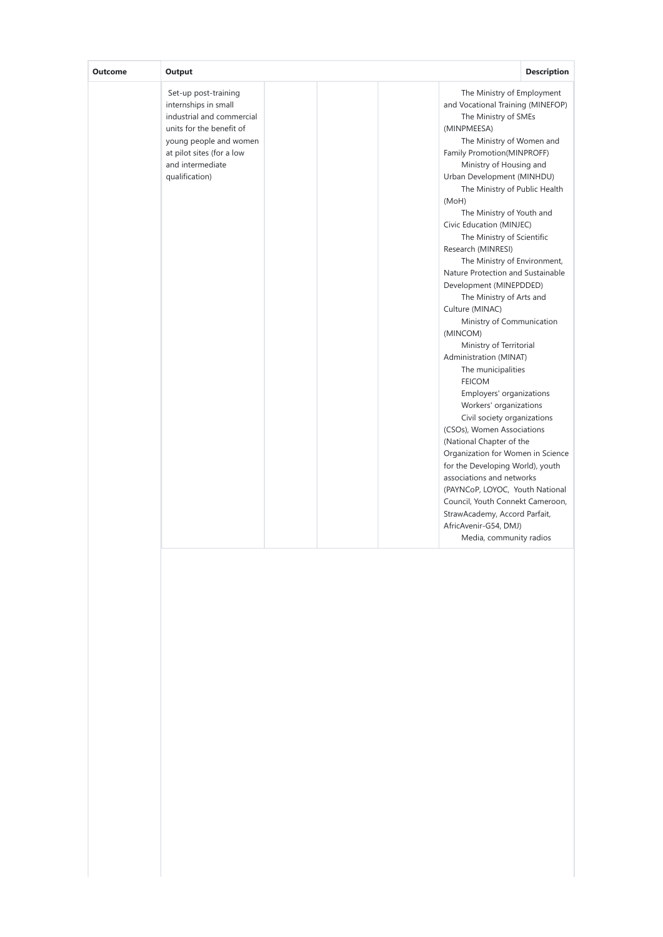| Set-up post-training<br>The Ministry of Employment<br>internships in small<br>and Vocational Training (MINEFOP)<br>industrial and commercial<br>The Ministry of SMEs<br>units for the benefit of<br>(MINPMEESA)<br>The Ministry of Women and<br>young people and women<br>at pilot sites (for a low<br>Family Promotion(MINPROFF)<br>and intermediate<br>Ministry of Housing and<br>qualification)<br>Urban Development (MINHDU)<br>The Ministry of Public Health<br>(MoH)<br>The Ministry of Youth and<br>Civic Education (MINJEC)<br>The Ministry of Scientific<br>Research (MINRESI)<br>The Ministry of Environment,<br>Nature Protection and Sustainable<br>Development (MINEPDDED)<br>The Ministry of Arts and<br>Culture (MINAC)<br>Ministry of Communication<br>(MINCOM)<br>Ministry of Territorial<br>Administration (MINAT)<br>The municipalities<br><b>FEICOM</b><br>Employers' organizations<br>Workers' organizations<br>Civil society organizations<br>(CSOs), Women Associations |
|------------------------------------------------------------------------------------------------------------------------------------------------------------------------------------------------------------------------------------------------------------------------------------------------------------------------------------------------------------------------------------------------------------------------------------------------------------------------------------------------------------------------------------------------------------------------------------------------------------------------------------------------------------------------------------------------------------------------------------------------------------------------------------------------------------------------------------------------------------------------------------------------------------------------------------------------------------------------------------------------|
| (National Chapter of the<br>Organization for Women in Science<br>for the Developing World), youth<br>associations and networks<br>(PAYNCoP, LOYOC, Youth National<br>Council, Youth Connekt Cameroon,<br>StrawAcademy, Accord Parfait,<br>AfricAvenir-G54, DMJ)<br>Media, community radios                                                                                                                                                                                                                                                                                                                                                                                                                                                                                                                                                                                                                                                                                                     |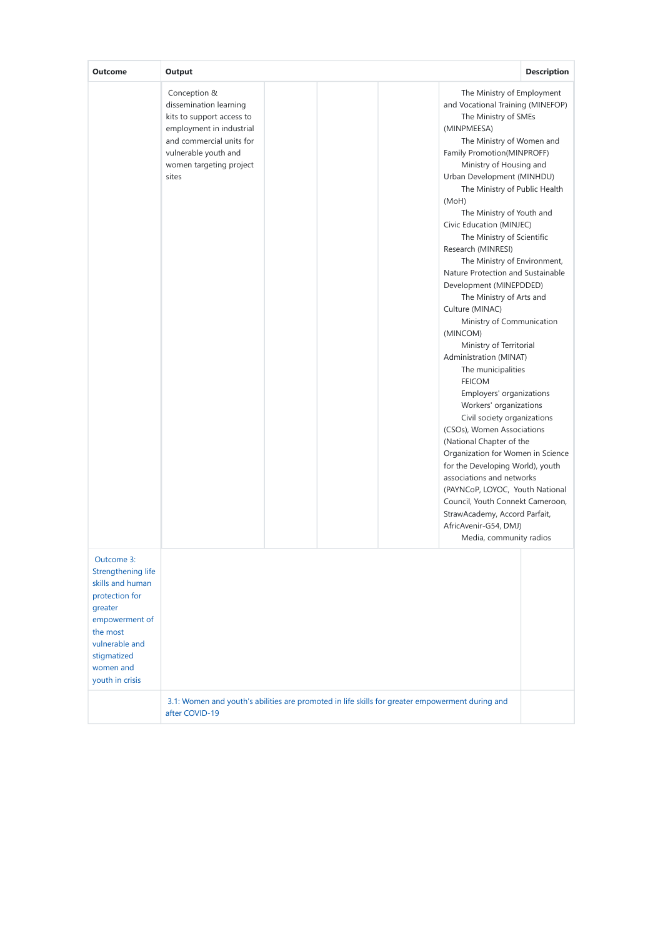| Outcome                                                                                                                                                                          | Output                                                                                                                                                                                                                                                                                                                                                                                                                                                                                                                                                                                                                                                                                                                                                                                                                                                                                                                                                                                                                                                                                                                                                                                                                                                                            | <b>Description</b> |
|----------------------------------------------------------------------------------------------------------------------------------------------------------------------------------|-----------------------------------------------------------------------------------------------------------------------------------------------------------------------------------------------------------------------------------------------------------------------------------------------------------------------------------------------------------------------------------------------------------------------------------------------------------------------------------------------------------------------------------------------------------------------------------------------------------------------------------------------------------------------------------------------------------------------------------------------------------------------------------------------------------------------------------------------------------------------------------------------------------------------------------------------------------------------------------------------------------------------------------------------------------------------------------------------------------------------------------------------------------------------------------------------------------------------------------------------------------------------------------|--------------------|
|                                                                                                                                                                                  | Conception &<br>The Ministry of Employment<br>dissemination learning<br>and Vocational Training (MINEFOP)<br>kits to support access to<br>The Ministry of SMEs<br>employment in industrial<br>(MINPMEESA)<br>and commercial units for<br>The Ministry of Women and<br>Family Promotion(MINPROFF)<br>vulnerable youth and<br>Ministry of Housing and<br>women targeting project<br>Urban Development (MINHDU)<br>sites<br>The Ministry of Public Health<br>(MoH)<br>The Ministry of Youth and<br>Civic Education (MINJEC)<br>The Ministry of Scientific<br>Research (MINRESI)<br>The Ministry of Environment,<br>Nature Protection and Sustainable<br>Development (MINEPDDED)<br>The Ministry of Arts and<br>Culture (MINAC)<br>Ministry of Communication<br>(MINCOM)<br>Ministry of Territorial<br>Administration (MINAT)<br>The municipalities<br><b>FEICOM</b><br>Employers' organizations<br>Workers' organizations<br>Civil society organizations<br>(CSOs), Women Associations<br>(National Chapter of the<br>Organization for Women in Science<br>for the Developing World), youth<br>associations and networks<br>(PAYNCoP, LOYOC, Youth National<br>Council, Youth Connekt Cameroon,<br>StrawAcademy, Accord Parfait,<br>AfricAvenir-G54, DMJ)<br>Media, community radios |                    |
| Outcome 3:<br>Strengthening life<br>skills and human<br>protection for<br>greater<br>empowerment of<br>the most<br>vulnerable and<br>stigmatized<br>women and<br>youth in crisis |                                                                                                                                                                                                                                                                                                                                                                                                                                                                                                                                                                                                                                                                                                                                                                                                                                                                                                                                                                                                                                                                                                                                                                                                                                                                                   |                    |
|                                                                                                                                                                                  | 3.1: Women and youth's abilities are promoted in life skills for greater empowerment during and<br>after COVID-19                                                                                                                                                                                                                                                                                                                                                                                                                                                                                                                                                                                                                                                                                                                                                                                                                                                                                                                                                                                                                                                                                                                                                                 |                    |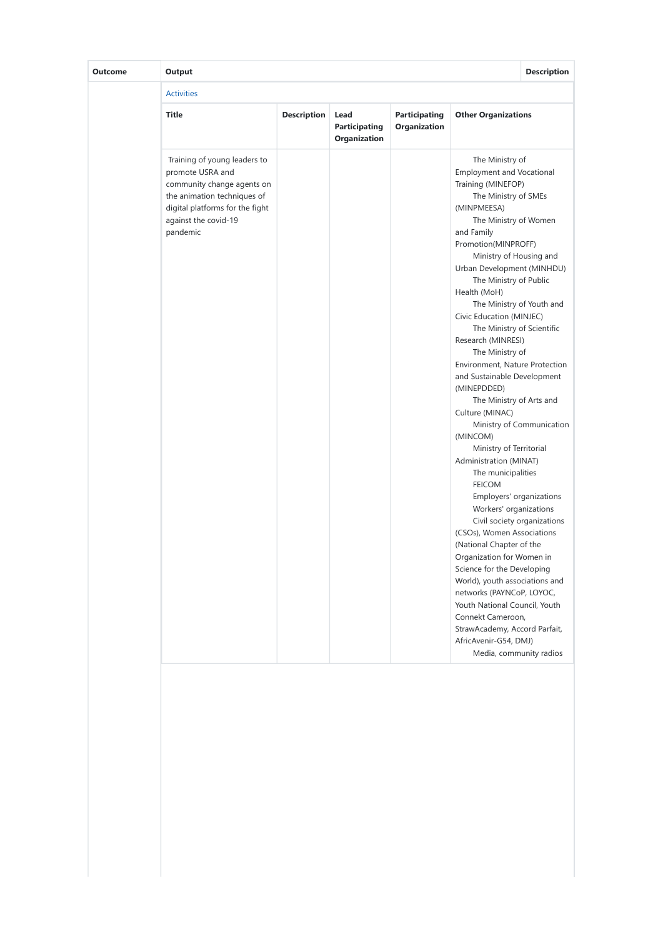| <b>Outcome</b> | Output                                                                                                                                                                               |                    |                                              |                                      |                                                                                                                                                                                                                                                                                                                                                                                                                                                                                                                                                                                                                                                                                                                                                                                                                                                                                                                                                                                                                                                                                     | <b>Description</b>        |
|----------------|--------------------------------------------------------------------------------------------------------------------------------------------------------------------------------------|--------------------|----------------------------------------------|--------------------------------------|-------------------------------------------------------------------------------------------------------------------------------------------------------------------------------------------------------------------------------------------------------------------------------------------------------------------------------------------------------------------------------------------------------------------------------------------------------------------------------------------------------------------------------------------------------------------------------------------------------------------------------------------------------------------------------------------------------------------------------------------------------------------------------------------------------------------------------------------------------------------------------------------------------------------------------------------------------------------------------------------------------------------------------------------------------------------------------------|---------------------------|
|                | <b>Activities</b>                                                                                                                                                                    |                    |                                              |                                      |                                                                                                                                                                                                                                                                                                                                                                                                                                                                                                                                                                                                                                                                                                                                                                                                                                                                                                                                                                                                                                                                                     |                           |
|                | <b>Title</b>                                                                                                                                                                         | <b>Description</b> | Lead<br><b>Participating</b><br>Organization | <b>Participating</b><br>Organization | <b>Other Organizations</b>                                                                                                                                                                                                                                                                                                                                                                                                                                                                                                                                                                                                                                                                                                                                                                                                                                                                                                                                                                                                                                                          |                           |
|                | Training of young leaders to<br>promote USRA and<br>community change agents on<br>the animation techniques of<br>digital platforms for the fight<br>against the covid-19<br>pandemic |                    |                                              |                                      | The Ministry of<br><b>Employment and Vocational</b><br>Training (MINEFOP)<br>The Ministry of SMEs<br>(MINPMEESA)<br>The Ministry of Women<br>and Family<br>Promotion(MINPROFF)<br>Ministry of Housing and<br>Urban Development (MINHDU)<br>The Ministry of Public<br>Health (MoH)<br>The Ministry of Youth and<br>Civic Education (MINJEC)<br>The Ministry of Scientific<br>Research (MINRESI)<br>The Ministry of<br><b>Environment, Nature Protection</b><br>and Sustainable Development<br>(MINEPDDED)<br>The Ministry of Arts and<br>Culture (MINAC)<br>(MINCOM)<br>Ministry of Territorial<br>Administration (MINAT)<br>The municipalities<br><b>FEICOM</b><br>Employers' organizations<br>Workers' organizations<br>Civil society organizations<br>(CSOs), Women Associations<br>(National Chapter of the<br>Organization for Women in<br>Science for the Developing<br>World), youth associations and<br>networks (PAYNCoP, LOYOC,<br>Youth National Council, Youth<br>Connekt Cameroon,<br>StrawAcademy, Accord Parfait,<br>AfricAvenir-G54, DMJ)<br>Media, community radios | Ministry of Communication |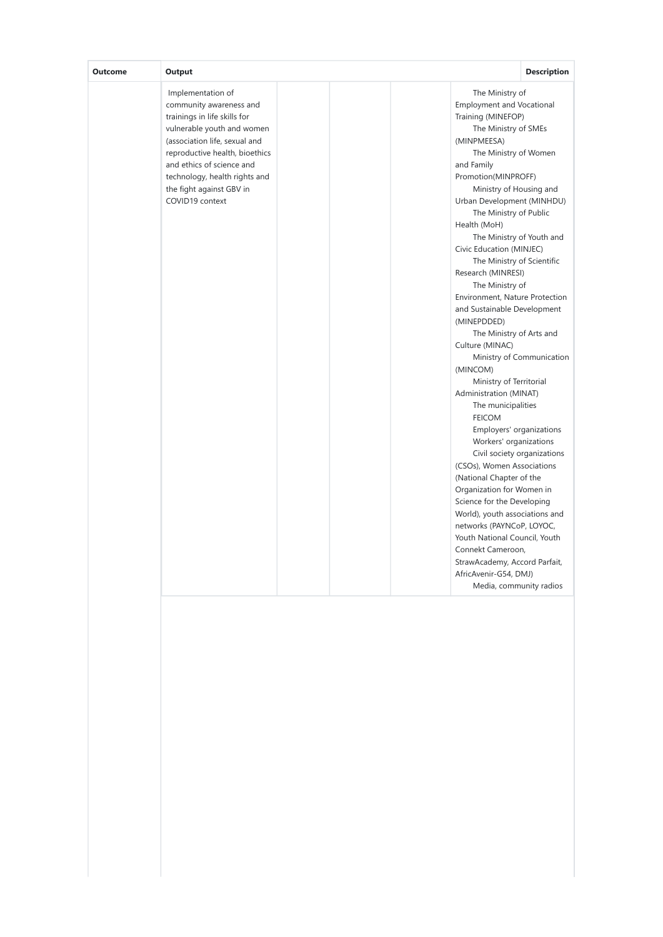| Implementation of<br>The Ministry of<br>community awareness and<br>trainings in life skills for<br>Training (MINEFOP)<br>vulnerable youth and women<br>(association life, sexual and<br>(MINPMEESA)<br>reproductive health, bioethics<br>and ethics of science and<br>and Family<br>Promotion(MINPROFF)<br>technology, health rights and<br>the fight against GBV in<br>COVID19 context<br>Health (MoH)<br>Civic Education (MINJEC)<br>Research (MINRESI)<br>The Ministry of<br>(MINEPDDED)<br>Culture (MINAC)<br>(MINCOM)<br>Administration (MINAT)<br>The municipalities<br><b>FEICOM</b><br>(National Chapter of the | Output<br><b>Outcome</b> | <b>Description</b>                                                                                                                                                                                                                                                                                                                                                                                                                                                                                                                                                                                                                                                                                                             |
|-------------------------------------------------------------------------------------------------------------------------------------------------------------------------------------------------------------------------------------------------------------------------------------------------------------------------------------------------------------------------------------------------------------------------------------------------------------------------------------------------------------------------------------------------------------------------------------------------------------------------|--------------------------|--------------------------------------------------------------------------------------------------------------------------------------------------------------------------------------------------------------------------------------------------------------------------------------------------------------------------------------------------------------------------------------------------------------------------------------------------------------------------------------------------------------------------------------------------------------------------------------------------------------------------------------------------------------------------------------------------------------------------------|
| Connekt Cameroon,<br>AfricAvenir-G54, DMJ)                                                                                                                                                                                                                                                                                                                                                                                                                                                                                                                                                                              |                          | <b>Employment and Vocational</b><br>The Ministry of SMEs<br>The Ministry of Women<br>Ministry of Housing and<br>Urban Development (MINHDU)<br>The Ministry of Public<br>The Ministry of Youth and<br>The Ministry of Scientific<br>Environment, Nature Protection<br>and Sustainable Development<br>The Ministry of Arts and<br>Ministry of Communication<br>Ministry of Territorial<br>Employers' organizations<br>Workers' organizations<br>Civil society organizations<br>(CSOs), Women Associations<br>Organization for Women in<br>Science for the Developing<br>World), youth associations and<br>networks (PAYNCoP, LOYOC,<br>Youth National Council, Youth<br>StrawAcademy, Accord Parfait,<br>Media, community radios |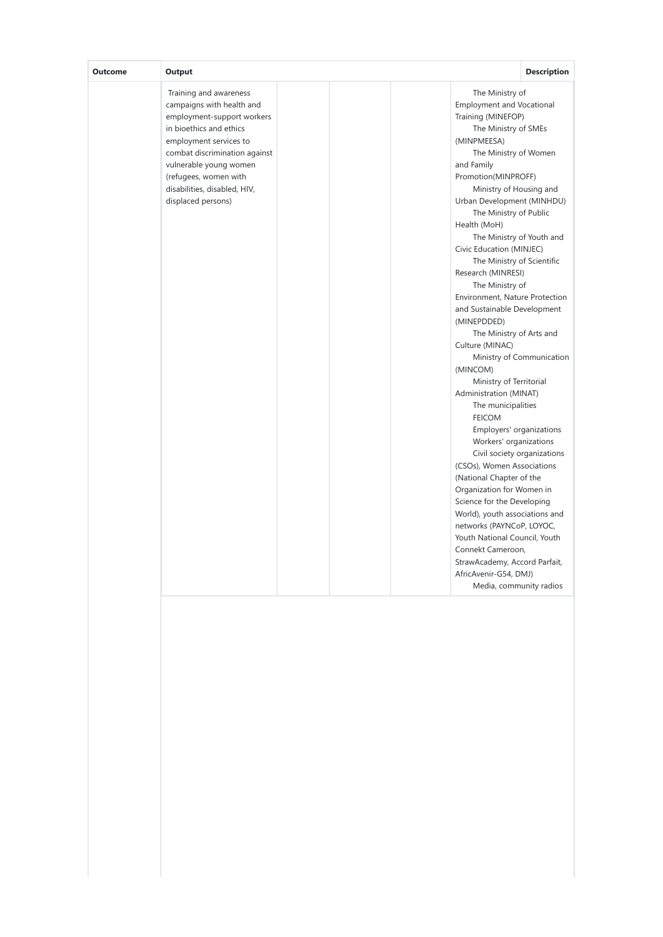| Training and awareness<br>campaigns with health and<br>employment-support workers                                                                                                           | The Ministry of                                                                                                                                                                                                                                                                                                                                                                                                                                                                                                                                                                                                                                                                                                                                                                                                                                                                                                                                                                                                                                                                        |
|---------------------------------------------------------------------------------------------------------------------------------------------------------------------------------------------|----------------------------------------------------------------------------------------------------------------------------------------------------------------------------------------------------------------------------------------------------------------------------------------------------------------------------------------------------------------------------------------------------------------------------------------------------------------------------------------------------------------------------------------------------------------------------------------------------------------------------------------------------------------------------------------------------------------------------------------------------------------------------------------------------------------------------------------------------------------------------------------------------------------------------------------------------------------------------------------------------------------------------------------------------------------------------------------|
| in bioethics and ethics<br>employment services to<br>combat discrimination against<br>vulnerable young women<br>(refugees, women with<br>disabilities, disabled, HIV,<br>displaced persons) | <b>Employment and Vocational</b><br>Training (MINEFOP)<br>The Ministry of SMEs<br>(MINPMEESA)<br>The Ministry of Women<br>and Family<br>Promotion(MINPROFF)<br>Ministry of Housing and<br>Urban Development (MINHDU)<br>The Ministry of Public<br>Health (MoH)<br>The Ministry of Youth and<br>Civic Education (MINJEC)<br>The Ministry of Scientific<br>Research (MINRESI)<br>The Ministry of<br>Environment, Nature Protection<br>and Sustainable Development<br>(MINEPDDED)<br>The Ministry of Arts and<br>Culture (MINAC)<br>Ministry of Communication<br>(MINCOM)<br>Ministry of Territorial<br>Administration (MINAT)<br>The municipalities<br><b>FEICOM</b><br>Employers' organizations<br>Workers' organizations<br>Civil society organizations<br>(CSOs), Women Associations<br>(National Chapter of the<br>Organization for Women in<br>Science for the Developing<br>World), youth associations and<br>networks (PAYNCoP, LOYOC,<br>Youth National Council, Youth<br>Connekt Cameroon,<br>StrawAcademy, Accord Parfait,<br>AfricAvenir-G54, DMJ)<br>Media, community radios |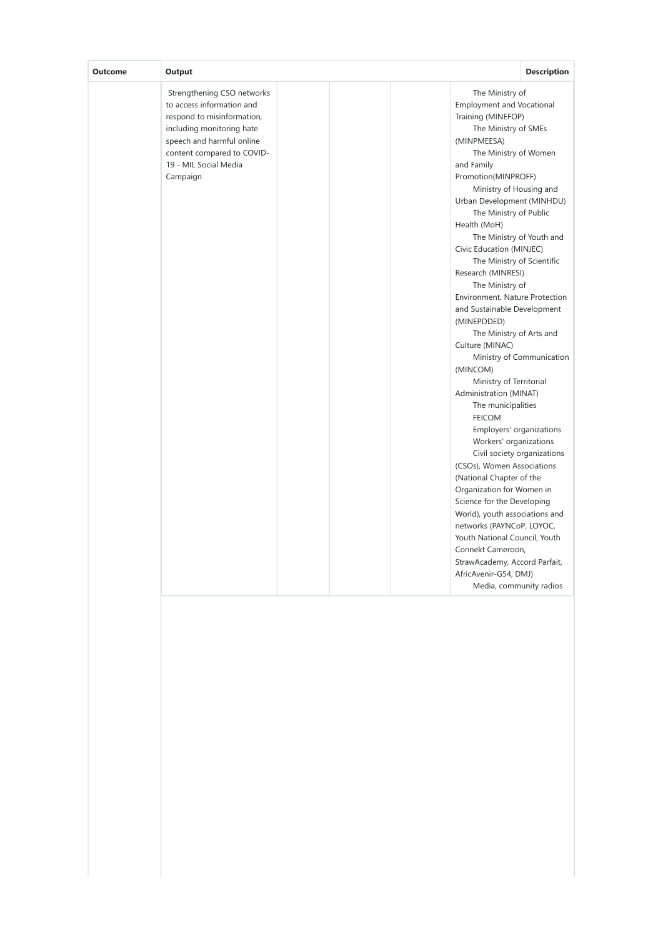| Outcome | Output                                                                                                                                                                                                             | <b>Description</b>                                                                                                                                                                                                                                                                                                                                                                                                                                                                                                                                                                                                                                                                                                                                                                                                                                                                                                                                                                                                                                                                                        |
|---------|--------------------------------------------------------------------------------------------------------------------------------------------------------------------------------------------------------------------|-----------------------------------------------------------------------------------------------------------------------------------------------------------------------------------------------------------------------------------------------------------------------------------------------------------------------------------------------------------------------------------------------------------------------------------------------------------------------------------------------------------------------------------------------------------------------------------------------------------------------------------------------------------------------------------------------------------------------------------------------------------------------------------------------------------------------------------------------------------------------------------------------------------------------------------------------------------------------------------------------------------------------------------------------------------------------------------------------------------|
|         | Strengthening CSO networks<br>to access information and<br>respond to misinformation,<br>including monitoring hate<br>speech and harmful online<br>content compared to COVID-<br>19 - MIL Social Media<br>Campaign | The Ministry of<br><b>Employment and Vocational</b><br>Training (MINEFOP)<br>The Ministry of SMEs<br>(MINPMEESA)<br>The Ministry of Women<br>and Family<br>Promotion(MINPROFF)<br>Ministry of Housing and<br>Urban Development (MINHDU)<br>The Ministry of Public<br>Health (MoH)<br>The Ministry of Youth and<br>Civic Education (MINJEC)<br>The Ministry of Scientific<br>Research (MINRESI)<br>The Ministry of<br>Environment, Nature Protection<br>and Sustainable Development<br>(MINEPDDED)<br>The Ministry of Arts and<br>Culture (MINAC)<br>Ministry of Communication<br>(MINCOM)<br>Ministry of Territorial<br>Administration (MINAT)<br>The municipalities<br><b>FEICOM</b><br>Employers' organizations<br>Workers' organizations<br>Civil society organizations<br>(CSOs), Women Associations<br>(National Chapter of the<br>Organization for Women in<br>Science for the Developing<br>World), youth associations and<br>networks (PAYNCoP, LOYOC,<br>Youth National Council, Youth<br>Connekt Cameroon,<br>StrawAcademy, Accord Parfait,<br>AfricAvenir-G54, DMJ)<br>Media, community radios |
|         |                                                                                                                                                                                                                    |                                                                                                                                                                                                                                                                                                                                                                                                                                                                                                                                                                                                                                                                                                                                                                                                                                                                                                                                                                                                                                                                                                           |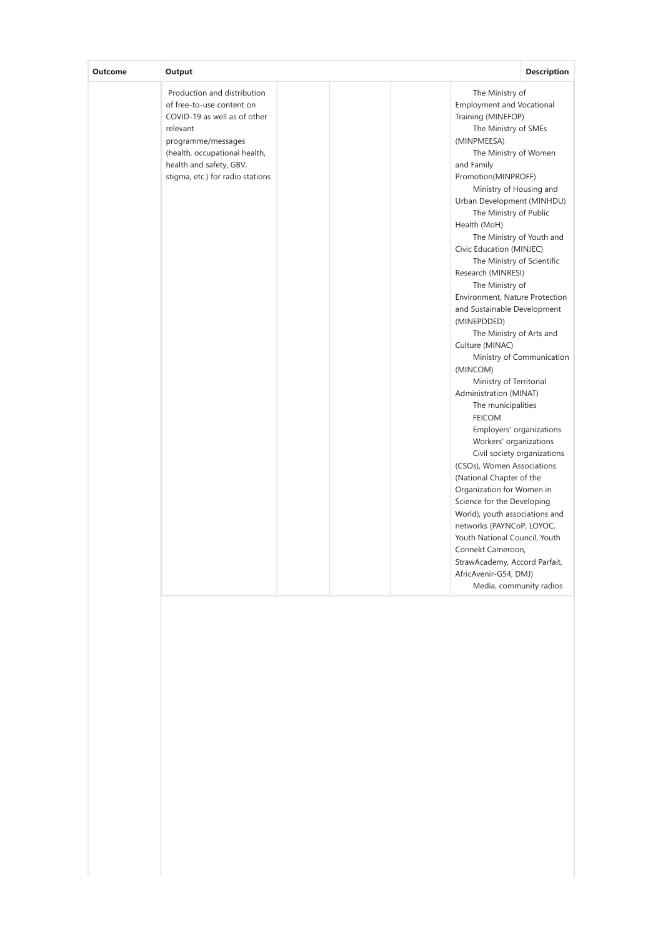| <b>Outcome</b><br>Output                                                                                                                                                                                                   | <b>Description</b>                                                                                                                                                                                                                                                                                                                                                                                                                                                                                                                                                                                                                                                                                                                                                                                                                                                                                                                                                                                                                                                                                        |
|----------------------------------------------------------------------------------------------------------------------------------------------------------------------------------------------------------------------------|-----------------------------------------------------------------------------------------------------------------------------------------------------------------------------------------------------------------------------------------------------------------------------------------------------------------------------------------------------------------------------------------------------------------------------------------------------------------------------------------------------------------------------------------------------------------------------------------------------------------------------------------------------------------------------------------------------------------------------------------------------------------------------------------------------------------------------------------------------------------------------------------------------------------------------------------------------------------------------------------------------------------------------------------------------------------------------------------------------------|
| Production and distribution<br>of free-to-use content on<br>COVID-19 as well as of other<br>relevant<br>programme/messages<br>(health, occupational health,<br>health and safety, GBV,<br>stigma, etc.) for radio stations | The Ministry of<br><b>Employment and Vocational</b><br>Training (MINEFOP)<br>The Ministry of SMEs<br>(MINPMEESA)<br>The Ministry of Women<br>and Family<br>Promotion(MINPROFF)<br>Ministry of Housing and<br>Urban Development (MINHDU)<br>The Ministry of Public<br>Health (MoH)<br>The Ministry of Youth and<br>Civic Education (MINJEC)<br>The Ministry of Scientific<br>Research (MINRESI)<br>The Ministry of<br>Environment, Nature Protection<br>and Sustainable Development<br>(MINEPDDED)<br>The Ministry of Arts and<br>Culture (MINAC)<br>Ministry of Communication<br>(MINCOM)<br>Ministry of Territorial<br>Administration (MINAT)<br>The municipalities<br><b>FEICOM</b><br>Employers' organizations<br>Workers' organizations<br>Civil society organizations<br>(CSOs), Women Associations<br>(National Chapter of the<br>Organization for Women in<br>Science for the Developing<br>World), youth associations and<br>networks (PAYNCoP, LOYOC,<br>Youth National Council, Youth<br>Connekt Cameroon,<br>StrawAcademy, Accord Parfait,<br>AfricAvenir-G54, DMJ)<br>Media, community radios |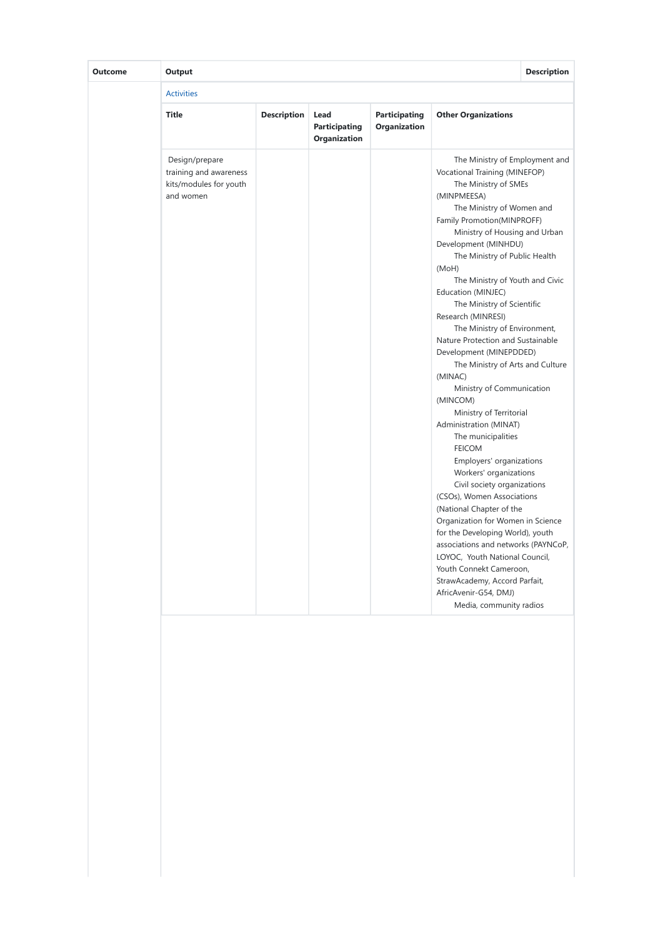| <b>Outcome</b> | Output                                                                          |                    |                                       |                                      |                                                                                                                                                                                                                                                                                                                                                                                                                                                                                                                                                                                                                                                                                                                                                                                                                                                                                                                                                                                                                                                                                        | <b>Description</b> |
|----------------|---------------------------------------------------------------------------------|--------------------|---------------------------------------|--------------------------------------|----------------------------------------------------------------------------------------------------------------------------------------------------------------------------------------------------------------------------------------------------------------------------------------------------------------------------------------------------------------------------------------------------------------------------------------------------------------------------------------------------------------------------------------------------------------------------------------------------------------------------------------------------------------------------------------------------------------------------------------------------------------------------------------------------------------------------------------------------------------------------------------------------------------------------------------------------------------------------------------------------------------------------------------------------------------------------------------|--------------------|
|                | <b>Activities</b>                                                               |                    |                                       |                                      |                                                                                                                                                                                                                                                                                                                                                                                                                                                                                                                                                                                                                                                                                                                                                                                                                                                                                                                                                                                                                                                                                        |                    |
|                | <b>Title</b>                                                                    | <b>Description</b> | Lead<br>Participating<br>Organization | <b>Participating</b><br>Organization | <b>Other Organizations</b>                                                                                                                                                                                                                                                                                                                                                                                                                                                                                                                                                                                                                                                                                                                                                                                                                                                                                                                                                                                                                                                             |                    |
|                | Design/prepare<br>training and awareness<br>kits/modules for youth<br>and women |                    |                                       |                                      | The Ministry of Employment and<br>Vocational Training (MINEFOP)<br>The Ministry of SMEs<br>(MINPMEESA)<br>The Ministry of Women and<br>Family Promotion(MINPROFF)<br>Ministry of Housing and Urban<br>Development (MINHDU)<br>The Ministry of Public Health<br>(MoH)<br>The Ministry of Youth and Civic<br>Education (MINJEC)<br>The Ministry of Scientific<br>Research (MINRESI)<br>The Ministry of Environment,<br>Nature Protection and Sustainable<br>Development (MINEPDDED)<br>The Ministry of Arts and Culture<br>(MINAC)<br>Ministry of Communication<br>(MINCOM)<br>Ministry of Territorial<br>Administration (MINAT)<br>The municipalities<br><b>FEICOM</b><br>Employers' organizations<br>Workers' organizations<br>Civil society organizations<br>(CSOs), Women Associations<br>(National Chapter of the<br>Organization for Women in Science<br>for the Developing World), youth<br>associations and networks (PAYNCoP,<br>LOYOC, Youth National Council,<br>Youth Connekt Cameroon,<br>StrawAcademy, Accord Parfait,<br>AfricAvenir-G54, DMJ)<br>Media, community radios |                    |
|                |                                                                                 |                    |                                       |                                      |                                                                                                                                                                                                                                                                                                                                                                                                                                                                                                                                                                                                                                                                                                                                                                                                                                                                                                                                                                                                                                                                                        |                    |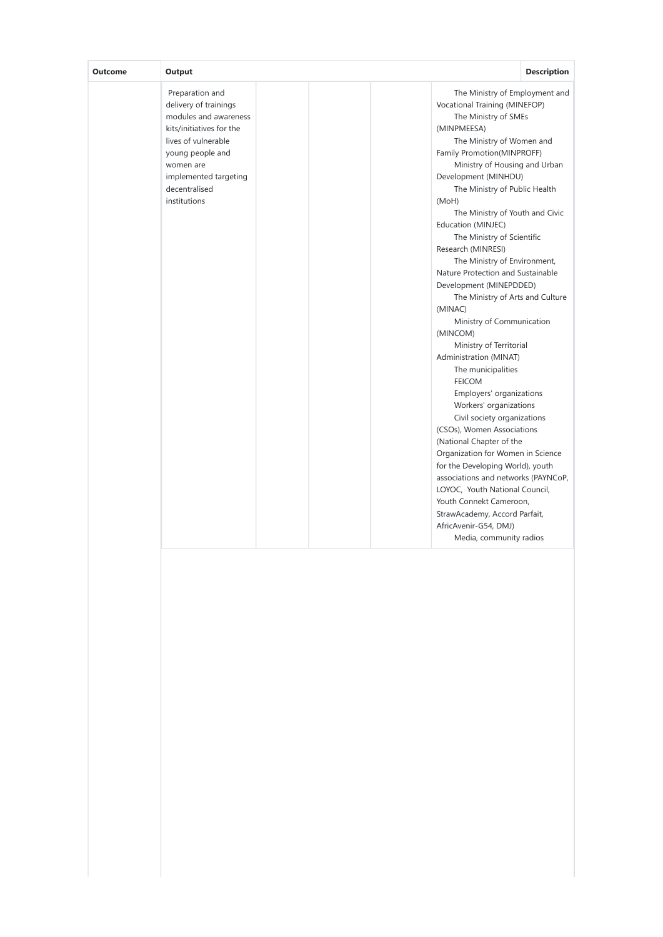| <b>Outcome</b> | Output                                                                                                                                                                                                          |                                                                                                                                                                                                                                                                                                                                                                                                                                                                                                                                                                                                                                                                                                                                                                                                                                                                                                                                                                                                                                                                                        | <b>Description</b> |
|----------------|-----------------------------------------------------------------------------------------------------------------------------------------------------------------------------------------------------------------|----------------------------------------------------------------------------------------------------------------------------------------------------------------------------------------------------------------------------------------------------------------------------------------------------------------------------------------------------------------------------------------------------------------------------------------------------------------------------------------------------------------------------------------------------------------------------------------------------------------------------------------------------------------------------------------------------------------------------------------------------------------------------------------------------------------------------------------------------------------------------------------------------------------------------------------------------------------------------------------------------------------------------------------------------------------------------------------|--------------------|
|                | Preparation and<br>delivery of trainings<br>modules and awareness<br>kits/initiatives for the<br>lives of vulnerable<br>young people and<br>women are<br>implemented targeting<br>decentralised<br>institutions | The Ministry of Employment and<br>Vocational Training (MINEFOP)<br>The Ministry of SMEs<br>(MINPMEESA)<br>The Ministry of Women and<br>Family Promotion(MINPROFF)<br>Ministry of Housing and Urban<br>Development (MINHDU)<br>The Ministry of Public Health<br>(MoH)<br>The Ministry of Youth and Civic<br>Education (MINJEC)<br>The Ministry of Scientific<br>Research (MINRESI)<br>The Ministry of Environment,<br>Nature Protection and Sustainable<br>Development (MINEPDDED)<br>The Ministry of Arts and Culture<br>(MINAC)<br>Ministry of Communication<br>(MINCOM)<br>Ministry of Territorial<br>Administration (MINAT)<br>The municipalities<br><b>FEICOM</b><br>Employers' organizations<br>Workers' organizations<br>Civil society organizations<br>(CSOs), Women Associations<br>(National Chapter of the<br>Organization for Women in Science<br>for the Developing World), youth<br>associations and networks (PAYNCoP,<br>LOYOC, Youth National Council,<br>Youth Connekt Cameroon,<br>StrawAcademy, Accord Parfait,<br>AfricAvenir-G54, DMJ)<br>Media, community radios |                    |
|                |                                                                                                                                                                                                                 |                                                                                                                                                                                                                                                                                                                                                                                                                                                                                                                                                                                                                                                                                                                                                                                                                                                                                                                                                                                                                                                                                        |                    |
|                |                                                                                                                                                                                                                 |                                                                                                                                                                                                                                                                                                                                                                                                                                                                                                                                                                                                                                                                                                                                                                                                                                                                                                                                                                                                                                                                                        |                    |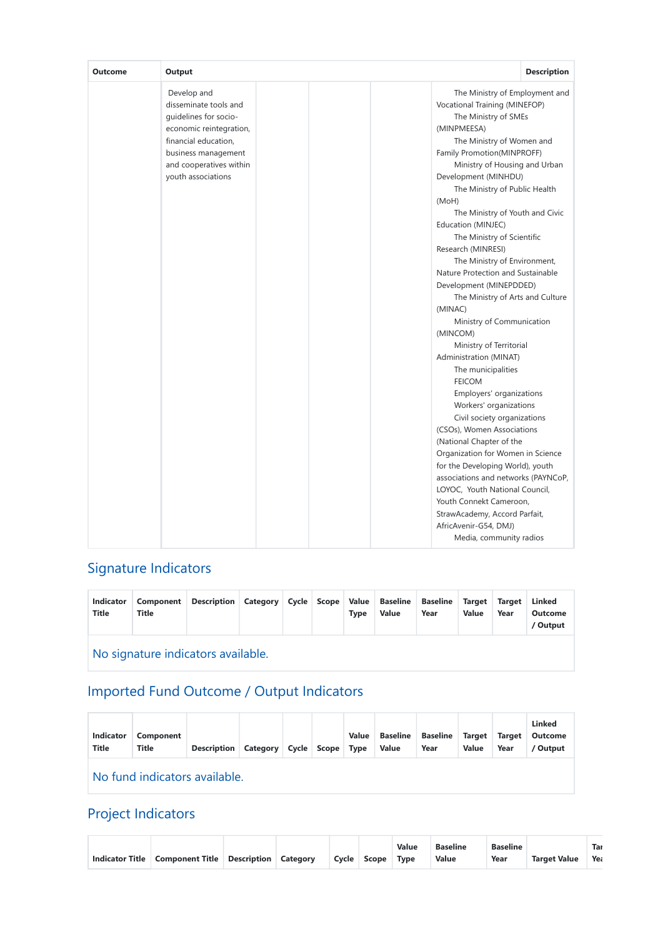| Outcome | Output                                                                                                                                                                                   |                                                                                                                                                                                                                                                                                                                                                                                                                                                                                                                                                                                                                                                                                                                                                                                                                                                                                                                                                                                                                                                                                        | <b>Description</b> |
|---------|------------------------------------------------------------------------------------------------------------------------------------------------------------------------------------------|----------------------------------------------------------------------------------------------------------------------------------------------------------------------------------------------------------------------------------------------------------------------------------------------------------------------------------------------------------------------------------------------------------------------------------------------------------------------------------------------------------------------------------------------------------------------------------------------------------------------------------------------------------------------------------------------------------------------------------------------------------------------------------------------------------------------------------------------------------------------------------------------------------------------------------------------------------------------------------------------------------------------------------------------------------------------------------------|--------------------|
|         | Develop and<br>disseminate tools and<br>quidelines for socio-<br>economic reintegration,<br>financial education,<br>business management<br>and cooperatives within<br>youth associations | The Ministry of Employment and<br>Vocational Training (MINEFOP)<br>The Ministry of SMEs<br>(MINPMEESA)<br>The Ministry of Women and<br>Family Promotion(MINPROFF)<br>Ministry of Housing and Urban<br>Development (MINHDU)<br>The Ministry of Public Health<br>(MoH)<br>The Ministry of Youth and Civic<br>Education (MINJEC)<br>The Ministry of Scientific<br>Research (MINRESI)<br>The Ministry of Environment,<br>Nature Protection and Sustainable<br>Development (MINEPDDED)<br>The Ministry of Arts and Culture<br>(MINAC)<br>Ministry of Communication<br>(MINCOM)<br>Ministry of Territorial<br>Administration (MINAT)<br>The municipalities<br><b>FEICOM</b><br>Employers' organizations<br>Workers' organizations<br>Civil society organizations<br>(CSOs), Women Associations<br>(National Chapter of the<br>Organization for Women in Science<br>for the Developing World), youth<br>associations and networks (PAYNCoP,<br>LOYOC, Youth National Council,<br>Youth Connekt Cameroon,<br>StrawAcademy, Accord Parfait,<br>AfricAvenir-G54, DMJ)<br>Media, community radios |                    |

# Signature Indicators

| Indicator<br><b>Title</b> | <b>Component</b><br>Title          | Description Category Cycle Scope Value Baseline Baseline |  |  |  | <b>Type</b> | Value | Year | Target Target<br><b>Value</b> | Year | Linked<br><b>Outcome</b><br>/ Output |
|---------------------------|------------------------------------|----------------------------------------------------------|--|--|--|-------------|-------|------|-------------------------------|------|--------------------------------------|
|                           | No signature indicators available. |                                                          |  |  |  |             |       |      |                               |      |                                      |

# Imported Fund Outcome / Output Indicators

| <b>Indicator</b><br><b>Title</b> | Component<br><b>Title</b> | <b>Description Category</b> |  |  | Cycle Scope | Value<br><b>Type</b> | <b>Baseline</b><br><b>Value</b> | <b>Baseline</b><br>Year | <b>Target</b><br>Value | <b>Target</b><br>Year | <b>Linked</b><br><b>Outcome</b><br>/ Output |
|----------------------------------|---------------------------|-----------------------------|--|--|-------------|----------------------|---------------------------------|-------------------------|------------------------|-----------------------|---------------------------------------------|
| No fund indicators available.    |                           |                             |  |  |             |                      |                                 |                         |                        |                       |                                             |

# Project Indicators

|                        |                                      |  |             | <b>Value</b> | <b>Baseline</b> | <b>Baseline</b> |                     | Tar |
|------------------------|--------------------------------------|--|-------------|--------------|-----------------|-----------------|---------------------|-----|
| <b>Indicator Title</b> | Component Title Description Category |  | Cycle Scope | Tvpe         | Value           | Year            | <b>Target Value</b> | Yea |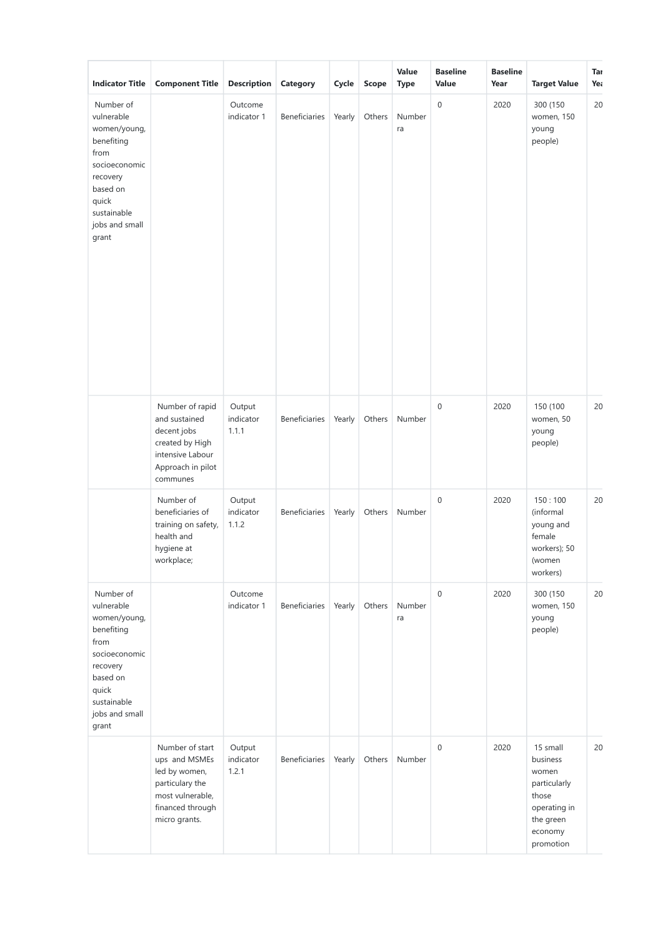| <b>Indicator Title</b>                                                                                                                                    | <b>Component Title</b>                                                                                                        | <b>Description</b>           | Category             | Cycle  | Scope  | Value<br><b>Type</b> | <b>Baseline</b><br>Value | <b>Baseline</b><br>Year | <b>Target Value</b>                                                                                         | Tar<br>Yea |
|-----------------------------------------------------------------------------------------------------------------------------------------------------------|-------------------------------------------------------------------------------------------------------------------------------|------------------------------|----------------------|--------|--------|----------------------|--------------------------|-------------------------|-------------------------------------------------------------------------------------------------------------|------------|
| Number of<br>vulnerable<br>women/young,<br>benefiting<br>from<br>socioeconomic<br>recovery<br>based on<br>quick<br>sustainable<br>jobs and small<br>grant |                                                                                                                               | Outcome<br>indicator 1       | <b>Beneficiaries</b> | Yearly | Others | Number<br>ra         | $\mathbf 0$              | 2020                    | 300 (150<br>women, 150<br>young<br>people)                                                                  | 20         |
|                                                                                                                                                           | Number of rapid<br>and sustained<br>decent jobs<br>created by High<br>intensive Labour<br>Approach in pilot<br>communes       | Output<br>indicator<br>1.1.1 | Beneficiaries        | Yearly | Others | Number               | $\mathbf 0$              | 2020                    | 150 (100<br>women, 50<br>young<br>people)                                                                   | 20         |
|                                                                                                                                                           | Number of<br>beneficiaries of<br>training on safety,<br>health and<br>hygiene at<br>workplace;                                | Output<br>indicator<br>1.1.2 | Beneficiaries        | Yearly | Others | Number               | $\mathbf 0$              | 2020                    | 150:100<br>(informal<br>young and<br>female<br>workers); 50<br>(women<br>workers)                           | 20         |
| Number of<br>vulnerable<br>women/young,<br>benefiting<br>from<br>socioeconomic<br>recovery<br>based on<br>quick<br>sustainable<br>jobs and small<br>grant |                                                                                                                               | Outcome<br>indicator 1       | Beneficiaries        | Yearly | Others | Number<br>ra         | $\mathbf 0$              | 2020                    | 300 (150<br>women, 150<br>young<br>people)                                                                  | 20         |
|                                                                                                                                                           | Number of start<br>ups and MSMEs<br>led by women,<br>particulary the<br>most vulnerable,<br>financed through<br>micro grants. | Output<br>indicator<br>1.2.1 | Beneficiaries        | Yearly | Others | Number               | $\mathbf 0$              | 2020                    | 15 small<br>business<br>women<br>particularly<br>those<br>operating in<br>the green<br>economy<br>promotion | 20         |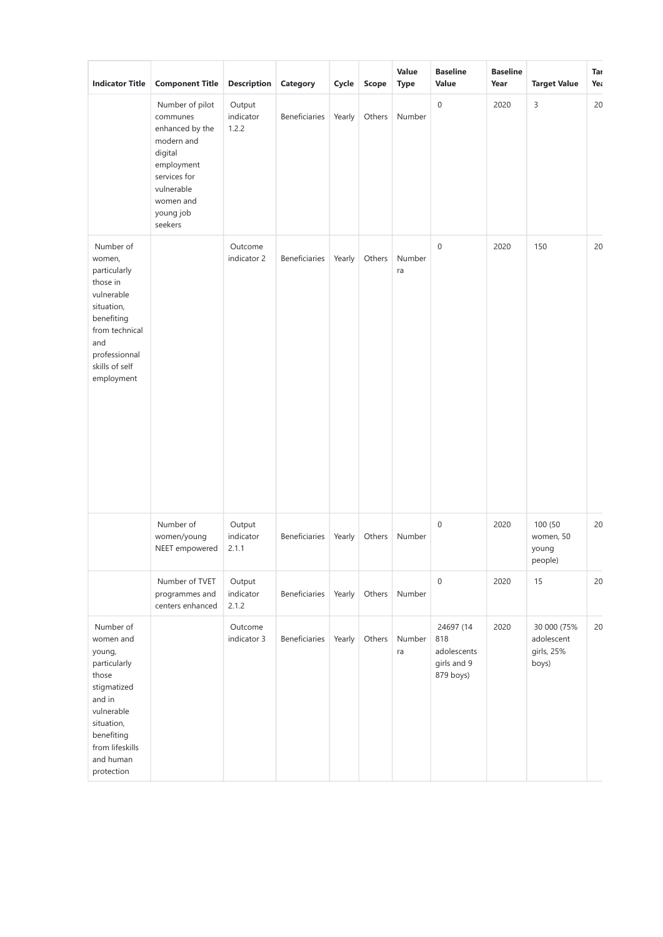| <b>Indicator Title</b>                                                                                                                                                     | <b>Component Title</b>                                                                                                                                   | <b>Description</b>           | Category             | Cycle  | Scope  | Value<br><b>Type</b> | <b>Baseline</b><br>Value                                    | <b>Baseline</b><br>Year | <b>Target Value</b>                              | Tar<br>Yea |
|----------------------------------------------------------------------------------------------------------------------------------------------------------------------------|----------------------------------------------------------------------------------------------------------------------------------------------------------|------------------------------|----------------------|--------|--------|----------------------|-------------------------------------------------------------|-------------------------|--------------------------------------------------|------------|
|                                                                                                                                                                            | Number of pilot<br>communes<br>enhanced by the<br>modern and<br>digital<br>employment<br>services for<br>vulnerable<br>women and<br>young job<br>seekers | Output<br>indicator<br>1.2.2 | <b>Beneficiaries</b> | Yearly | Others | Number               | $\boldsymbol{0}$                                            | 2020                    | 3                                                | 20         |
| Number of<br>women,<br>particularly<br>those in<br>vulnerable<br>situation,<br>benefiting<br>from technical<br>and<br>professionnal<br>skills of self<br>employment        |                                                                                                                                                          | Outcome<br>indicator 2       | Beneficiaries        | Yearly | Others | Number<br>ra         | $\boldsymbol{0}$                                            | 2020                    | 150                                              | 20         |
|                                                                                                                                                                            | Number of<br>women/young<br>NEET empowered                                                                                                               | Output<br>indicator<br>2.1.1 | <b>Beneficiaries</b> | Yearly | Others | Number               | $\boldsymbol{0}$                                            | 2020                    | 100 (50<br>women, 50<br>young<br>people)         | 20         |
|                                                                                                                                                                            | Number of TVET<br>programmes and<br>centers enhanced                                                                                                     | Output<br>indicator<br>2.1.2 | Beneficiaries        | Yearly | Others | Number               | $\boldsymbol{0}$                                            | 2020                    | 15                                               | 20         |
| Number of<br>women and<br>young,<br>particularly<br>those<br>stigmatized<br>and in<br>vulnerable<br>situation,<br>benefiting<br>from lifeskills<br>and human<br>protection |                                                                                                                                                          | Outcome<br>indicator 3       | Beneficiaries        | Yearly | Others | Number<br>ra         | 24697 (14<br>818<br>adolescents<br>girls and 9<br>879 boys) | 2020                    | 30 000 (75%<br>adolescent<br>girls, 25%<br>boys) | 20         |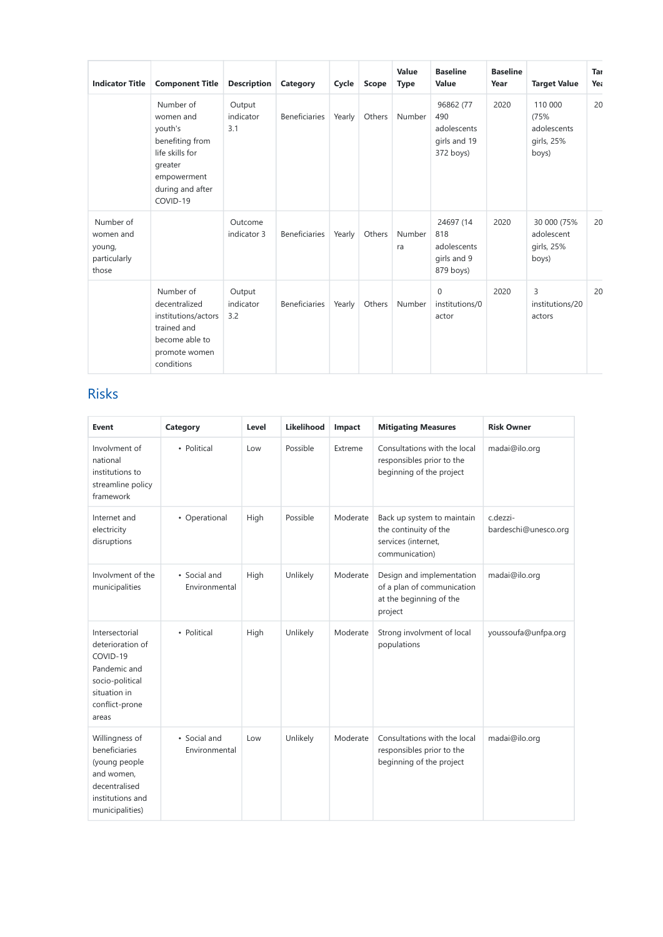| <b>Indicator Title</b>                                    | <b>Component Title</b>                                                                                                            | <b>Description</b>         | Category             | Cycle  | Scope  | Value<br><b>Type</b> | <b>Baseline</b><br>Value                                     | <b>Baseline</b><br>Year | <b>Target Value</b>                                   | Tar<br>Yea |
|-----------------------------------------------------------|-----------------------------------------------------------------------------------------------------------------------------------|----------------------------|----------------------|--------|--------|----------------------|--------------------------------------------------------------|-------------------------|-------------------------------------------------------|------------|
|                                                           | Number of<br>women and<br>youth's<br>benefiting from<br>life skills for<br>greater<br>empowerment<br>during and after<br>COVID-19 | Output<br>indicator<br>3.1 | <b>Beneficiaries</b> | Yearly | Others | Number               | 96862 (77<br>490<br>adolescents<br>girls and 19<br>372 boys) | 2020                    | 110 000<br>(75%<br>adolescents<br>girls, 25%<br>boys) | 20         |
| Number of<br>women and<br>young,<br>particularly<br>those |                                                                                                                                   | Outcome<br>indicator 3     | <b>Beneficiaries</b> | Yearly | Others | Number<br>ra         | 24697 (14<br>818<br>adolescents<br>girls and 9<br>879 boys)  | 2020                    | 30 000 (75%<br>adolescent<br>girls, 25%<br>boys)      | 20         |
|                                                           | Number of<br>decentralized<br>institutions/actors<br>trained and<br>become able to<br>promote women<br>conditions                 | Output<br>indicator<br>3.2 | <b>Beneficiaries</b> | Yearly | Others | Number               | $\mathbf{0}$<br>institutions/0<br>actor                      | 2020                    | 3<br>institutions/20<br>actors                        | 20         |

# Risks

| Event                                                                                                                        | Category                      | Level | Likelihood | Impact   | <b>Mitigating Measures</b>                                                                    | <b>Risk Owner</b>                |
|------------------------------------------------------------------------------------------------------------------------------|-------------------------------|-------|------------|----------|-----------------------------------------------------------------------------------------------|----------------------------------|
| Involvment of<br>national<br>institutions to<br>streamline policy<br>framework                                               | • Political                   | Low   | Possible   | Extreme  | Consultations with the local<br>responsibles prior to the<br>beginning of the project         | madai@ilo.org                    |
| Internet and<br>electricity<br>disruptions                                                                                   | • Operational                 | High  | Possible   | Moderate | Back up system to maintain<br>the continuity of the<br>services (internet,<br>communication)  | c.dezzi-<br>bardeschi@unesco.org |
| Involvment of the<br>municipalities                                                                                          | • Social and<br>Environmental | High  | Unlikely   | Moderate | Design and implementation<br>of a plan of communication<br>at the beginning of the<br>project | madai@ilo.org                    |
| Intersectorial<br>deterioration of<br>COVID-19<br>Pandemic and<br>socio-political<br>situation in<br>conflict-prone<br>areas | • Political                   | High  | Unlikely   | Moderate | Strong involvment of local<br>populations                                                     | youssoufa@unfpa.org              |
| Willingness of<br>beneficiaries<br>(young people<br>and women,<br>decentralised<br>institutions and<br>municipalities)       | • Social and<br>Environmental | Low   | Unlikely   | Moderate | Consultations with the local<br>responsibles prior to the<br>beginning of the project         | madai@ilo.org                    |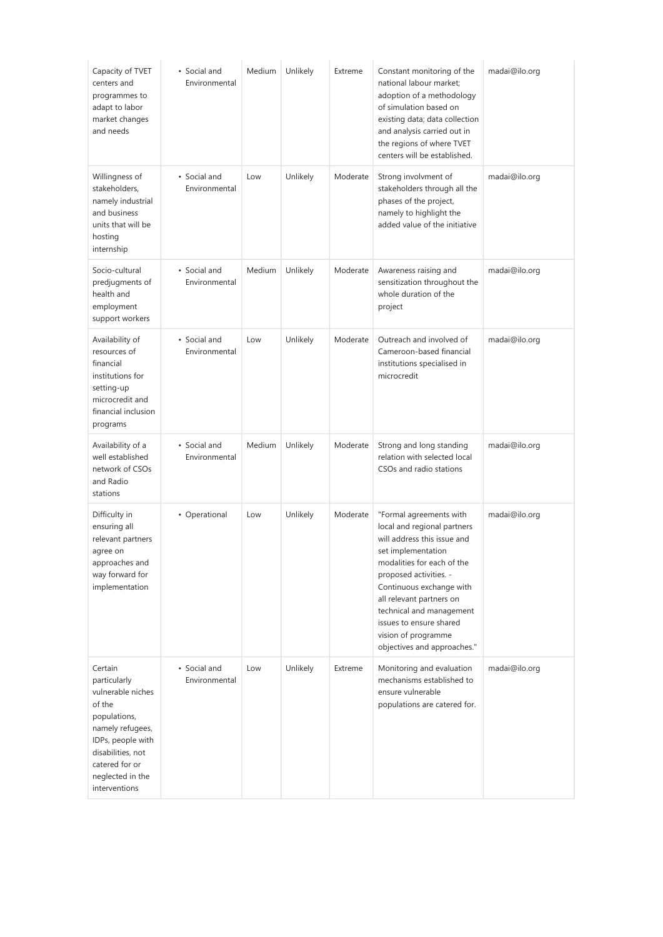| Capacity of TVET<br>centers and<br>programmes to<br>adapt to labor<br>market changes<br>and needs                                                                                           | • Social and<br>Environmental | Medium | Unlikely | Extreme  | Constant monitoring of the<br>national labour market;<br>adoption of a methodology<br>of simulation based on<br>existing data; data collection<br>and analysis carried out in<br>the regions of where TVET<br>centers will be established.                                                                                               | madai@ilo.org |
|---------------------------------------------------------------------------------------------------------------------------------------------------------------------------------------------|-------------------------------|--------|----------|----------|------------------------------------------------------------------------------------------------------------------------------------------------------------------------------------------------------------------------------------------------------------------------------------------------------------------------------------------|---------------|
| Willingness of<br>stakeholders,<br>namely industrial<br>and business<br>units that will be<br>hosting<br>internship                                                                         | • Social and<br>Environmental | Low    | Unlikely | Moderate | Strong involvment of<br>stakeholders through all the<br>phases of the project,<br>namely to highlight the<br>added value of the initiative                                                                                                                                                                                               | madai@ilo.org |
| Socio-cultural<br>predjugments of<br>health and<br>employment<br>support workers                                                                                                            | • Social and<br>Environmental | Medium | Unlikely | Moderate | Awareness raising and<br>sensitization throughout the<br>whole duration of the<br>project                                                                                                                                                                                                                                                | madai@ilo.org |
| Availability of<br>resources of<br>financial<br>institutions for<br>setting-up<br>microcredit and<br>financial inclusion<br>programs                                                        | • Social and<br>Environmental | Low    | Unlikely | Moderate | Outreach and involved of<br>Cameroon-based financial<br>institutions specialised in<br>microcredit                                                                                                                                                                                                                                       | madai@ilo.org |
| Availability of a<br>well established<br>network of CSOs<br>and Radio<br>stations                                                                                                           | • Social and<br>Environmental | Medium | Unlikely | Moderate | Strong and long standing<br>relation with selected local<br>CSO <sub>s</sub> and radio stations                                                                                                                                                                                                                                          | madai@ilo.org |
| Difficulty in<br>ensuring all<br>relevant partners<br>agree on<br>approaches and<br>way forward for<br>implementation                                                                       | • Operational                 | Low    | Unlikely | Moderate | "Formal agreements with<br>local and regional partners<br>will address this issue and<br>set implementation<br>modalities for each of the<br>proposed activities. -<br>Continuous exchange with<br>all relevant partners on<br>technical and management<br>issues to ensure shared<br>vision of programme<br>objectives and approaches." | madai@ilo.org |
| Certain<br>particularly<br>vulnerable niches<br>of the<br>populations,<br>namely refugees,<br>IDPs, people with<br>disabilities, not<br>catered for or<br>neglected in the<br>interventions | • Social and<br>Environmental | Low    | Unlikely | Extreme  | Monitoring and evaluation<br>mechanisms established to<br>ensure vulnerable<br>populations are catered for.                                                                                                                                                                                                                              | madai@ilo.org |